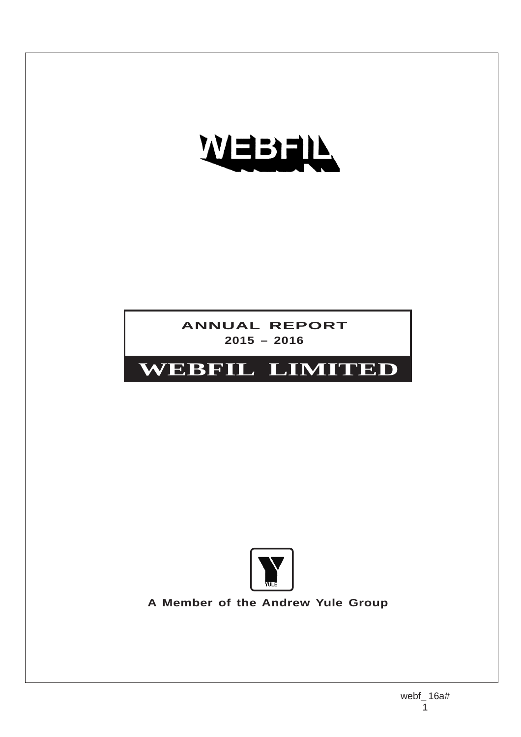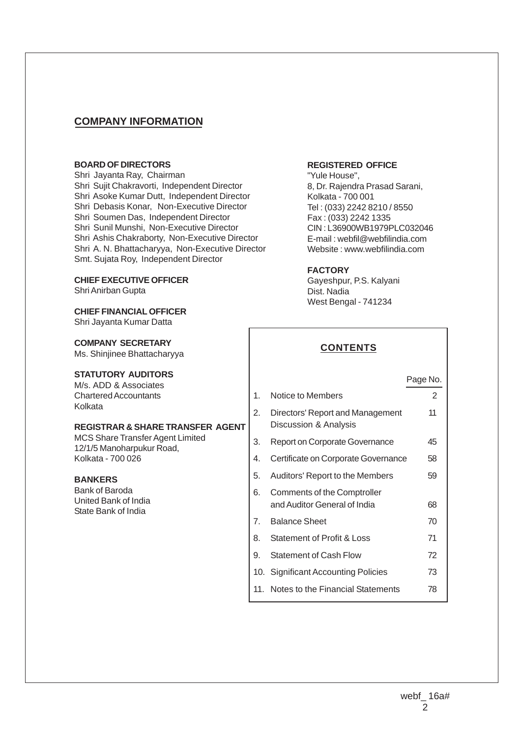### **COMPANY INFORMATION**

#### **BOARD OF DIRECTORS**

Shri Jayanta Ray, Chairman Shri Sujit Chakravorti, Independent Director Shri Asoke Kumar Dutt, Independent Director Shri Debasis Konar, Non-Executive Director Shri Soumen Das, Independent Director Shri Sunil Munshi, Non-Executive Director Shri Ashis Chakraborty, Non-Executive Director Shri A. N. Bhattacharyya, Non-Executive Director Smt. Sujata Roy, Independent Director

#### **CHIEF EXECUTIVE OFFICER**

Shri Anirban Gupta

### **CHIEF FINANCIAL OFFICER**

Shri Jayanta Kumar Datta

# **COMPANY SECRETARY**

Ms. Shinjinee Bhattacharyya

### **STATUTORY AUDITORS**

M/s. ADD & Associates Chartered Accountants Kolkata

#### **REGISTRAR & SHARE TRANSFER AGENT**

MCS Share Transfer Agent Limited 12/1/5 Manoharpukur Road, Kolkata - 700 026

### **BANKERS**

Bank of Baroda United Bank of India State Bank of India

### **REGISTERED OFFICE**

"Yule House", 8, Dr. Rajendra Prasad Sarani, Kolkata - 700 001 Tel : (033) 2242 8210 / 8550 Fax : (033) 2242 1335 CIN : L36900WB1979PLC032046 E-mail : webfil@webfilindia.com Website : www.webfilindia.com

#### **FACTORY**

Gayeshpur, P.S. Kalyani Dist. Nadia West Bengal - 741234

### **CONTENTS**

# Page No. 1. Notice to Members 2 2. Directors' Report and Management 11 Discussion & Analysis 3. Report on Corporate Governance 45 4. Certificate on Corporate Governance 58 5. Auditors' Report to the Members 59 6. Comments of the Comptroller and Auditor General of India 68 7. Balance Sheet 70 8. Statement of Profit & Loss 71 9. Statement of Cash Flow 72 10. Significant Accounting Policies 73 11. Notes to the Financial Statements 78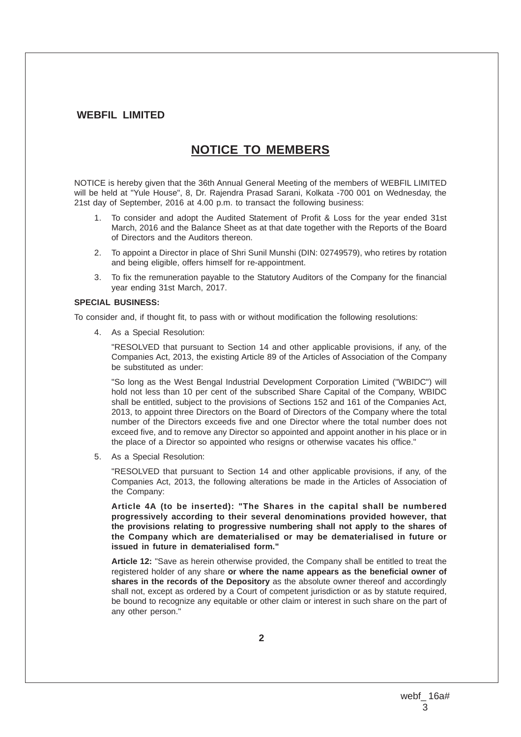# **NOTICE TO MEMBERS**

NOTICE is hereby given that the 36th Annual General Meeting of the members of WEBFIL LIMITED will be held at "Yule House", 8, Dr. Rajendra Prasad Sarani, Kolkata -700 001 on Wednesday, the 21st day of September, 2016 at 4.00 p.m. to transact the following business:

- 1. To consider and adopt the Audited Statement of Profit & Loss for the year ended 31st March, 2016 and the Balance Sheet as at that date together with the Reports of the Board of Directors and the Auditors thereon.
- 2. To appoint a Director in place of Shri Sunil Munshi (DIN: 02749579), who retires by rotation and being eligible, offers himself for re-appointment.
- 3. To fix the remuneration payable to the Statutory Auditors of the Company for the financial year ending 31st March, 2017.

#### **SPECIAL BUSINESS:**

To consider and, if thought fit, to pass with or without modification the following resolutions:

4. As a Special Resolution:

"RESOLVED that pursuant to Section 14 and other applicable provisions, if any, of the Companies Act, 2013, the existing Article 89 of the Articles of Association of the Company be substituted as under:

"So long as the West Bengal Industrial Development Corporation Limited ("WBIDC") will hold not less than 10 per cent of the subscribed Share Capital of the Company, WBIDC shall be entitled, subject to the provisions of Sections 152 and 161 of the Companies Act, 2013, to appoint three Directors on the Board of Directors of the Company where the total number of the Directors exceeds five and one Director where the total number does not exceed five, and to remove any Director so appointed and appoint another in his place or in the place of a Director so appointed who resigns or otherwise vacates his office."

5. As a Special Resolution:

"RESOLVED that pursuant to Section 14 and other applicable provisions, if any, of the Companies Act, 2013, the following alterations be made in the Articles of Association of the Company:

**Article 4A (to be inserted): "The Shares in the capital shall be numbered progressively according to their several denominations provided however, that the provisions relating to progressive numbering shall not apply to the shares of the Company which are dematerialised or may be dematerialised in future or issued in future in dematerialised form."**

**Article 12:** "Save as herein otherwise provided, the Company shall be entitled to treat the registered holder of any share **or where the name appears as the beneficial owner of shares in the records of the Depository** as the absolute owner thereof and accordingly shall not, except as ordered by a Court of competent jurisdiction or as by statute required, be bound to recognize any equitable or other claim or interest in such share on the part of any other person."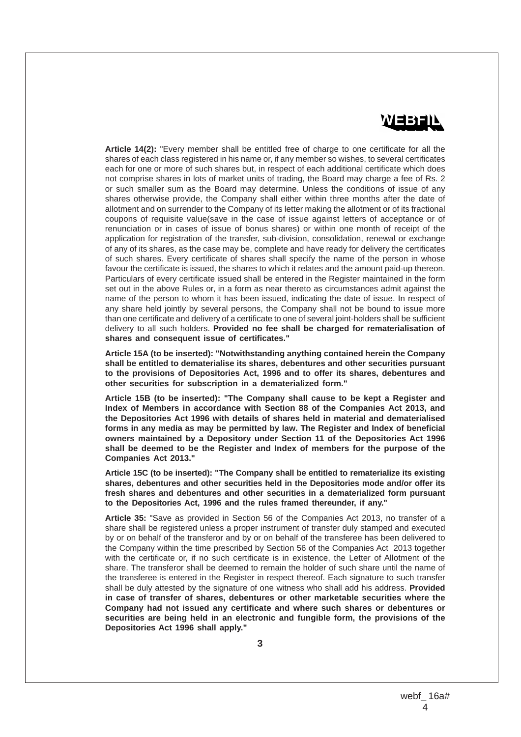13331

**Article 14(2):** "Every member shall be entitled free of charge to one certificate for all the shares of each class registered in his name or, if any member so wishes, to several certificates each for one or more of such shares but, in respect of each additional certificate which does not comprise shares in lots of market units of trading, the Board may charge a fee of Rs. 2 or such smaller sum as the Board may determine. Unless the conditions of issue of any shares otherwise provide, the Company shall either within three months after the date of allotment and on surrender to the Company of its letter making the allotment or of its fractional coupons of requisite value(save in the case of issue against letters of acceptance or of renunciation or in cases of issue of bonus shares) or within one month of receipt of the application for registration of the transfer, sub-division, consolidation, renewal or exchange of any of its shares, as the case may be, complete and have ready for delivery the certificates of such shares. Every certificate of shares shall specify the name of the person in whose favour the certificate is issued, the shares to which it relates and the amount paid-up thereon. Particulars of every certificate issued shall be entered in the Register maintained in the form set out in the above Rules or, in a form as near thereto as circumstances admit against the name of the person to whom it has been issued, indicating the date of issue. In respect of any share held jointly by several persons, the Company shall not be bound to issue more than one certificate and delivery of a certificate to one of several joint-holders shall be sufficient delivery to all such holders. **Provided no fee shall be charged for rematerialisation of shares and consequent issue of certificates."**

**Article 15A (to be inserted): "Notwithstanding anything contained herein the Company shall be entitled to dematerialise its shares, debentures and other securities pursuant to the provisions of Depositories Act, 1996 and to offer its shares, debentures and other securities for subscription in a dematerialized form."**

**Article 15B (to be inserted): "The Company shall cause to be kept a Register and Index of Members in accordance with Section 88 of the Companies Act 2013, and the Depositories Act 1996 with details of shares held in material and dematerialised forms in any media as may be permitted by law. The Register and Index of beneficial owners maintained by a Depository under Section 11 of the Depositories Act 1996 shall be deemed to be the Register and Index of members for the purpose of the Companies Act 2013."**

**Article 15C (to be inserted): "The Company shall be entitled to rematerialize its existing shares, debentures and other securities held in the Depositories mode and/or offer its fresh shares and debentures and other securities in a dematerialized form pursuant to the Depositories Act, 1996 and the rules framed thereunder, if any."**

**Article 35:** "Save as provided in Section 56 of the Companies Act 2013, no transfer of a share shall be registered unless a proper instrument of transfer duly stamped and executed by or on behalf of the transferor and by or on behalf of the transferee has been delivered to the Company within the time prescribed by Section 56 of the Companies Act 2013 together with the certificate or, if no such certificate is in existence, the Letter of Allotment of the share. The transferor shall be deemed to remain the holder of such share until the name of the transferee is entered in the Register in respect thereof. Each signature to such transfer shall be duly attested by the signature of one witness who shall add his address. **Provided in case of transfer of shares, debentures or other marketable securities where the Company had not issued any certificate and where such shares or debentures or securities are being held in an electronic and fungible form, the provisions of the Depositories Act 1996 shall apply."**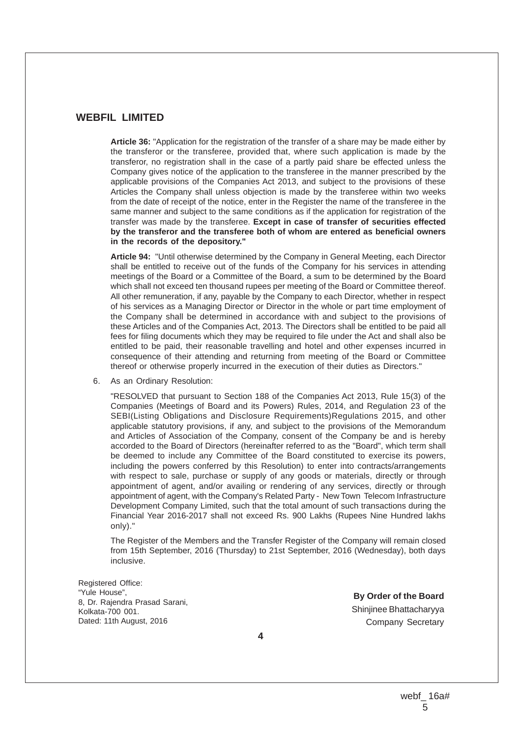**Article 36:** "Application for the registration of the transfer of a share may be made either by the transferor or the transferee, provided that, where such application is made by the transferor, no registration shall in the case of a partly paid share be effected unless the Company gives notice of the application to the transferee in the manner prescribed by the applicable provisions of the Companies Act 2013, and subject to the provisions of these Articles the Company shall unless objection is made by the transferee within two weeks from the date of receipt of the notice, enter in the Register the name of the transferee in the same manner and subject to the same conditions as if the application for registration of the transfer was made by the transferee. **Except in case of transfer of securities effected by the transferor and the transferee both of whom are entered as beneficial owners in the records of the depository."**

**Article 94:** "Until otherwise determined by the Company in General Meeting, each Director shall be entitled to receive out of the funds of the Company for his services in attending meetings of the Board or a Committee of the Board, a sum to be determined by the Board which shall not exceed ten thousand rupees per meeting of the Board or Committee thereof. All other remuneration, if any, payable by the Company to each Director, whether in respect of his services as a Managing Director or Director in the whole or part time employment of the Company shall be determined in accordance with and subject to the provisions of these Articles and of the Companies Act, 2013. The Directors shall be entitled to be paid all fees for filing documents which they may be required to file under the Act and shall also be entitled to be paid, their reasonable travelling and hotel and other expenses incurred in consequence of their attending and returning from meeting of the Board or Committee thereof or otherwise properly incurred in the execution of their duties as Directors."

6. As an Ordinary Resolution:

"RESOLVED that pursuant to Section 188 of the Companies Act 2013, Rule 15(3) of the Companies (Meetings of Board and its Powers) Rules, 2014, and Regulation 23 of the SEBI(Listing Obligations and Disclosure Requirements)Regulations 2015, and other applicable statutory provisions, if any, and subject to the provisions of the Memorandum and Articles of Association of the Company, consent of the Company be and is hereby accorded to the Board of Directors (hereinafter referred to as the "Board", which term shall be deemed to include any Committee of the Board constituted to exercise its powers, including the powers conferred by this Resolution) to enter into contracts/arrangements with respect to sale, purchase or supply of any goods or materials, directly or through appointment of agent, and/or availing or rendering of any services, directly or through appointment of agent, with the Company's Related Party - New Town Telecom Infrastructure Development Company Limited, such that the total amount of such transactions during the Financial Year 2016-2017 shall not exceed Rs. 900 Lakhs (Rupees Nine Hundred lakhs only)."

The Register of the Members and the Transfer Register of the Company will remain closed from 15th September, 2016 (Thursday) to 21st September, 2016 (Wednesday), both days inclusive.

Registered Office: "Yule House", 8, Dr. Rajendra Prasad Sarani, Kolkata-700 001. Dated: 11th August, 2016

**By Order of the Board** Shinjinee Bhattacharyya Company Secretary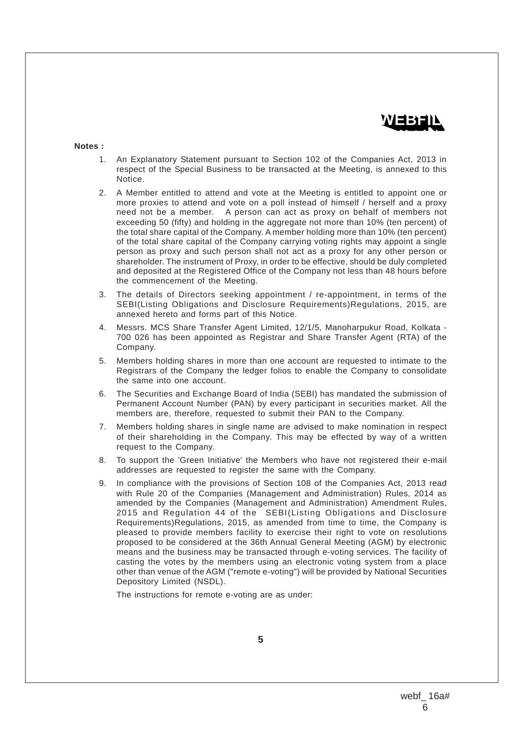

#### **Notes :**

- 1. An Explanatory Statement pursuant to Section 102 of the Companies Act, 2013 in respect of the Special Business to be transacted at the Meeting, is annexed to this Notice.
- 2. A Member entitled to attend and vote at the Meeting is entitled to appoint one or more proxies to attend and vote on a poll instead of himself / herself and a proxy need not be a member. A person can act as proxy on behalf of members not exceeding 50 (fifty) and holding in the aggregate not more than 10% (ten percent) of the total share capital of the Company. A member holding more than 10% (ten percent) of the total share capital of the Company carrying voting rights may appoint a single person as proxy and such person shall not act as a proxy for any other person or shareholder. The instrument of Proxy, in order to be effective, should be duly completed and deposited at the Registered Office of the Company not less than 48 hours before the commencement of the Meeting.
- 3. The details of Directors seeking appointment / re-appointment, in terms of the SEBI(Listing Obligations and Disclosure Requirements)Regulations, 2015, are annexed hereto and forms part of this Notice.
- 4. Messrs. MCS Share Transfer Agent Limited, 12/1/5, Manoharpukur Road, Kolkata 700 026 has been appointed as Registrar and Share Transfer Agent (RTA) of the Company.
- 5. Members holding shares in more than one account are requested to intimate to the Registrars of the Company the ledger folios to enable the Company to consolidate the same into one account.
- 6. The Securities and Exchange Board of India (SEBI) has mandated the submission of Permanent Account Number (PAN) by every participant in securities market. All the members are, therefore, requested to submit their PAN to the Company.
- 7. Members holding shares in single name are advised to make nomination in respect of their shareholding in the Company. This may be effected by way of a written request to the Company.
- 8. To support the 'Green Initiative' the Members who have not registered their e-mail addresses are requested to register the same with the Company.
- 9. In compliance with the provisions of Section 108 of the Companies Act, 2013 read with Rule 20 of the Companies (Management and Administration) Rules, 2014 as amended by the Companies (Management and Administration) Amendment Rules, 2015 and Regulation 44 of the SEBI(Listing Obligations and Disclosure Requirements)Regulations, 2015, as amended from time to time, the Company is pleased to provide members facility to exercise their right to vote on resolutions proposed to be considered at the 36th Annual General Meeting (AGM) by electronic means and the business may be transacted through e-voting services. The facility of casting the votes by the members using an electronic voting system from a place other than venue of the AGM ("remote e-voting") will be provided by National Securities Depository Limited (NSDL).

The instructions for remote e-voting are as under: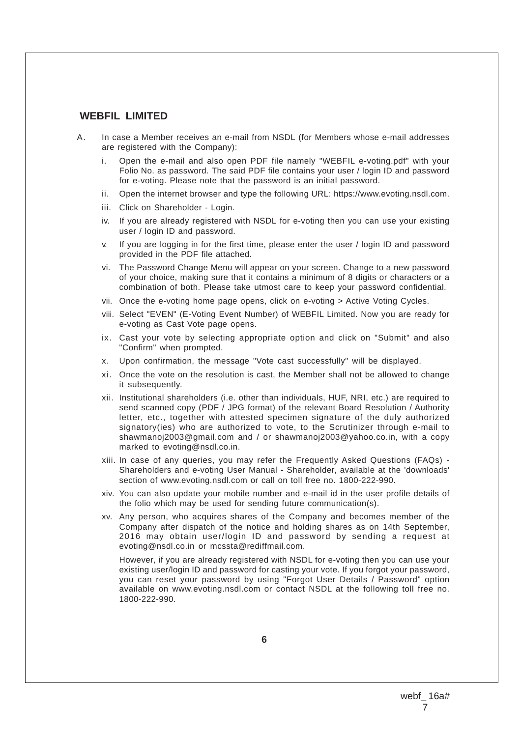- A. In case a Member receives an e-mail from NSDL (for Members whose e-mail addresses are registered with the Company):
	- i. Open the e-mail and also open PDF file namely "WEBFIL e-voting.pdf" with your Folio No. as password. The said PDF file contains your user / login ID and password for e-voting. Please note that the password is an initial password.
	- ii. Open the internet browser and type the following URL: https://www.evoting.nsdl.com.
	- iii. Click on Shareholder Login.
	- iv. If you are already registered with NSDL for e-voting then you can use your existing user / login ID and password.
	- v. If you are logging in for the first time, please enter the user / login ID and password provided in the PDF file attached.
	- vi. The Password Change Menu will appear on your screen. Change to a new password of your choice, making sure that it contains a minimum of 8 digits or characters or a combination of both. Please take utmost care to keep your password confidential.
	- vii. Once the e-voting home page opens, click on e-voting > Active Voting Cycles.
	- viii. Select "EVEN" (E-Voting Event Number) of WEBFIL Limited. Now you are ready for e-voting as Cast Vote page opens.
	- ix. Cast your vote by selecting appropriate option and click on "Submit" and also "Confirm" when prompted.
	- x. Upon confirmation, the message "Vote cast successfully" will be displayed.
	- xi. Once the vote on the resolution is cast, the Member shall not be allowed to change it subsequently.
	- xii. Institutional shareholders (i.e. other than individuals, HUF, NRI, etc.) are required to send scanned copy (PDF / JPG format) of the relevant Board Resolution / Authority letter, etc., together with attested specimen signature of the duly authorized signatory(ies) who are authorized to vote, to the Scrutinizer through e-mail to shawmanoj2003@gmail.com and / or shawmanoj2003@yahoo.co.in, with a copy marked to evoting@nsdl.co.in.
	- xiii. In case of any queries, you may refer the Frequently Asked Questions (FAQs) Shareholders and e-voting User Manual - Shareholder, available at the 'downloads' section of www.evoting.nsdl.com or call on toll free no. 1800-222-990.
	- xiv. You can also update your mobile number and e-mail id in the user profile details of the folio which may be used for sending future communication(s).
	- xv. Any person, who acquires shares of the Company and becomes member of the Company after dispatch of the notice and holding shares as on 14th September, 2016 may obtain user/login ID and password by sending a request at evoting@nsdl.co.in or mcssta@rediffmail.com.

However, if you are already registered with NSDL for e-voting then you can use your existing user/login ID and password for casting your vote. If you forgot your password, you can reset your password by using "Forgot User Details / Password" option available on www.evoting.nsdl.com or contact NSDL at the following toll free no. 1800-222-990.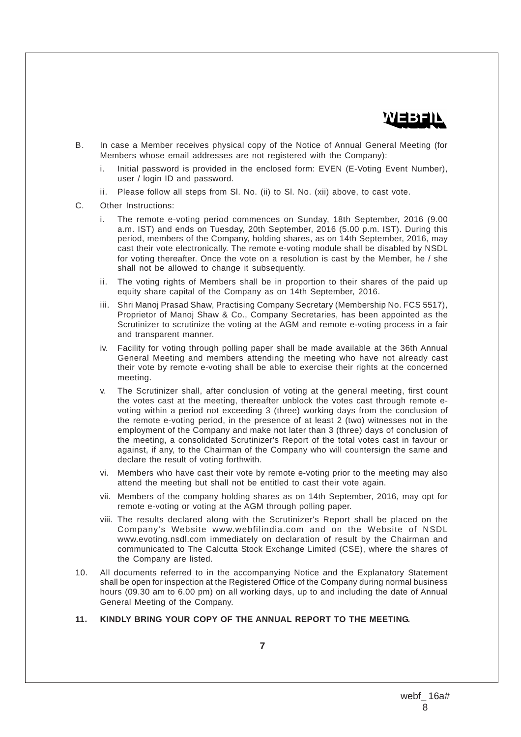

- B. In case a Member receives physical copy of the Notice of Annual General Meeting (for Members whose email addresses are not registered with the Company):
	- i. Initial password is provided in the enclosed form: EVEN (E-Voting Event Number), user / login ID and password.
	- ii. Please follow all steps from Sl. No. (ii) to Sl. No. (xii) above, to cast vote.
- C. Other Instructions:
	- i. The remote e-voting period commences on Sunday, 18th September, 2016 (9.00 a.m. IST) and ends on Tuesday, 20th September, 2016 (5.00 p.m. IST). During this period, members of the Company, holding shares, as on 14th September, 2016, may cast their vote electronically. The remote e-voting module shall be disabled by NSDL for voting thereafter. Once the vote on a resolution is cast by the Member, he / she shall not be allowed to change it subsequently.
	- ii. The voting rights of Members shall be in proportion to their shares of the paid up equity share capital of the Company as on 14th September, 2016.
	- iii. Shri Manoj Prasad Shaw, Practising Company Secretary (Membership No. FCS 5517), Proprietor of Manoj Shaw & Co., Company Secretaries, has been appointed as the Scrutinizer to scrutinize the voting at the AGM and remote e-voting process in a fair and transparent manner.
	- iv. Facility for voting through polling paper shall be made available at the 36th Annual General Meeting and members attending the meeting who have not already cast their vote by remote e-voting shall be able to exercise their rights at the concerned meeting.
	- v. The Scrutinizer shall, after conclusion of voting at the general meeting, first count the votes cast at the meeting, thereafter unblock the votes cast through remote evoting within a period not exceeding 3 (three) working days from the conclusion of the remote e-voting period, in the presence of at least 2 (two) witnesses not in the employment of the Company and make not later than 3 (three) days of conclusion of the meeting, a consolidated Scrutinizer's Report of the total votes cast in favour or against, if any, to the Chairman of the Company who will countersign the same and declare the result of voting forthwith.
	- vi. Members who have cast their vote by remote e-voting prior to the meeting may also attend the meeting but shall not be entitled to cast their vote again.
	- vii. Members of the company holding shares as on 14th September, 2016, may opt for remote e-voting or voting at the AGM through polling paper.
	- viii. The results declared along with the Scrutinizer's Report shall be placed on the Company's Website www.webfilindia.com and on the Website of NSDL www.evoting.nsdl.com immediately on declaration of result by the Chairman and communicated to The Calcutta Stock Exchange Limited (CSE), where the shares of the Company are listed.
- 10. All documents referred to in the accompanying Notice and the Explanatory Statement shall be open for inspection at the Registered Office of the Company during normal business hours (09.30 am to 6.00 pm) on all working days, up to and including the date of Annual General Meeting of the Company.
- **11. KINDLY BRING YOUR COPY OF THE ANNUAL REPORT TO THE MEETING.**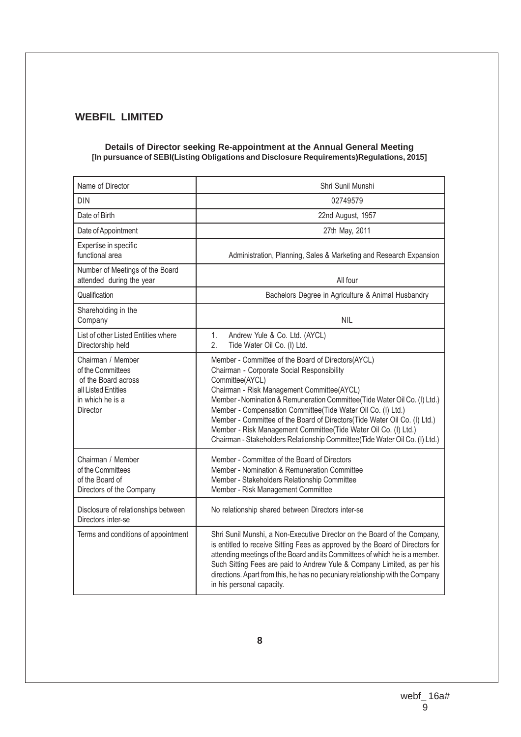#### **Details of Director seeking Re-appointment at the Annual General Meeting [In pursuance of SEBI(Listing Obligations and Disclosure Requirements)Regulations, 2015]**

| Name of Director                                                                                                     | Shri Sunil Munshi                                                                                                                                                                                                                                                                                                                                                                                                                                                                                                                             |
|----------------------------------------------------------------------------------------------------------------------|-----------------------------------------------------------------------------------------------------------------------------------------------------------------------------------------------------------------------------------------------------------------------------------------------------------------------------------------------------------------------------------------------------------------------------------------------------------------------------------------------------------------------------------------------|
| DIN                                                                                                                  | 02749579                                                                                                                                                                                                                                                                                                                                                                                                                                                                                                                                      |
| Date of Birth                                                                                                        | 22nd August, 1957                                                                                                                                                                                                                                                                                                                                                                                                                                                                                                                             |
| Date of Appointment                                                                                                  | 27th May, 2011                                                                                                                                                                                                                                                                                                                                                                                                                                                                                                                                |
| Expertise in specific<br>functional area                                                                             | Administration, Planning, Sales & Marketing and Research Expansion                                                                                                                                                                                                                                                                                                                                                                                                                                                                            |
| Number of Meetings of the Board<br>attended during the year                                                          | All four                                                                                                                                                                                                                                                                                                                                                                                                                                                                                                                                      |
| Qualification                                                                                                        | Bachelors Degree in Agriculture & Animal Husbandry                                                                                                                                                                                                                                                                                                                                                                                                                                                                                            |
| Shareholding in the<br>Company                                                                                       | <b>NIL</b>                                                                                                                                                                                                                                                                                                                                                                                                                                                                                                                                    |
| List of other Listed Entities where<br>Directorship held                                                             | 1.<br>Andrew Yule & Co. Ltd. (AYCL)<br>2.<br>Tide Water Oil Co. (I) Ltd.                                                                                                                                                                                                                                                                                                                                                                                                                                                                      |
| Chairman / Member<br>of the Committees<br>of the Board across<br>all Listed Entities<br>in which he is a<br>Director | Member - Committee of the Board of Directors(AYCL)<br>Chairman - Corporate Social Responsibility<br>Committee(AYCL)<br>Chairman - Risk Management Committee(AYCL)<br>Member - Nomination & Remuneration Committee(Tide Water Oil Co. (I) Ltd.)<br>Member - Compensation Committee(Tide Water Oil Co. (I) Ltd.)<br>Member - Committee of the Board of Directors(Tide Water Oil Co. (I) Ltd.)<br>Member - Risk Management Committee(Tide Water Oil Co. (I) Ltd.)<br>Chairman - Stakeholders Relationship Committee(Tide Water Oil Co. (I) Ltd.) |
| Chairman / Member<br>of the Committees<br>of the Board of<br>Directors of the Company                                | Member - Committee of the Board of Directors<br>Member - Nomination & Remuneration Committee<br>Member - Stakeholders Relationship Committee<br>Member - Risk Management Committee                                                                                                                                                                                                                                                                                                                                                            |
| Disclosure of relationships between<br>Directors inter-se                                                            | No relationship shared between Directors inter-se                                                                                                                                                                                                                                                                                                                                                                                                                                                                                             |
| Terms and conditions of appointment                                                                                  | Shri Sunil Munshi, a Non-Executive Director on the Board of the Company,<br>is entitled to receive Sitting Fees as approved by the Board of Directors for<br>attending meetings of the Board and its Committees of which he is a member.<br>Such Sitting Fees are paid to Andrew Yule & Company Limited, as per his<br>directions. Apart from this, he has no pecuniary relationship with the Company<br>in his personal capacity.                                                                                                            |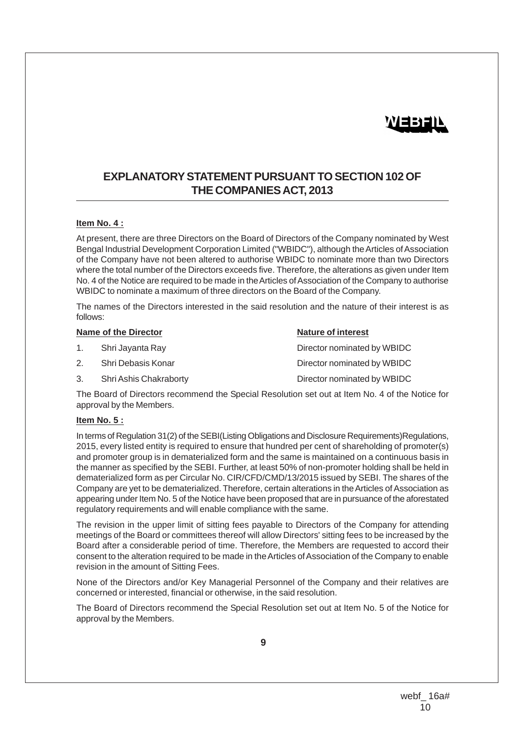

# **EXPLANATORY STATEMENT PURSUANT TO SECTION 102 OF THE COMPANIES ACT, 2013**

### **Item No. 4 :**

At present, there are three Directors on the Board of Directors of the Company nominated by West Bengal Industrial Development Corporation Limited ("WBIDC"), although the Articles of Association of the Company have not been altered to authorise WBIDC to nominate more than two Directors where the total number of the Directors exceeds five. Therefore, the alterations as given under Item No. 4 of the Notice are required to be made in the Articles of Association of the Company to authorise WBIDC to nominate a maximum of three directors on the Board of the Company.

The names of the Directors interested in the said resolution and the nature of their interest is as follows:

#### **Name of the Director Nature of interest**

1. Shri Jayanta Ray Director nominated by WBIDC 2. Shri Debasis Konar **Director nominated by WBIDC** 3. Shri Ashis Chakraborty **Director nominated by WBIDC** 

The Board of Directors recommend the Special Resolution set out at Item No. 4 of the Notice for approval by the Members.

#### **Item No. 5 :**

In terms of Regulation 31(2) of the SEBI(Listing Obligations and Disclosure Requirements)Regulations, 2015, every listed entity is required to ensure that hundred per cent of shareholding of promoter(s) and promoter group is in dematerialized form and the same is maintained on a continuous basis in the manner as specified by the SEBI. Further, at least 50% of non-promoter holding shall be held in dematerialized form as per Circular No. CIR/CFD/CMD/13/2015 issued by SEBI. The shares of the Company are yet to be dematerialized. Therefore, certain alterations in the Articles of Association as appearing under Item No. 5 of the Notice have been proposed that are in pursuance of the aforestated regulatory requirements and will enable compliance with the same.

The revision in the upper limit of sitting fees payable to Directors of the Company for attending meetings of the Board or committees thereof will allow Directors' sitting fees to be increased by the Board after a considerable period of time. Therefore, the Members are requested to accord their consent to the alteration required to be made in the Articles of Association of the Company to enable revision in the amount of Sitting Fees.

None of the Directors and/or Key Managerial Personnel of the Company and their relatives are concerned or interested, financial or otherwise, in the said resolution.

The Board of Directors recommend the Special Resolution set out at Item No. 5 of the Notice for approval by the Members.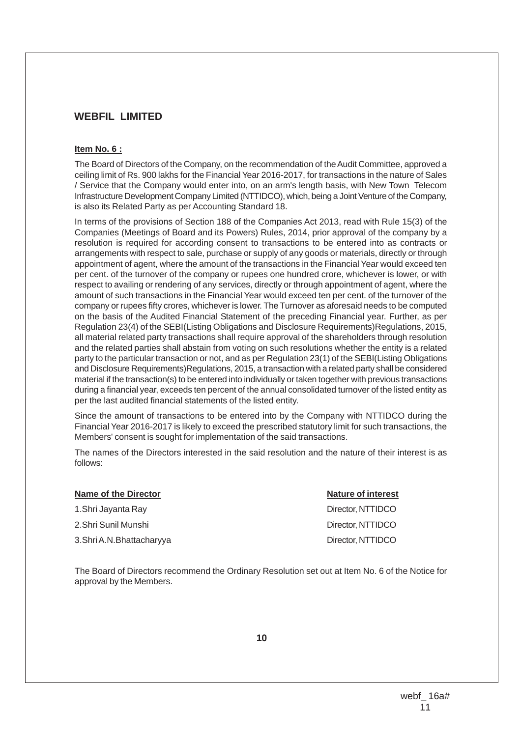### **Item No. 6 :**

The Board of Directors of the Company, on the recommendation of the Audit Committee, approved a ceiling limit of Rs. 900 lakhs for the Financial Year 2016-2017, for transactions in the nature of Sales / Service that the Company would enter into, on an arm's length basis, with New Town Telecom Infrastructure Development Company Limited (NTTIDCO), which, being a Joint Venture of the Company, is also its Related Party as per Accounting Standard 18.

In terms of the provisions of Section 188 of the Companies Act 2013, read with Rule 15(3) of the Companies (Meetings of Board and its Powers) Rules, 2014, prior approval of the company by a resolution is required for according consent to transactions to be entered into as contracts or arrangements with respect to sale, purchase or supply of any goods or materials, directly or through appointment of agent, where the amount of the transactions in the Financial Year would exceed ten per cent. of the turnover of the company or rupees one hundred crore, whichever is lower, or with respect to availing or rendering of any services, directly or through appointment of agent, where the amount of such transactions in the Financial Year would exceed ten per cent. of the turnover of the company or rupees fifty crores, whichever is lower. The Turnover as aforesaid needs to be computed on the basis of the Audited Financial Statement of the preceding Financial year. Further, as per Regulation 23(4) of the SEBI(Listing Obligations and Disclosure Requirements)Regulations, 2015, all material related party transactions shall require approval of the shareholders through resolution and the related parties shall abstain from voting on such resolutions whether the entity is a related party to the particular transaction or not, and as per Regulation 23(1) of the SEBI(Listing Obligations and Disclosure Requirements)Regulations, 2015, a transaction with a related party shall be considered material if the transaction(s) to be entered into individually or taken together with previous transactions during a financial year, exceeds ten percent of the annual consolidated turnover of the listed entity as per the last audited financial statements of the listed entity.

Since the amount of transactions to be entered into by the Company with NTTIDCO during the Financial Year 2016-2017 is likely to exceed the prescribed statutory limit for such transactions, the Members' consent is sought for implementation of the said transactions.

The names of the Directors interested in the said resolution and the nature of their interest is as follows:

| Name of the Director       | <b>Nature of interest</b> |
|----------------------------|---------------------------|
| 1. Shri Jayanta Ray        | Director, NTTIDCO         |
| 2. Shri Sunil Munshi       | Director, NTTIDCO         |
| 3. Shri A.N. Bhattacharyya | Director, NTTIDCO         |

The Board of Directors recommend the Ordinary Resolution set out at Item No. 6 of the Notice for approval by the Members.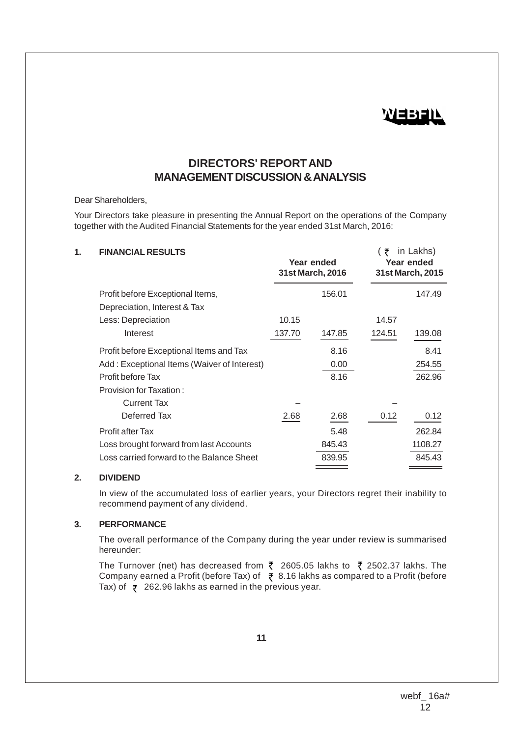W332

## **DIRECTORS' REPORT AND MANAGEMENT DISCUSSION & ANALYSIS**

#### Dear Shareholders,

Your Directors take pleasure in presenting the Annual Report on the operations of the Company together with the Audited Financial Statements for the year ended 31st March, 2016:

| 1. | <b>FINANCIAL RESULTS</b>                    |        | Year ended<br>31st March, 2016 | in Lakhs)<br>₹<br>Year ended<br>31st March, 2015 |         |  |
|----|---------------------------------------------|--------|--------------------------------|--------------------------------------------------|---------|--|
|    | Profit before Exceptional Items,            |        | 156.01                         |                                                  | 147.49  |  |
|    | Depreciation, Interest & Tax                |        |                                |                                                  |         |  |
|    | Less: Depreciation                          | 10.15  |                                | 14.57                                            |         |  |
|    | Interest                                    | 137.70 | 147.85                         | 124.51                                           | 139.08  |  |
|    | Profit before Exceptional Items and Tax     |        | 8.16                           |                                                  | 8.41    |  |
|    | Add: Exceptional Items (Waiver of Interest) |        | 0.00                           |                                                  | 254.55  |  |
|    | Profit before Tax                           |        | 8.16                           |                                                  | 262.96  |  |
|    | Provision for Taxation:                     |        |                                |                                                  |         |  |
|    | <b>Current Tax</b>                          |        |                                |                                                  |         |  |
|    | Deferred Tax                                | 2.68   | 2.68                           | 0.12                                             | 0.12    |  |
|    | <b>Profit after Tax</b>                     |        | 5.48                           |                                                  | 262.84  |  |
|    | Loss brought forward from last Accounts     |        | 845.43                         |                                                  | 1108.27 |  |
|    | Loss carried forward to the Balance Sheet   |        | 839.95                         |                                                  | 845.43  |  |

### **2. DIVIDEND**

In view of the accumulated loss of earlier years, your Directors regret their inability to recommend payment of any dividend.

### **3. PERFORMANCE**

The overall performance of the Company during the year under review is summarised hereunder:

The Turnover (net) has decreased from  $\bar{\zeta}$  2605.05 lakhs to  $\bar{\zeta}$  2502.37 lakhs. The Company earned a Profit (before Tax) of  $\bar{\tau}$  8.16 lakhs as compared to a Profit (before Tax) of  $\bar{z}$  262.96 lakhs as earned in the previous year.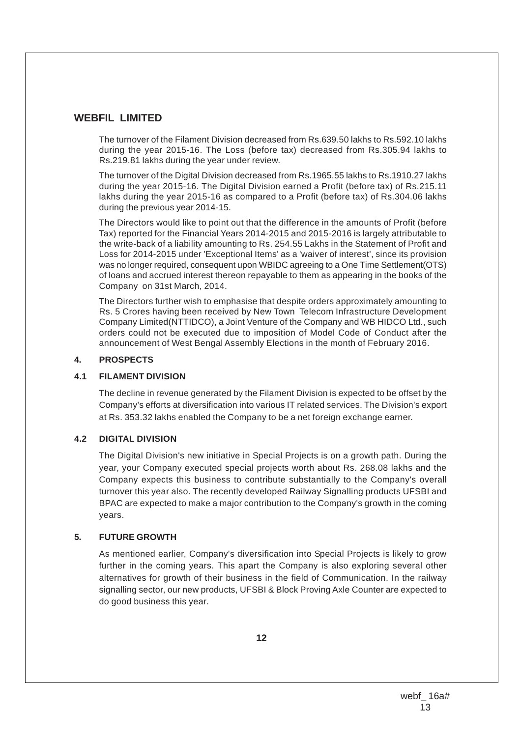The turnover of the Filament Division decreased from Rs.639.50 lakhs to Rs.592.10 lakhs during the year 2015-16. The Loss (before tax) decreased from Rs.305.94 lakhs to Rs.219.81 lakhs during the year under review.

The turnover of the Digital Division decreased from Rs.1965.55 lakhs to Rs.1910.27 lakhs during the year 2015-16. The Digital Division earned a Profit (before tax) of Rs.215.11 lakhs during the year 2015-16 as compared to a Profit (before tax) of Rs.304.06 lakhs during the previous year 2014-15.

The Directors would like to point out that the difference in the amounts of Profit (before Tax) reported for the Financial Years 2014-2015 and 2015-2016 is largely attributable to the write-back of a liability amounting to Rs. 254.55 Lakhs in the Statement of Profit and Loss for 2014-2015 under 'Exceptional Items' as a 'waiver of interest', since its provision was no longer required, consequent upon WBIDC agreeing to a One Time Settlement(OTS) of loans and accrued interest thereon repayable to them as appearing in the books of the Company on 31st March, 2014.

The Directors further wish to emphasise that despite orders approximately amounting to Rs. 5 Crores having been received by New Town Telecom Infrastructure Development Company Limited(NTTIDCO), a Joint Venture of the Company and WB HIDCO Ltd., such orders could not be executed due to imposition of Model Code of Conduct after the announcement of West Bengal Assembly Elections in the month of February 2016.

### **4. PROSPECTS**

### **4.1 FILAMENT DIVISION**

The decline in revenue generated by the Filament Division is expected to be offset by the Company's efforts at diversification into various IT related services. The Division's export at Rs. 353.32 lakhs enabled the Company to be a net foreign exchange earner.

### **4.2 DIGITAL DIVISION**

The Digital Division's new initiative in Special Projects is on a growth path. During the year, your Company executed special projects worth about Rs. 268.08 lakhs and the Company expects this business to contribute substantially to the Company's overall turnover this year also. The recently developed Railway Signalling products UFSBI and BPAC are expected to make a major contribution to the Company's growth in the coming years.

### **5. FUTURE GROWTH**

As mentioned earlier, Company's diversification into Special Projects is likely to grow further in the coming years. This apart the Company is also exploring several other alternatives for growth of their business in the field of Communication. In the railway signalling sector, our new products, UFSBI & Block Proving Axle Counter are expected to do good business this year.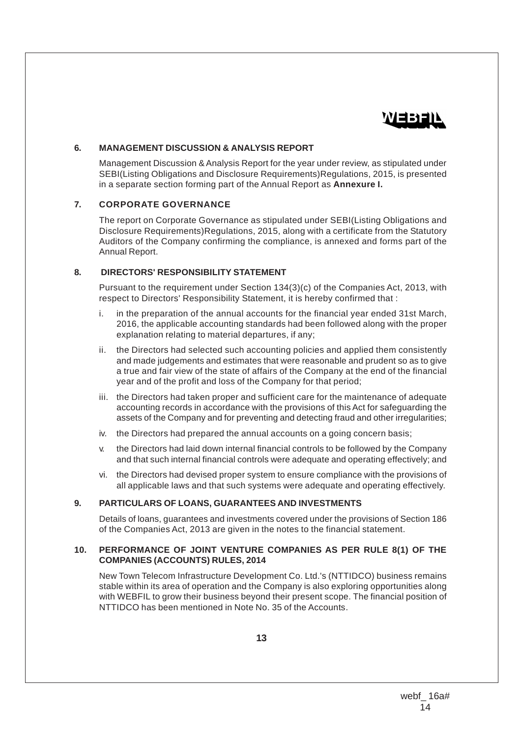

### **6. MANAGEMENT DISCUSSION & ANALYSIS REPORT**

Management Discussion & Analysis Report for the year under review, as stipulated under SEBI(Listing Obligations and Disclosure Requirements)Regulations, 2015, is presented in a separate section forming part of the Annual Report as **Annexure I.**

### **7. CORPORATE GOVERNANCE**

The report on Corporate Governance as stipulated under SEBI(Listing Obligations and Disclosure Requirements)Regulations, 2015, along with a certificate from the Statutory Auditors of the Company confirming the compliance, is annexed and forms part of the Annual Report.

### **8. DIRECTORS' RESPONSIBILITY STATEMENT**

Pursuant to the requirement under Section 134(3)(c) of the Companies Act, 2013, with respect to Directors' Responsibility Statement, it is hereby confirmed that :

- i. in the preparation of the annual accounts for the financial year ended 31st March, 2016, the applicable accounting standards had been followed along with the proper explanation relating to material departures, if any;
- ii. the Directors had selected such accounting policies and applied them consistently and made judgements and estimates that were reasonable and prudent so as to give a true and fair view of the state of affairs of the Company at the end of the financial year and of the profit and loss of the Company for that period;
- iii. the Directors had taken proper and sufficient care for the maintenance of adequate accounting records in accordance with the provisions of this Act for safeguarding the assets of the Company and for preventing and detecting fraud and other irregularities;
- iv. the Directors had prepared the annual accounts on a going concern basis;
- v. the Directors had laid down internal financial controls to be followed by the Company and that such internal financial controls were adequate and operating effectively; and
- vi. the Directors had devised proper system to ensure compliance with the provisions of all applicable laws and that such systems were adequate and operating effectively.

### **9. PARTICULARS OF LOANS, GUARANTEES AND INVESTMENTS**

Details of loans, guarantees and investments covered under the provisions of Section 186 of the Companies Act, 2013 are given in the notes to the financial statement.

#### **10. PERFORMANCE OF JOINT VENTURE COMPANIES AS PER RULE 8(1) OF THE COMPANIES (ACCOUNTS) RULES, 2014**

New Town Telecom Infrastructure Development Co. Ltd.'s (NTTIDCO) business remains stable within its area of operation and the Company is also exploring opportunities along with WEBFIL to grow their business beyond their present scope. The financial position of NTTIDCO has been mentioned in Note No. 35 of the Accounts.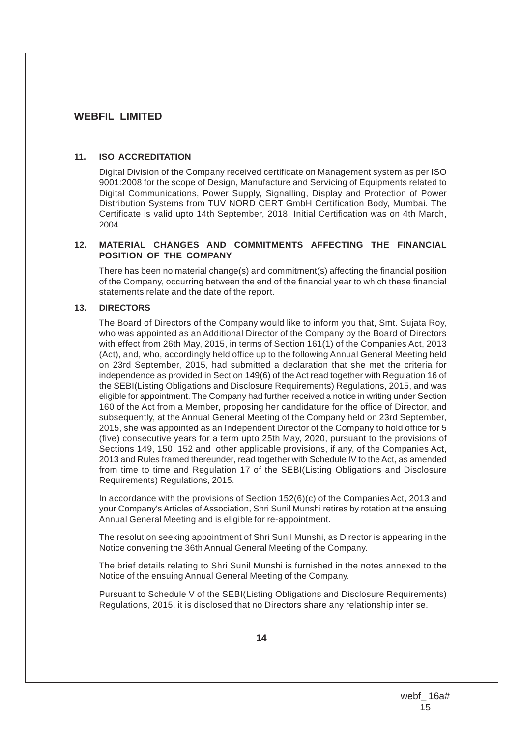### **11. ISO ACCREDITATION**

Digital Division of the Company received certificate on Management system as per ISO 9001:2008 for the scope of Design, Manufacture and Servicing of Equipments related to Digital Communications, Power Supply, Signalling, Display and Protection of Power Distribution Systems from TUV NORD CERT GmbH Certification Body, Mumbai. The Certificate is valid upto 14th September, 2018. Initial Certification was on 4th March, 2004.

### **12. MATERIAL CHANGES AND COMMITMENTS AFFECTING THE FINANCIAL POSITION OF THE COMPANY**

There has been no material change(s) and commitment(s) affecting the financial position of the Company, occurring between the end of the financial year to which these financial statements relate and the date of the report.

### **13. DIRECTORS**

The Board of Directors of the Company would like to inform you that, Smt. Sujata Roy, who was appointed as an Additional Director of the Company by the Board of Directors with effect from 26th May, 2015, in terms of Section 161(1) of the Companies Act, 2013 (Act), and, who, accordingly held office up to the following Annual General Meeting held on 23rd September, 2015, had submitted a declaration that she met the criteria for independence as provided in Section 149(6) of the Act read together with Regulation 16 of the SEBI(Listing Obligations and Disclosure Requirements) Regulations, 2015, and was eligible for appointment. The Company had further received a notice in writing under Section 160 of the Act from a Member, proposing her candidature for the office of Director, and subsequently, at the Annual General Meeting of the Company held on 23rd September, 2015, she was appointed as an Independent Director of the Company to hold office for 5 (five) consecutive years for a term upto 25th May, 2020, pursuant to the provisions of Sections 149, 150, 152 and other applicable provisions, if any, of the Companies Act, 2013 and Rules framed thereunder, read together with Schedule IV to the Act, as amended from time to time and Regulation 17 of the SEBI(Listing Obligations and Disclosure Requirements) Regulations, 2015.

In accordance with the provisions of Section 152(6)(c) of the Companies Act, 2013 and your Company's Articles of Association, Shri Sunil Munshi retires by rotation at the ensuing Annual General Meeting and is eligible for re-appointment.

The resolution seeking appointment of Shri Sunil Munshi, as Director is appearing in the Notice convening the 36th Annual General Meeting of the Company.

The brief details relating to Shri Sunil Munshi is furnished in the notes annexed to the Notice of the ensuing Annual General Meeting of the Company.

Pursuant to Schedule V of the SEBI(Listing Obligations and Disclosure Requirements) Regulations, 2015, it is disclosed that no Directors share any relationship inter se.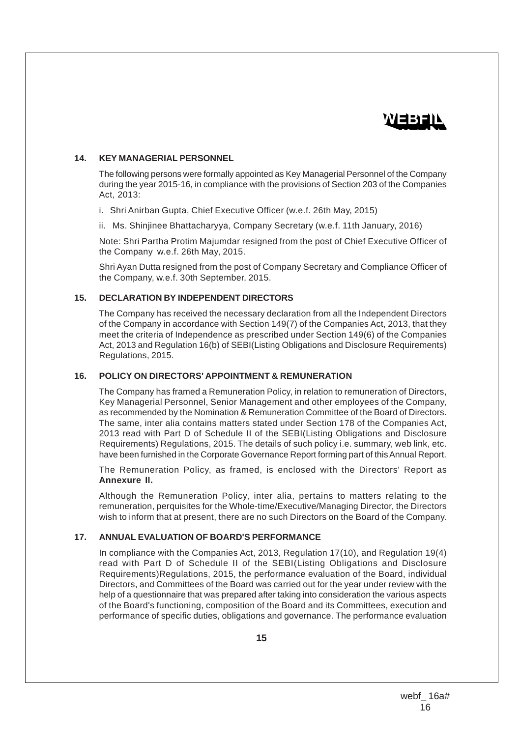

### **14. KEY MANAGERIAL PERSONNEL**

The following persons were formally appointed as Key Managerial Personnel of the Company during the year 2015-16, in compliance with the provisions of Section 203 of the Companies Act, 2013:

i. Shri Anirban Gupta, Chief Executive Officer (w.e.f. 26th May, 2015)

ii. Ms. Shinjinee Bhattacharyya, Company Secretary (w.e.f. 11th January, 2016)

Note: Shri Partha Protim Majumdar resigned from the post of Chief Executive Officer of the Company w.e.f. 26th May, 2015.

Shri Ayan Dutta resigned from the post of Company Secretary and Compliance Officer of the Company, w.e.f. 30th September, 2015.

### **15. DECLARATION BY INDEPENDENT DIRECTORS**

The Company has received the necessary declaration from all the Independent Directors of the Company in accordance with Section 149(7) of the Companies Act, 2013, that they meet the criteria of Independence as prescribed under Section 149(6) of the Companies Act, 2013 and Regulation 16(b) of SEBI(Listing Obligations and Disclosure Requirements) Regulations, 2015.

#### **16. POLICY ON DIRECTORS' APPOINTMENT & REMUNERATION**

The Company has framed a Remuneration Policy, in relation to remuneration of Directors, Key Managerial Personnel, Senior Management and other employees of the Company, as recommended by the Nomination & Remuneration Committee of the Board of Directors. The same, inter alia contains matters stated under Section 178 of the Companies Act, 2013 read with Part D of Schedule II of the SEBI(Listing Obligations and Disclosure Requirements) Regulations, 2015. The details of such policy i.e. summary, web link, etc. have been furnished in the Corporate Governance Report forming part of this Annual Report.

The Remuneration Policy, as framed, is enclosed with the Directors' Report as **Annexure II.**

Although the Remuneration Policy, inter alia, pertains to matters relating to the remuneration, perquisites for the Whole-time/Executive/Managing Director, the Directors wish to inform that at present, there are no such Directors on the Board of the Company.

### **17. ANNUAL EVALUATION OF BOARD'S PERFORMANCE**

In compliance with the Companies Act, 2013, Regulation 17(10), and Regulation 19(4) read with Part D of Schedule II of the SEBI(Listing Obligations and Disclosure Requirements)Regulations, 2015, the performance evaluation of the Board, individual Directors, and Committees of the Board was carried out for the year under review with the help of a questionnaire that was prepared after taking into consideration the various aspects of the Board's functioning, composition of the Board and its Committees, execution and performance of specific duties, obligations and governance. The performance evaluation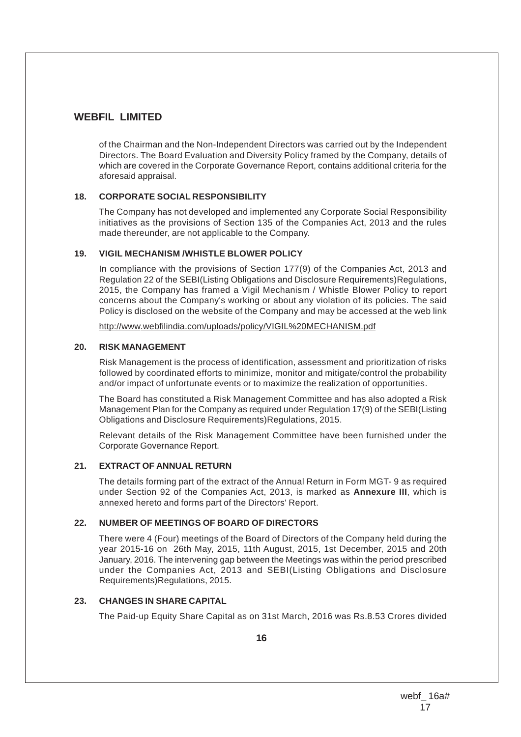of the Chairman and the Non-Independent Directors was carried out by the Independent Directors. The Board Evaluation and Diversity Policy framed by the Company, details of which are covered in the Corporate Governance Report, contains additional criteria for the aforesaid appraisal.

### **18. CORPORATE SOCIAL RESPONSIBILITY**

The Company has not developed and implemented any Corporate Social Responsibility initiatives as the provisions of Section 135 of the Companies Act, 2013 and the rules made thereunder, are not applicable to the Company.

### **19. VIGIL MECHANISM /WHISTLE BLOWER POLICY**

In compliance with the provisions of Section 177(9) of the Companies Act, 2013 and Regulation 22 of the SEBI(Listing Obligations and Disclosure Requirements)Regulations, 2015, the Company has framed a Vigil Mechanism / Whistle Blower Policy to report concerns about the Company's working or about any violation of its policies. The said Policy is disclosed on the website of the Company and may be accessed at the web link

http://www.webfilindia.com/uploads/policy/VIGIL%20MECHANISM.pdf

### **20. RISK MANAGEMENT**

Risk Management is the process of identification, assessment and prioritization of risks followed by coordinated efforts to minimize, monitor and mitigate/control the probability and/or impact of unfortunate events or to maximize the realization of opportunities.

The Board has constituted a Risk Management Committee and has also adopted a Risk Management Plan for the Company as required under Regulation 17(9) of the SEBI(Listing Obligations and Disclosure Requirements)Regulations, 2015.

Relevant details of the Risk Management Committee have been furnished under the Corporate Governance Report.

### **21. EXTRACT OF ANNUAL RETURN**

The details forming part of the extract of the Annual Return in Form MGT- 9 as required under Section 92 of the Companies Act, 2013, is marked as **Annexure III**, which is annexed hereto and forms part of the Directors' Report.

### **22. NUMBER OF MEETINGS OF BOARD OF DIRECTORS**

There were 4 (Four) meetings of the Board of Directors of the Company held during the year 2015-16 on 26th May, 2015, 11th August, 2015, 1st December, 2015 and 20th January, 2016. The intervening gap between the Meetings was within the period prescribed under the Companies Act, 2013 and SEBI(Listing Obligations and Disclosure Requirements)Regulations, 2015.

### **23. CHANGES IN SHARE CAPITAL**

The Paid-up Equity Share Capital as on 31st March, 2016 was Rs.8.53 Crores divided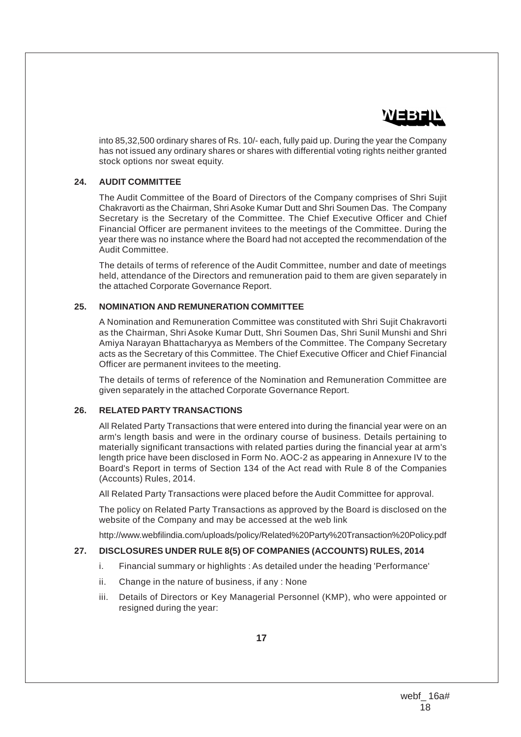

into 85,32,500 ordinary shares of Rs. 10/- each, fully paid up. During the year the Company has not issued any ordinary shares or shares with differential voting rights neither granted stock options nor sweat equity.

### **24. AUDIT COMMITTEE**

The Audit Committee of the Board of Directors of the Company comprises of Shri Sujit Chakravorti as the Chairman, Shri Asoke Kumar Dutt and Shri Soumen Das. The Company Secretary is the Secretary of the Committee. The Chief Executive Officer and Chief Financial Officer are permanent invitees to the meetings of the Committee. During the year there was no instance where the Board had not accepted the recommendation of the Audit Committee.

The details of terms of reference of the Audit Committee, number and date of meetings held, attendance of the Directors and remuneration paid to them are given separately in the attached Corporate Governance Report.

#### **25. NOMINATION AND REMUNERATION COMMITTEE**

A Nomination and Remuneration Committee was constituted with Shri Sujit Chakravorti as the Chairman, Shri Asoke Kumar Dutt, Shri Soumen Das, Shri Sunil Munshi and Shri Amiya Narayan Bhattacharyya as Members of the Committee. The Company Secretary acts as the Secretary of this Committee. The Chief Executive Officer and Chief Financial Officer are permanent invitees to the meeting.

The details of terms of reference of the Nomination and Remuneration Committee are given separately in the attached Corporate Governance Report.

### **26. RELATED PARTY TRANSACTIONS**

All Related Party Transactions that were entered into during the financial year were on an arm's length basis and were in the ordinary course of business. Details pertaining to materially significant transactions with related parties during the financial year at arm's length price have been disclosed in Form No. AOC-2 as appearing in Annexure IV to the Board's Report in terms of Section 134 of the Act read with Rule 8 of the Companies (Accounts) Rules, 2014.

All Related Party Transactions were placed before the Audit Committee for approval.

The policy on Related Party Transactions as approved by the Board is disclosed on the website of the Company and may be accessed at the web link

http://www.webfilindia.com/uploads/policy/Related%20Party%20Transaction%20Policy.pdf

### **27. DISCLOSURES UNDER RULE 8(5) OF COMPANIES (ACCOUNTS) RULES, 2014**

- i. Financial summary or highlights : As detailed under the heading 'Performance'
- ii. Change in the nature of business, if any : None
- iii. Details of Directors or Key Managerial Personnel (KMP), who were appointed or resigned during the year: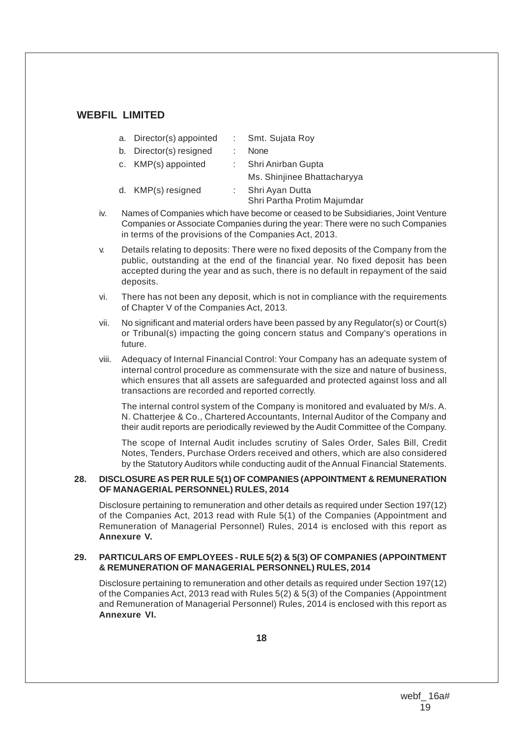|  | a. | Director(s) appointed |  | Smt. Sujata Roy |
|--|----|-----------------------|--|-----------------|
|--|----|-----------------------|--|-----------------|

- b. Director(s) resigned : None
- c. KMP(s) appointed : Shri Anirban Gupta Ms. Shinjinee Bhattacharyya
- d. KMP(s) resigned : Shri Ayan Dutta Shri Partha Protim Majumdar
- iv. Names of Companies which have become or ceased to be Subsidiaries, Joint Venture Companies or Associate Companies during the year: There were no such Companies in terms of the provisions of the Companies Act, 2013.
- v. Details relating to deposits: There were no fixed deposits of the Company from the public, outstanding at the end of the financial year. No fixed deposit has been accepted during the year and as such, there is no default in repayment of the said deposits.
- vi. There has not been any deposit, which is not in compliance with the requirements of Chapter V of the Companies Act, 2013.
- vii. No significant and material orders have been passed by any Regulator(s) or Court(s) or Tribunal(s) impacting the going concern status and Company's operations in future.
- viii. Adequacy of Internal Financial Control: Your Company has an adequate system of internal control procedure as commensurate with the size and nature of business, which ensures that all assets are safeguarded and protected against loss and all transactions are recorded and reported correctly.

The internal control system of the Company is monitored and evaluated by M/s. A. N. Chatterjee & Co., Chartered Accountants, Internal Auditor of the Company and their audit reports are periodically reviewed by the Audit Committee of the Company.

The scope of Internal Audit includes scrutiny of Sales Order, Sales Bill, Credit Notes, Tenders, Purchase Orders received and others, which are also considered by the Statutory Auditors while conducting audit of the Annual Financial Statements.

#### **28. DISCLOSURE AS PER RULE 5(1) OF COMPANIES (APPOINTMENT & REMUNERATION OF MANAGERIAL PERSONNEL) RULES, 2014**

Disclosure pertaining to remuneration and other details as required under Section 197(12) of the Companies Act, 2013 read with Rule 5(1) of the Companies (Appointment and Remuneration of Managerial Personnel) Rules, 2014 is enclosed with this report as **Annexure V.**

#### **29. PARTICULARS OF EMPLOYEES - RULE 5(2) & 5(3) OF COMPANIES (APPOINTMENT & REMUNERATION OF MANAGERIAL PERSONNEL) RULES, 2014**

Disclosure pertaining to remuneration and other details as required under Section 197(12) of the Companies Act, 2013 read with Rules 5(2) & 5(3) of the Companies (Appointment and Remuneration of Managerial Personnel) Rules, 2014 is enclosed with this report as **Annexure VI.**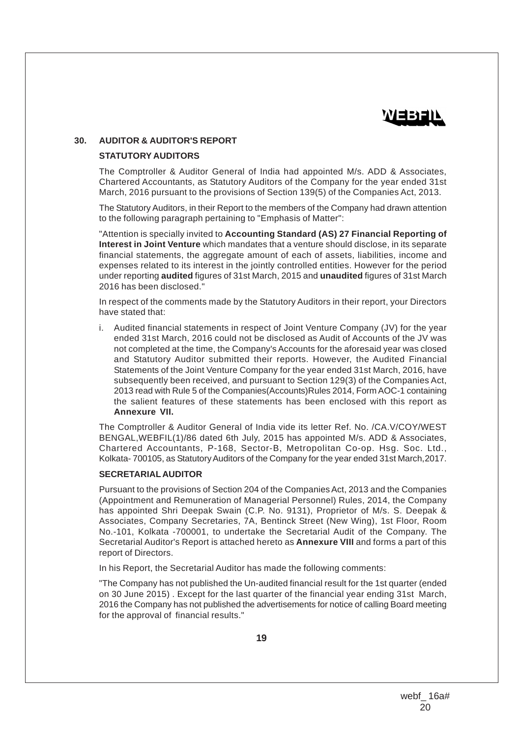

### **30. AUDITOR & AUDITOR'S REPORT STATUTORY AUDITORS**

The Comptroller & Auditor General of India had appointed M/s. ADD & Associates, Chartered Accountants, as Statutory Auditors of the Company for the year ended 31st March, 2016 pursuant to the provisions of Section 139(5) of the Companies Act, 2013.

The Statutory Auditors, in their Report to the members of the Company had drawn attention to the following paragraph pertaining to "Emphasis of Matter":

"Attention is specially invited to **Accounting Standard (AS) 27 Financial Reporting of Interest in Joint Venture** which mandates that a venture should disclose, in its separate financial statements, the aggregate amount of each of assets, liabilities, income and expenses related to its interest in the jointly controlled entities. However for the period under reporting **audited** figures of 31st March, 2015 and **unaudited** figures of 31st March 2016 has been disclosed."

In respect of the comments made by the Statutory Auditors in their report, your Directors have stated that:

i. Audited financial statements in respect of Joint Venture Company (JV) for the year ended 31st March, 2016 could not be disclosed as Audit of Accounts of the JV was not completed at the time, the Company's Accounts for the aforesaid year was closed and Statutory Auditor submitted their reports. However, the Audited Financial Statements of the Joint Venture Company for the year ended 31st March, 2016, have subsequently been received, and pursuant to Section 129(3) of the Companies Act, 2013 read with Rule 5 of the Companies(Accounts)Rules 2014, Form AOC-1 containing the salient features of these statements has been enclosed with this report as **Annexure VII.**

The Comptroller & Auditor General of India vide its letter Ref. No. /CA.V/COY/WEST BENGAL,WEBFIL(1)/86 dated 6th July, 2015 has appointed M/s. ADD & Associates, Chartered Accountants, P-168, Sector-B, Metropolitan Co-op. Hsg. Soc. Ltd., Kolkata- 700105, as Statutory Auditors of the Company for the year ended 31st March,2017.

#### **SECRETARIALAUDITOR**

Pursuant to the provisions of Section 204 of the Companies Act, 2013 and the Companies (Appointment and Remuneration of Managerial Personnel) Rules, 2014, the Company has appointed Shri Deepak Swain (C.P. No. 9131), Proprietor of M/s. S. Deepak & Associates, Company Secretaries, 7A, Bentinck Street (New Wing), 1st Floor, Room No.-101, Kolkata -700001, to undertake the Secretarial Audit of the Company. The Secretarial Auditor's Report is attached hereto as **Annexure VIII** and forms a part of this report of Directors.

In his Report, the Secretarial Auditor has made the following comments:

"The Company has not published the Un-audited financial result for the 1st quarter (ended on 30 June 2015) . Except for the last quarter of the financial year ending 31st March, 2016 the Company has not published the advertisements for notice of calling Board meeting for the approval of financial results."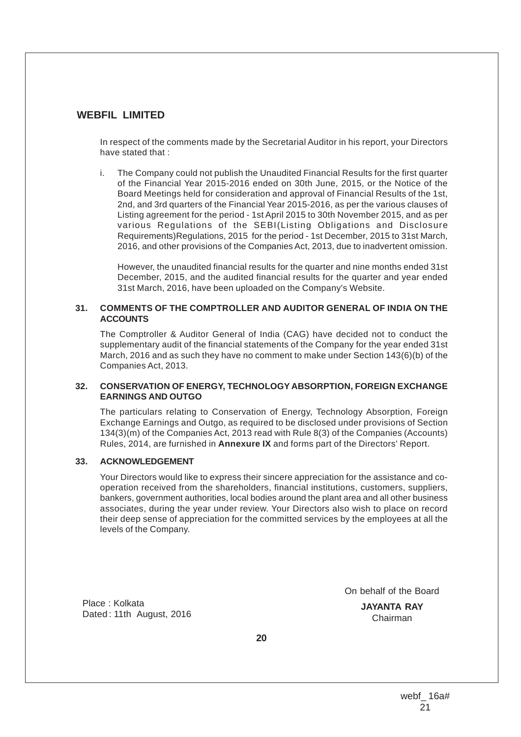In respect of the comments made by the Secretarial Auditor in his report, your Directors have stated that :

i. The Company could not publish the Unaudited Financial Results for the first quarter of the Financial Year 2015-2016 ended on 30th June, 2015, or the Notice of the Board Meetings held for consideration and approval of Financial Results of the 1st, 2nd, and 3rd quarters of the Financial Year 2015-2016, as per the various clauses of Listing agreement for the period - 1st April 2015 to 30th November 2015, and as per various Regulations of the SEBI(Listing Obligations and Disclosure Requirements)Regulations, 2015 for the period - 1st December, 2015 to 31st March, 2016, and other provisions of the Companies Act, 2013, due to inadvertent omission.

However, the unaudited financial results for the quarter and nine months ended 31st December, 2015, and the audited financial results for the quarter and year ended 31st March, 2016, have been uploaded on the Company's Website.

### **31. COMMENTS OF THE COMPTROLLER AND AUDITOR GENERAL OF INDIA ON THE ACCOUNTS**

The Comptroller & Auditor General of India (CAG) have decided not to conduct the supplementary audit of the financial statements of the Company for the year ended 31st March, 2016 and as such they have no comment to make under Section 143(6)(b) of the Companies Act, 2013.

### **32. CONSERVATION OF ENERGY, TECHNOLOGY ABSORPTION, FOREIGN EXCHANGE EARNINGS AND OUTGO**

The particulars relating to Conservation of Energy, Technology Absorption, Foreign Exchange Earnings and Outgo, as required to be disclosed under provisions of Section 134(3)(m) of the Companies Act, 2013 read with Rule 8(3) of the Companies (Accounts) Rules, 2014, are furnished in **Annexure IX** and forms part of the Directors' Report.

### **33. ACKNOWLEDGEMENT**

Your Directors would like to express their sincere appreciation for the assistance and cooperation received from the shareholders, financial institutions, customers, suppliers, bankers, government authorities, local bodies around the plant area and all other business associates, during the year under review. Your Directors also wish to place on record their deep sense of appreciation for the committed services by the employees at all the levels of the Company.

Place : Kolkata Dated: 11th August, 2016 On behalf of the Board

**JAYANTA RAY** Chairman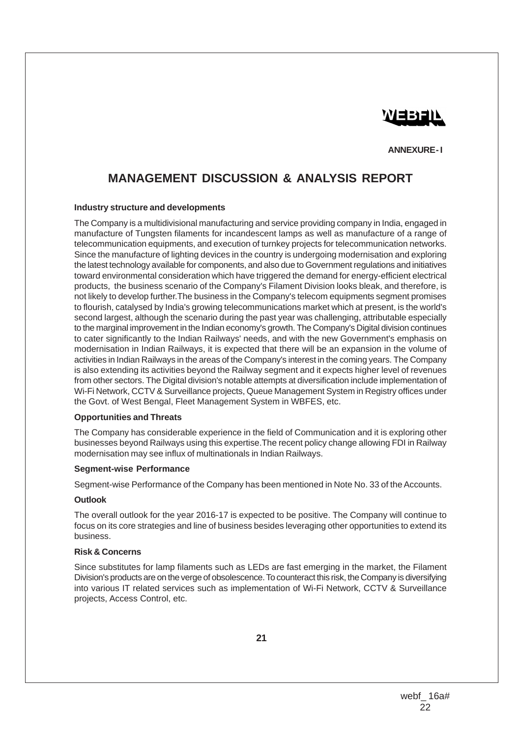

### **ANNEXURE- I**

# **MANAGEMENT DISCUSSION & ANALYSIS REPORT**

#### **Industry structure and developments**

The Company is a multidivisional manufacturing and service providing company in India, engaged in manufacture of Tungsten filaments for incandescent lamps as well as manufacture of a range of telecommunication equipments, and execution of turnkey projects for telecommunication networks. Since the manufacture of lighting devices in the country is undergoing modernisation and exploring the latest technology available for components, and also due to Government regulations and initiatives toward environmental consideration which have triggered the demand for energy-efficient electrical products, the business scenario of the Company's Filament Division looks bleak, and therefore, is not likely to develop further.The business in the Company's telecom equipments segment promises to flourish, catalysed by India's growing telecommunications market which at present, is the world's second largest, although the scenario during the past year was challenging, attributable especially to the marginal improvement in the Indian economy's growth. The Company's Digital division continues to cater significantly to the Indian Railways' needs, and with the new Government's emphasis on modernisation in Indian Railways, it is expected that there will be an expansion in the volume of activities in Indian Railways in the areas of the Company's interest in the coming years. The Company is also extending its activities beyond the Railway segment and it expects higher level of revenues from other sectors. The Digital division's notable attempts at diversification include implementation of Wi-Fi Network, CCTV & Surveillance projects, Queue Management System in Registry offices under the Govt. of West Bengal, Fleet Management System in WBFES, etc.

#### **Opportunities and Threats**

The Company has considerable experience in the field of Communication and it is exploring other businesses beyond Railways using this expertise.The recent policy change allowing FDI in Railway modernisation may see influx of multinationals in Indian Railways.

#### **Segment-wise Performance**

Segment-wise Performance of the Company has been mentioned in Note No. 33 of the Accounts.

#### **Outlook**

The overall outlook for the year 2016-17 is expected to be positive. The Company will continue to focus on its core strategies and line of business besides leveraging other opportunities to extend its business.

### **Risk & Concerns**

Since substitutes for lamp filaments such as LEDs are fast emerging in the market, the Filament Division's products are on the verge of obsolescence. To counteract this risk, the Company is diversifying into various IT related services such as implementation of Wi-Fi Network, CCTV & Surveillance projects, Access Control, etc.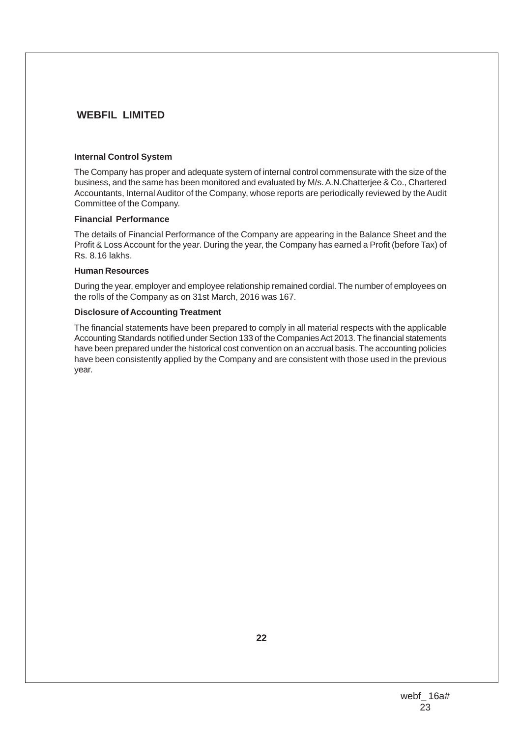### **Internal Control System**

The Company has proper and adequate system of internal control commensurate with the size of the business, and the same has been monitored and evaluated by M/s. A.N.Chatterjee & Co., Chartered Accountants, Internal Auditor of the Company, whose reports are periodically reviewed by the Audit Committee of the Company.

### **Financial Performance**

The details of Financial Performance of the Company are appearing in the Balance Sheet and the Profit & Loss Account for the year. During the year, the Company has earned a Profit (before Tax) of Rs. 8.16 lakhs.

### **Human Resources**

During the year, employer and employee relationship remained cordial. The number of employees on the rolls of the Company as on 31st March, 2016 was 167.

### **Disclosure of Accounting Treatment**

The financial statements have been prepared to comply in all material respects with the applicable Accounting Standards notified under Section 133 of the Companies Act 2013. The financial statements have been prepared under the historical cost convention on an accrual basis. The accounting policies have been consistently applied by the Company and are consistent with those used in the previous year.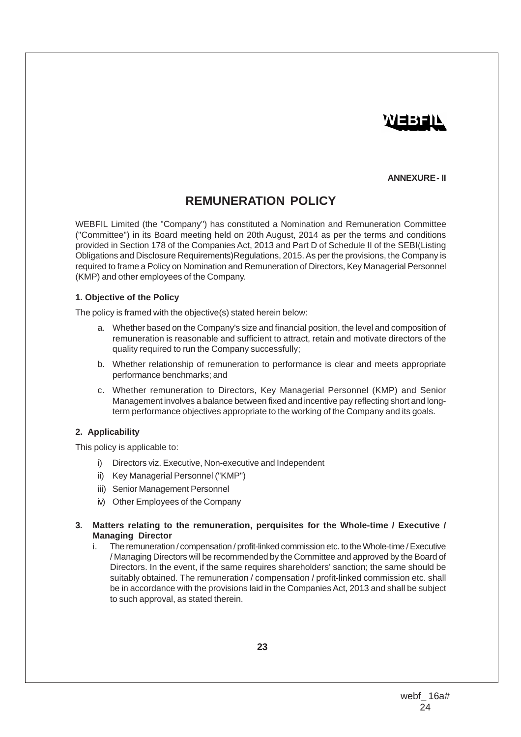

### **ANNEXURE- II**

# **REMUNERATION POLICY**

WEBFIL Limited (the "Company") has constituted a Nomination and Remuneration Committee ("Committee") in its Board meeting held on 20th August, 2014 as per the terms and conditions provided in Section 178 of the Companies Act, 2013 and Part D of Schedule II of the SEBI(Listing Obligations and Disclosure Requirements)Regulations, 2015. As per the provisions, the Company is required to frame a Policy on Nomination and Remuneration of Directors, Key Managerial Personnel (KMP) and other employees of the Company.

#### **1. Objective of the Policy**

The policy is framed with the objective(s) stated herein below:

- a. Whether based on the Company's size and financial position, the level and composition of remuneration is reasonable and sufficient to attract, retain and motivate directors of the quality required to run the Company successfully;
- b. Whether relationship of remuneration to performance is clear and meets appropriate performance benchmarks; and
- c. Whether remuneration to Directors, Key Managerial Personnel (KMP) and Senior Management involves a balance between fixed and incentive pay reflecting short and longterm performance objectives appropriate to the working of the Company and its goals.

### **2. Applicability**

This policy is applicable to:

- i) Directors viz. Executive, Non-executive and Independent
- ii) Key Managerial Personnel ("KMP")
- iii) Senior Management Personnel
- iv) Other Employees of the Company
- **3. Matters relating to the remuneration, perquisites for the Whole-time / Executive / Managing Director**
	- i. The remuneration / compensation / profit-linked commission etc. to the Whole-time / Executive / Managing Directors will be recommended by the Committee and approved by the Board of Directors. In the event, if the same requires shareholders' sanction; the same should be suitably obtained. The remuneration / compensation / profit-linked commission etc. shall be in accordance with the provisions laid in the Companies Act, 2013 and shall be subject to such approval, as stated therein.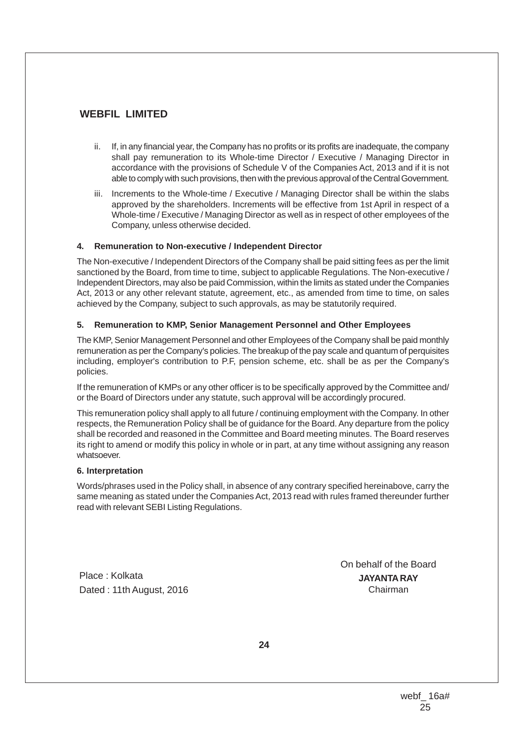- ii. If, in any financial year, the Company has no profits or its profits are inadequate, the company shall pay remuneration to its Whole-time Director / Executive / Managing Director in accordance with the provisions of Schedule V of the Companies Act, 2013 and if it is not able to comply with such provisions, then with the previous approval of the Central Government.
- iii. Increments to the Whole-time / Executive / Managing Director shall be within the slabs approved by the shareholders. Increments will be effective from 1st April in respect of a Whole-time / Executive / Managing Director as well as in respect of other employees of the Company, unless otherwise decided.

### **4. Remuneration to Non-executive / Independent Director**

The Non-executive / Independent Directors of the Company shall be paid sitting fees as per the limit sanctioned by the Board, from time to time, subject to applicable Regulations. The Non-executive / Independent Directors, may also be paid Commission, within the limits as stated under the Companies Act, 2013 or any other relevant statute, agreement, etc., as amended from time to time, on sales achieved by the Company, subject to such approvals, as may be statutorily required.

### **5. Remuneration to KMP, Senior Management Personnel and Other Employees**

The KMP, Senior Management Personnel and other Employees of the Company shall be paid monthly remuneration as per the Company's policies. The breakup of the pay scale and quantum of perquisites including, employer's contribution to P.F, pension scheme, etc. shall be as per the Company's policies.

If the remuneration of KMPs or any other officer is to be specifically approved by the Committee and/ or the Board of Directors under any statute, such approval will be accordingly procured.

This remuneration policy shall apply to all future / continuing employment with the Company. In other respects, the Remuneration Policy shall be of guidance for the Board. Any departure from the policy shall be recorded and reasoned in the Committee and Board meeting minutes. The Board reserves its right to amend or modify this policy in whole or in part, at any time without assigning any reason whatsoever.

### **6. Interpretation**

Words/phrases used in the Policy shall, in absence of any contrary specified hereinabove, carry the same meaning as stated under the Companies Act, 2013 read with rules framed thereunder further read with relevant SEBI Listing Regulations.

Place : Kolkata Dated : 11th August, 2016 On behalf of the Board **JAYANTA RAY** Chairman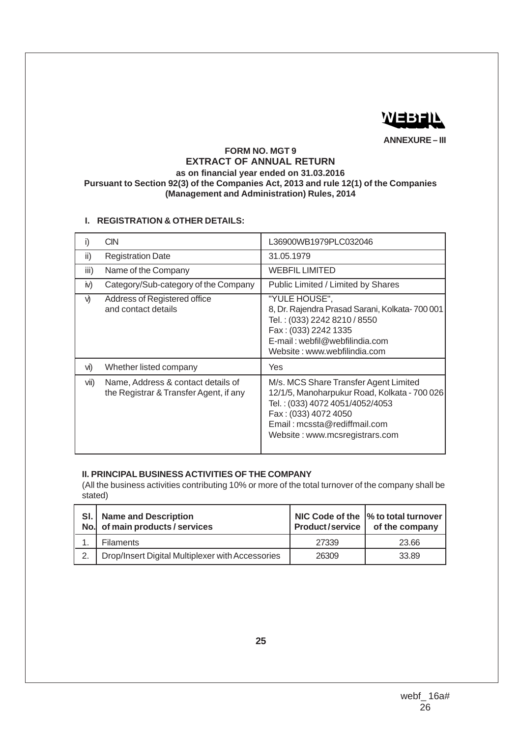

**ANNEXURE– III**

### **FORM NO. MGT 9 EXTRACT OF ANNUAL RETURN as on financial year ended on 31.03.2016 Pursuant to Section 92(3) of the Companies Act, 2013 and rule 12(1) of the Companies (Management and Administration) Rules, 2014**

### **I. REGISTRATION & OTHER DETAILS:**

| i)   | <b>CIN</b>                                                                   | L36900WB1979PLC032046                                                                                                                                                                                              |
|------|------------------------------------------------------------------------------|--------------------------------------------------------------------------------------------------------------------------------------------------------------------------------------------------------------------|
| ii)  | <b>Registration Date</b>                                                     | 31.05.1979                                                                                                                                                                                                         |
| iii) | Name of the Company                                                          | <b>WEBFIL LIMITED</b>                                                                                                                                                                                              |
| iv)  | Category/Sub-category of the Company                                         | Public Limited / Limited by Shares                                                                                                                                                                                 |
| V)   | Address of Registered office<br>and contact details                          | "YULE HOUSE",<br>8, Dr. Rajendra Prasad Sarani, Kolkata-700 001<br>Tel.: (033) 2242 8210 / 8550<br>Fax: (033) 2242 1335<br>E-mail: webfil@webfilindia.com<br>Website: www.webfilindia.com                          |
| vi)  | Whether listed company                                                       | Yes                                                                                                                                                                                                                |
| Vii) | Name, Address & contact details of<br>the Registrar & Transfer Agent, if any | M/s. MCS Share Transfer Agent Limited<br>12/1/5, Manoharpukur Road, Kolkata - 700 026<br>Tel.: (033) 4072 4051/4052/4053<br>Fax: (033) 4072 4050<br>Email: mcssta@rediffmail.com<br>Website: www.mcsregistrars.com |

### **II. PRINCIPAL BUSINESS ACTIVITIES OF THE COMPANY**

(All the business activities contributing 10% or more of the total turnover of the company shall be stated)

| SI.   Name and Description<br>No. of main products / services |       | NIC Code of the  % to total turnover<br>Product/service   of the company |
|---------------------------------------------------------------|-------|--------------------------------------------------------------------------|
| <b>Filaments</b>                                              | 27339 | 23.66                                                                    |
| Drop/Insert Digital Multiplexer with Accessories              | 26309 | 33.89                                                                    |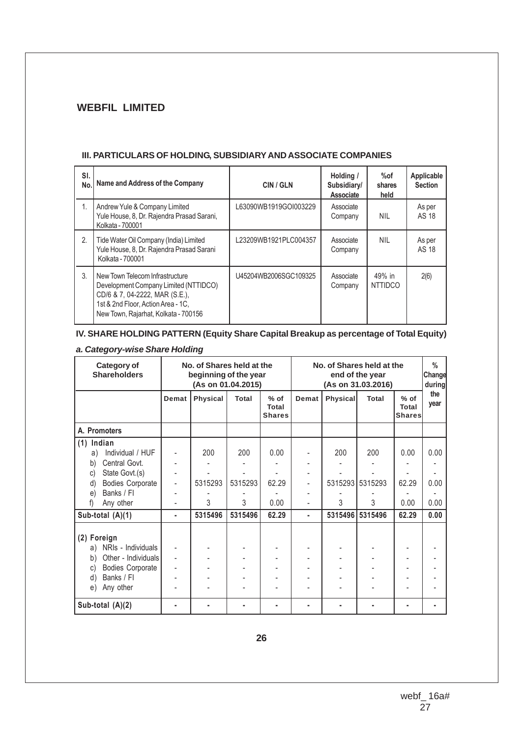### **III. PARTICULARS OF HOLDING, SUBSIDIARY AND ASSOCIATE COMPANIES**

| SI.<br>No. | Name and Address of the Company                                                                                                                                                          | CIN / GLN<br>Subsidiary/ |                      | %of<br>shares<br>held    | Applicable<br><b>Section</b> |
|------------|------------------------------------------------------------------------------------------------------------------------------------------------------------------------------------------|--------------------------|----------------------|--------------------------|------------------------------|
| 1.         | Andrew Yule & Company Limited<br>Yule House, 8, Dr. Rajendra Prasad Sarani,<br>Kolkata - 700001                                                                                          | L63090WB1919GOI003229    | Associate<br>Company | <b>NIL</b>               | As per<br><b>AS 18</b>       |
| 2.         | Tide Water Oil Company (India) Limited<br>Yule House, 8, Dr. Rajendra Prasad Sarani<br>Kolkata - 700001                                                                                  | L23209WB1921PLC004357    | Associate<br>Company | <b>NIL</b>               | As per<br><b>AS 18</b>       |
| 3.         | New Town Telecom Infrastructure<br>Development Company Limited (NTTIDCO)<br>CD/6 & 7, 04-2222, MAR (S.E.),<br>1st & 2nd Floor, Action Area - 1C.<br>New Town, Rajarhat, Kolkata - 700156 | U45204WB2006SGC109325    | Associate<br>Company | 49% in<br><b>NTTIDCO</b> | 2(6)                         |

### **IV. SHARE HOLDING PATTERN (Equity Share Capital Breakup as percentage of Total Equity)**

### **a. Category-wise Share Holding**

| Category of<br><b>Shareholders</b> | No. of Shares held at the<br>beginning of the year<br>(As on 01.04.2015) |                 |         | $\frac{0}{0}$<br>No. of Shares held at the<br>end of the year<br>Change<br>(As on 31.03.2016)<br>during |                |                 |                 |                           |             |
|------------------------------------|--------------------------------------------------------------------------|-----------------|---------|---------------------------------------------------------------------------------------------------------|----------------|-----------------|-----------------|---------------------------|-------------|
|                                    | Demat                                                                    | <b>Physical</b> | Total   | $%$ of<br>Total<br><b>Shares</b>                                                                        | Demat          | <b>Physical</b> | Total           | $%$ of<br>Total<br>Shares | the<br>year |
| A. Promoters                       |                                                                          |                 |         |                                                                                                         |                |                 |                 |                           |             |
| Indian<br>(1)                      |                                                                          |                 |         |                                                                                                         |                |                 |                 |                           |             |
| Individual / HUF<br>a)             |                                                                          | 200             | 200     | 0.00                                                                                                    |                | 200             | 200             | 0.00                      | 0.00        |
| Central Govt.<br>b)                |                                                                          |                 |         |                                                                                                         |                |                 |                 |                           |             |
| State Govt.(s)<br>C)               |                                                                          |                 |         |                                                                                                         |                |                 |                 |                           |             |
| Bodies Corporate<br>d)             | $\overline{a}$                                                           | 5315293         | 5315293 | 62.29                                                                                                   |                |                 | 5315293 5315293 | 62.29                     | 0.00        |
| Banks / FI<br>e)                   |                                                                          |                 |         |                                                                                                         |                |                 |                 |                           |             |
| f)<br>Any other                    |                                                                          | 3               | 3       | 0.00                                                                                                    |                | 3               | 3               | 0.00                      | 0.00        |
| Sub-total (A)(1)                   |                                                                          | 5315496         | 5315496 | 62.29                                                                                                   | $\blacksquare$ |                 | 5315496 5315496 | 62.29                     | 0.00        |
| (2) Foreign                        |                                                                          |                 |         |                                                                                                         |                |                 |                 |                           |             |
| NRIs - Individuals<br>a)           |                                                                          |                 |         |                                                                                                         |                |                 |                 |                           |             |
| Other - Individuals<br>b)          | $\overline{\phantom{a}}$                                                 |                 |         |                                                                                                         |                |                 |                 |                           |             |
| <b>Bodies Corporate</b><br>C)      | $\blacksquare$                                                           |                 |         |                                                                                                         |                |                 |                 |                           |             |
| Banks / Fl<br>d)                   |                                                                          |                 |         |                                                                                                         |                |                 |                 |                           |             |
| Any other<br>e)                    |                                                                          |                 |         |                                                                                                         |                |                 |                 |                           |             |
| Sub-total (A)(2)                   |                                                                          |                 |         |                                                                                                         |                |                 |                 |                           |             |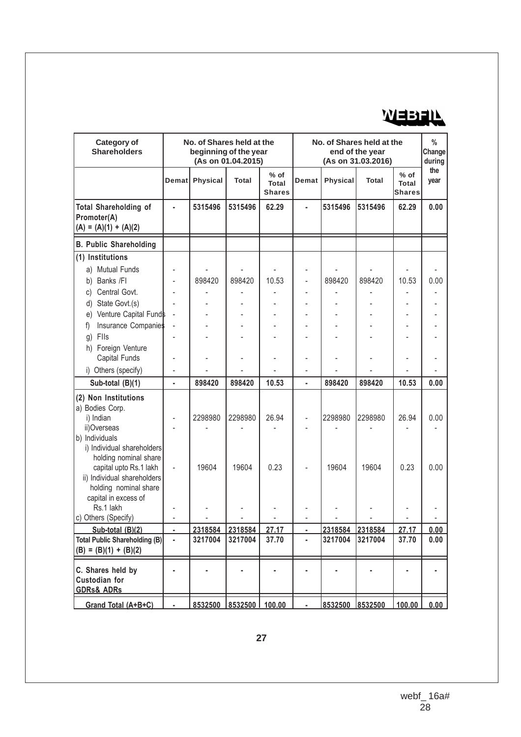# WEBELL

| <b>Category of</b><br><b>Shareholders</b>                                                                                       |                | No. of Shares held at the<br>beginning of the year | (As on 01.04.2015) |                                  | No. of Shares held at the<br>end of the year<br>(As on 31.03.2016) |                 |         |                                         | $\%$<br>Change<br>during |
|---------------------------------------------------------------------------------------------------------------------------------|----------------|----------------------------------------------------|--------------------|----------------------------------|--------------------------------------------------------------------|-----------------|---------|-----------------------------------------|--------------------------|
|                                                                                                                                 | <b>Demat</b>   | Physical                                           | Total              | $%$ of<br>Total<br><b>Shares</b> | Demat                                                              | <b>Physical</b> | Total   | $%$ of<br><b>Total</b><br><b>Shares</b> | the<br>year              |
| <b>Total Shareholding of</b><br>Promoter(A)<br>$(A) = (A)(1) + (A)(2)$                                                          |                | 5315496                                            | 5315496            | 62.29                            |                                                                    | 5315496         | 5315496 | 62.29                                   | 0.00                     |
| <b>B. Public Shareholding</b>                                                                                                   |                |                                                    |                    |                                  |                                                                    |                 |         |                                         |                          |
| (1) Institutions                                                                                                                |                |                                                    |                    |                                  |                                                                    |                 |         |                                         |                          |
| a) Mutual Funds                                                                                                                 |                |                                                    |                    |                                  |                                                                    |                 |         |                                         |                          |
| Banks /FI<br>b)                                                                                                                 |                | 898420                                             | 898420             | 10.53                            |                                                                    | 898420          | 898420  | 10.53                                   | 0.00                     |
| Central Govt.<br>C)                                                                                                             |                |                                                    |                    |                                  |                                                                    |                 |         |                                         |                          |
| State Govt.(s)<br>d)                                                                                                            |                |                                                    |                    |                                  |                                                                    |                 |         |                                         |                          |
| Venture Capital Funds<br>e)                                                                                                     |                |                                                    |                    |                                  |                                                                    |                 |         |                                         |                          |
| Insurance Companies<br>f)                                                                                                       |                |                                                    |                    |                                  |                                                                    |                 |         |                                         |                          |
| Flls<br>g)                                                                                                                      |                |                                                    |                    |                                  |                                                                    |                 |         |                                         |                          |
| h) Foreign Venture                                                                                                              |                |                                                    |                    |                                  |                                                                    |                 |         |                                         |                          |
| Capital Funds                                                                                                                   |                |                                                    |                    |                                  |                                                                    |                 |         |                                         |                          |
| i) Others (specify)                                                                                                             |                |                                                    |                    |                                  |                                                                    |                 |         |                                         |                          |
| Sub-total (B)(1)                                                                                                                | Ĭ.             | 898420                                             | 898420             | 10.53                            | $\blacksquare$                                                     | 898420          | 898420  | 10.53                                   | 0.00                     |
| (2) Non Institutions<br>a) Bodies Corp.<br>i) Indian<br>ii)Overseas<br>b) Individuals<br>i) Individual shareholders             |                | 2298980                                            | 2298980            | 26.94                            |                                                                    | 2298980         | 2298980 | 26.94                                   | 0.00                     |
| holding nominal share<br>capital upto Rs.1 lakh<br>ii) Individual shareholders<br>holding nominal share<br>capital in excess of | $\frac{1}{2}$  | 19604                                              | 19604              | 0.23                             |                                                                    | 19604           | 19604   | 0.23                                    | 0.00                     |
| Rs.1 lakh                                                                                                                       |                |                                                    |                    |                                  |                                                                    |                 |         |                                         |                          |
| c) Others (Specify)                                                                                                             |                |                                                    |                    |                                  |                                                                    |                 |         |                                         |                          |
| Sub-total (B)(2)                                                                                                                | $\blacksquare$ | 2318584                                            | 2318584            | 27.17                            | $\qquad \qquad \blacksquare$                                       | 2318584         | 2318584 | 27.17                                   | 0.00                     |
| Total Public Shareholding (B)<br>$(B) = (B)(1) + (B)(2)$                                                                        | ÷.             | 3217004                                            | 3217004            | 37.70                            | ä,                                                                 | 3217004         | 3217004 | 37.70                                   | 0.00                     |
| C. Shares held by<br>Custodian for<br><b>GDRs&amp; ADRs</b>                                                                     |                |                                                    |                    |                                  |                                                                    |                 |         |                                         |                          |
| Grand Total (A+B+C)                                                                                                             | $\blacksquare$ | 8532500                                            | 8532500            | 100.00                           |                                                                    | 8532500         | 8532500 | 100.00                                  | 0.00                     |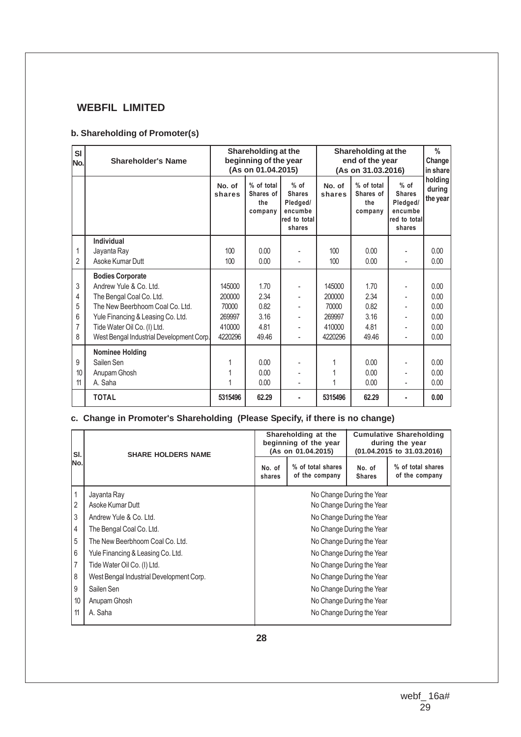### **b. Shareholding of Promoter(s)**

| <b>SI</b><br>No. | <b>Shareholder's Name</b>                | Shareholding at the<br>beginning of the year<br>(As on 01.04.2015) |                                           |                                                                          | Shareholding at the<br>end of the year<br>(As on 31.03.2016) | $\frac{0}{0}$<br>Change<br>in share       |                                                                          |                               |
|------------------|------------------------------------------|--------------------------------------------------------------------|-------------------------------------------|--------------------------------------------------------------------------|--------------------------------------------------------------|-------------------------------------------|--------------------------------------------------------------------------|-------------------------------|
|                  |                                          | No. of<br>shares                                                   | % of total<br>Shares of<br>the<br>company | $%$ of<br><b>Shares</b><br>Pledged/<br>encumbe<br>red to total<br>shares | No. of<br>shares                                             | % of total<br>Shares of<br>the<br>company | $%$ of<br><b>Shares</b><br>Pledged/<br>encumbe<br>red to total<br>shares | holding<br>during<br>the year |
|                  | <b>Individual</b>                        |                                                                    |                                           |                                                                          |                                                              |                                           |                                                                          |                               |
| 1                | Jayanta Ray                              | 100                                                                | 0.00                                      |                                                                          | 100                                                          | 0.00                                      |                                                                          | 0.00                          |
| $\overline{2}$   | Asoke Kumar Dutt                         | 100                                                                | 0.00                                      |                                                                          | 100                                                          | 0.00                                      |                                                                          | 0.00                          |
|                  | <b>Bodies Corporate</b>                  |                                                                    |                                           |                                                                          |                                                              |                                           |                                                                          |                               |
| 3                | Andrew Yule & Co. Ltd.                   | 145000                                                             | 1.70                                      |                                                                          | 145000                                                       | 1.70                                      |                                                                          | 0.00                          |
| 4                | The Bengal Coal Co. Ltd.                 | 200000                                                             | 2.34                                      |                                                                          | 200000                                                       | 2.34                                      |                                                                          | 0.00                          |
| 5                | The New Beerbhoom Coal Co. Ltd.          | 70000                                                              | 0.82                                      |                                                                          | 70000                                                        | 0.82                                      |                                                                          | 0.00                          |
| 6                | Yule Financing & Leasing Co. Ltd.        | 269997                                                             | 3.16                                      |                                                                          | 269997                                                       | 3.16                                      |                                                                          | 0.00                          |
| $\overline{7}$   | Tide Water Oil Co. (I) Ltd.              | 410000                                                             | 4.81                                      |                                                                          | 410000                                                       | 4.81                                      |                                                                          | 0.00                          |
| 8                | West Bengal Industrial Development Corp. | 4220296                                                            | 49.46                                     |                                                                          | 4220296                                                      | 49.46                                     |                                                                          | 0.00                          |
|                  | <b>Nominee Holding</b>                   |                                                                    |                                           |                                                                          |                                                              |                                           |                                                                          |                               |
| 9                | Sailen Sen                               |                                                                    | 0.00                                      |                                                                          | 1                                                            | 0.00                                      |                                                                          | 0.00                          |
| 10               | Anupam Ghosh                             |                                                                    | 0.00                                      |                                                                          |                                                              | 0.00                                      |                                                                          | 0.00                          |
| 11               | A. Saha                                  |                                                                    | 0.00                                      |                                                                          | 1                                                            | 0.00                                      |                                                                          | 0.00                          |
|                  | <b>TOTAL</b>                             | 5315496                                                            | 62.29                                     |                                                                          | 5315496                                                      | 62.29                                     |                                                                          | 0.00                          |

## **c. Change in Promoter's Shareholding (Please Specify, if there is no change)**

| SI.            | <b>SHARE HOLDERS NAME</b>                |                           | Shareholding at the<br>beginning of the year<br>(As on 01.04.2015) | <b>Cumulative Shareholding</b><br>during the year<br>(01.04.2015 to 31.03.2016) |                                     |  |  |  |
|----------------|------------------------------------------|---------------------------|--------------------------------------------------------------------|---------------------------------------------------------------------------------|-------------------------------------|--|--|--|
| No.            |                                          | No. of<br>shares          | % of total shares<br>of the company                                | No. of<br><b>Shares</b>                                                         | % of total shares<br>of the company |  |  |  |
| 1              | Jayanta Ray                              | No Change During the Year |                                                                    |                                                                                 |                                     |  |  |  |
| 2              | Asoke Kumar Dutt                         | No Change During the Year |                                                                    |                                                                                 |                                     |  |  |  |
| 3              | Andrew Yule & Co. Ltd.                   | No Change During the Year |                                                                    |                                                                                 |                                     |  |  |  |
| 4              | The Bengal Coal Co. Ltd.                 |                           |                                                                    | No Change During the Year                                                       |                                     |  |  |  |
| 5              | The New Beerbhoom Coal Co. Ltd.          |                           |                                                                    | No Change During the Year                                                       |                                     |  |  |  |
| 6              | Yule Financing & Leasing Co. Ltd.        |                           |                                                                    | No Change During the Year                                                       |                                     |  |  |  |
| $\overline{7}$ | Tide Water Oil Co. (I) Ltd.              |                           |                                                                    | No Change During the Year                                                       |                                     |  |  |  |
| 8              | West Bengal Industrial Development Corp. |                           |                                                                    | No Change During the Year                                                       |                                     |  |  |  |
| 9              | Sailen Sen                               |                           |                                                                    | No Change During the Year                                                       |                                     |  |  |  |
| 10             | Anupam Ghosh                             |                           |                                                                    | No Change During the Year                                                       |                                     |  |  |  |
| 11             | A. Saha                                  |                           |                                                                    | No Change During the Year                                                       |                                     |  |  |  |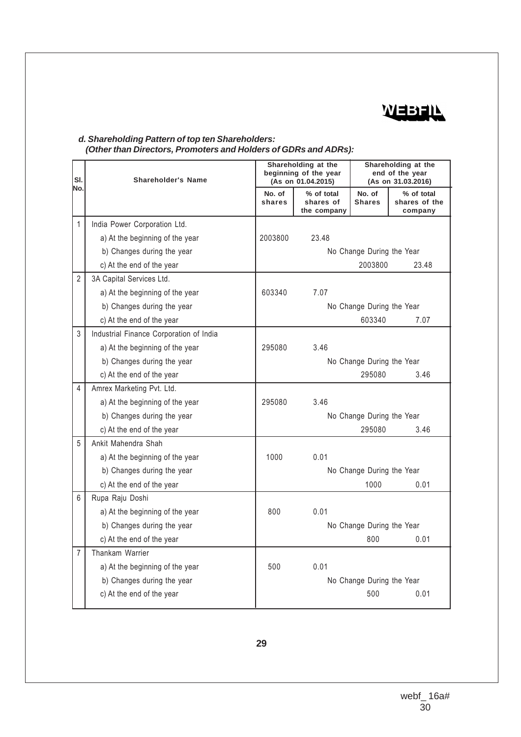

### **d. Shareholding Pattern of top ten Shareholders: (Other than Directors, Promoters and Holders of GDRs and ADRs):**

| SI.            | <b>Shareholder's Name</b>               |                  | Shareholding at the<br>beginning of the year<br>(As on 01.04.2015) |                           | Shareholding at the<br>end of the year<br>(As on 31.03.2016) |  |  |
|----------------|-----------------------------------------|------------------|--------------------------------------------------------------------|---------------------------|--------------------------------------------------------------|--|--|
| lNo.           |                                         | No. of<br>shares | % of total<br>shares of<br>the company                             | No. of<br><b>Shares</b>   | % of total<br>shares of the<br>company                       |  |  |
| $\mathbf{1}$   | India Power Corporation Ltd.            |                  |                                                                    |                           |                                                              |  |  |
|                | a) At the beginning of the year         | 2003800          | 23.48                                                              |                           |                                                              |  |  |
|                | b) Changes during the year              |                  |                                                                    | No Change During the Year |                                                              |  |  |
|                | c) At the end of the year               |                  |                                                                    | 2003800                   | 23.48                                                        |  |  |
| $\overline{2}$ | 3A Capital Services Ltd.                |                  |                                                                    |                           |                                                              |  |  |
|                | a) At the beginning of the year         | 603340           | 7.07                                                               |                           |                                                              |  |  |
|                | b) Changes during the year              |                  |                                                                    | No Change During the Year |                                                              |  |  |
|                | c) At the end of the year               |                  |                                                                    | 603340                    | 7.07                                                         |  |  |
| 3              | Industrial Finance Corporation of India |                  |                                                                    |                           |                                                              |  |  |
|                | a) At the beginning of the year         | 295080           | 3.46                                                               |                           |                                                              |  |  |
|                | b) Changes during the year              |                  | No Change During the Year                                          |                           |                                                              |  |  |
|                | c) At the end of the year               |                  |                                                                    | 295080                    | 3.46                                                         |  |  |
| 4              | Amrex Marketing Pvt. Ltd.               |                  |                                                                    |                           |                                                              |  |  |
|                | a) At the beginning of the year         | 295080           | 3.46                                                               |                           |                                                              |  |  |
|                | b) Changes during the year              |                  |                                                                    | No Change During the Year |                                                              |  |  |
|                | c) At the end of the year               |                  |                                                                    | 295080                    | 3.46                                                         |  |  |
| 5              | Ankit Mahendra Shah                     |                  |                                                                    |                           |                                                              |  |  |
|                | a) At the beginning of the year         | 1000             | 0.01                                                               |                           |                                                              |  |  |
|                | b) Changes during the year              |                  |                                                                    | No Change During the Year |                                                              |  |  |
|                | c) At the end of the year               |                  |                                                                    | 1000                      | 0.01                                                         |  |  |
| 6              | Rupa Raju Doshi                         |                  |                                                                    |                           |                                                              |  |  |
|                | a) At the beginning of the year         | 800              | 0.01                                                               |                           |                                                              |  |  |
|                | b) Changes during the year              |                  |                                                                    | No Change During the Year |                                                              |  |  |
|                | c) At the end of the year               |                  |                                                                    | 800                       | 0.01                                                         |  |  |
| $\overline{7}$ | Thankam Warrier                         |                  |                                                                    |                           |                                                              |  |  |
|                | a) At the beginning of the year         | 500              | 0.01                                                               |                           |                                                              |  |  |
|                | b) Changes during the year              |                  |                                                                    | No Change During the Year |                                                              |  |  |
|                | c) At the end of the year               |                  |                                                                    | 500                       | 0.01                                                         |  |  |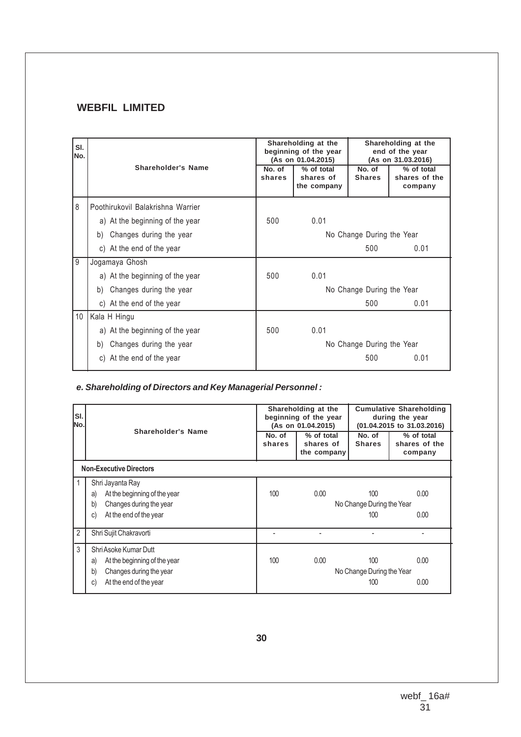| SI.<br>lNo.     |                                   |                  | Shareholding at the<br>beginning of the year<br>(As on 01.04.2015) | Shareholding at the<br>end of the year<br>(As on 31.03.2016) |                                        |  |
|-----------------|-----------------------------------|------------------|--------------------------------------------------------------------|--------------------------------------------------------------|----------------------------------------|--|
|                 | Shareholder's Name                | No. of<br>shares | % of total<br>shares of<br>the company                             | No. of<br><b>Shares</b>                                      | % of total<br>shares of the<br>company |  |
| 8               | Poothirukovil Balakrishna Warrier |                  |                                                                    |                                                              |                                        |  |
|                 | a) At the beginning of the year   | 500              | 0.01                                                               |                                                              |                                        |  |
|                 | Changes during the year<br>b)     |                  | No Change During the Year                                          |                                                              |                                        |  |
|                 | c) At the end of the year         |                  |                                                                    | 500                                                          | 0.01                                   |  |
| 9               | Jogamaya Ghosh                    |                  |                                                                    |                                                              |                                        |  |
|                 | a) At the beginning of the year   | 500              | 0.01                                                               |                                                              |                                        |  |
|                 | b) Changes during the year        |                  |                                                                    | No Change During the Year                                    |                                        |  |
|                 | c) At the end of the year         |                  |                                                                    | 500                                                          | 0.01                                   |  |
| 10 <sup>°</sup> | Kala H Hingu                      |                  |                                                                    |                                                              |                                        |  |
|                 | a) At the beginning of the year   | 500              | 0.01                                                               |                                                              |                                        |  |
|                 | Changes during the year<br>b)     |                  |                                                                    | No Change During the Year                                    |                                        |  |
|                 | At the end of the year<br>C)      |                  |                                                                    | 500                                                          | 0.01                                   |  |

### **e. Shareholding of Directors and Key Managerial Personnel :**

| SI.<br>No.     | Shareholder's Name                                                                                                           | No. of<br>shares | Shareholding at the<br>beginning of the year<br>(As on 01.04.2015)<br>% of total<br>shares of<br>the company | No. of<br><b>Shares</b>                 | <b>Cumulative Shareholding</b><br>during the year<br>(01.04.2015 to 31.03.2016)<br>% of total<br>shares of the<br>company |
|----------------|------------------------------------------------------------------------------------------------------------------------------|------------------|--------------------------------------------------------------------------------------------------------------|-----------------------------------------|---------------------------------------------------------------------------------------------------------------------------|
|                | <b>Non-Executive Directors</b>                                                                                               |                  |                                                                                                              |                                         |                                                                                                                           |
|                | Shri Jayanta Ray<br>At the beginning of the year<br>a)<br>b)<br>Changes during the year<br>At the end of the year<br>C)      | 100              | 0.00                                                                                                         | 100<br>No Change During the Year<br>100 | 0.00<br>0.00                                                                                                              |
| $\overline{2}$ | Shri Sujit Chakravorti                                                                                                       |                  |                                                                                                              |                                         |                                                                                                                           |
| 3              | Shri Asoke Kumar Dutt<br>a)<br>At the beginning of the year<br>b)<br>Changes during the year<br>At the end of the year<br>C) | 100              | 0.00                                                                                                         | 100<br>No Change During the Year<br>100 | 0.00<br>0.00                                                                                                              |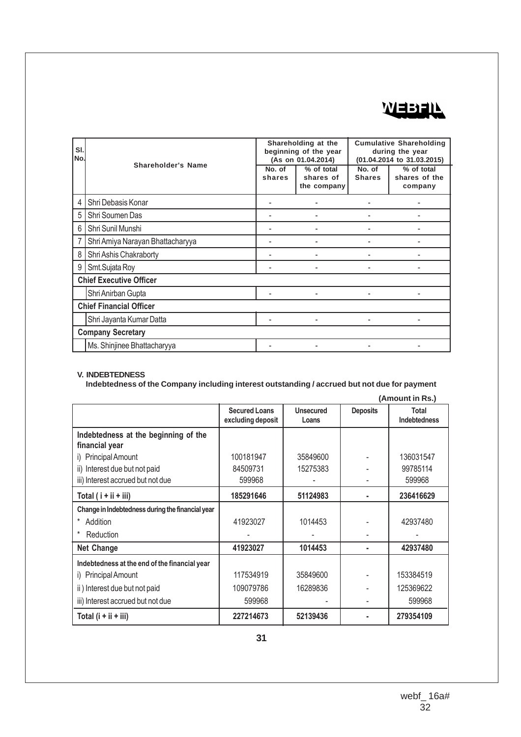# WEBELL

| SI.<br>No. | Shareholder's Name               |                  | Shareholding at the<br>beginning of the year<br>(As on 01.04.2014) | <b>Cumulative Shareholding</b><br>during the year<br>(01.04.2014 to 31.03.2015) |                                        |  |
|------------|----------------------------------|------------------|--------------------------------------------------------------------|---------------------------------------------------------------------------------|----------------------------------------|--|
|            |                                  | No. of<br>shares | % of total<br>shares of<br>the company                             | No. of<br><b>Shares</b>                                                         | % of total<br>shares of the<br>company |  |
| 4          | Shri Debasis Konar               |                  |                                                                    |                                                                                 |                                        |  |
| 5          | Shri Soumen Das                  |                  |                                                                    |                                                                                 |                                        |  |
| 6          | Shri Sunil Munshi                |                  |                                                                    |                                                                                 |                                        |  |
|            | Shri Amiya Narayan Bhattacharyya |                  |                                                                    |                                                                                 |                                        |  |
| 8          | Shri Ashis Chakraborty           |                  |                                                                    |                                                                                 |                                        |  |
|            | 9 Smt.Sujata Roy                 |                  |                                                                    |                                                                                 |                                        |  |
|            | <b>Chief Executive Officer</b>   |                  |                                                                    |                                                                                 |                                        |  |
|            | Shri Anirban Gupta               |                  |                                                                    |                                                                                 |                                        |  |
|            | <b>Chief Financial Officer</b>   |                  |                                                                    |                                                                                 |                                        |  |
|            | Shri Jayanta Kumar Datta         |                  |                                                                    |                                                                                 |                                        |  |
|            | <b>Company Secretary</b>         |                  |                                                                    |                                                                                 |                                        |  |
|            | Ms. Shinjinee Bhattacharyya      |                  |                                                                    |                                                                                 |                                        |  |

#### **V. INDEBTEDNESS**

 **Indebtedness of the Company including interest outstanding / accrued but not due for payment**

|                                                        |                                           |                           |                 | (Amount in Rs.)              |
|--------------------------------------------------------|-------------------------------------------|---------------------------|-----------------|------------------------------|
|                                                        | <b>Secured Loans</b><br>excluding deposit | <b>Unsecured</b><br>Loans | <b>Deposits</b> | Total<br><b>Indebtedness</b> |
| Indebtedness at the beginning of the<br>financial year |                                           |                           |                 |                              |
| i) Principal Amount                                    | 100181947                                 | 35849600                  |                 | 136031547                    |
| ii) Interest due but not paid                          | 84509731                                  | 15275383                  |                 | 99785114                     |
| iii) Interest accrued but not due                      | 599968                                    |                           |                 | 599968                       |
| Total $(i + ii + iii)$                                 | 185291646                                 | 51124983                  |                 | 236416629                    |
| Change in Indebtedness during the financial year       |                                           |                           |                 |                              |
| Addition                                               | 41923027                                  | 1014453                   |                 | 42937480                     |
| <b>Reduction</b>                                       |                                           |                           |                 |                              |
| <b>Net Change</b>                                      | 41923027                                  | 1014453                   | ٠               | 42937480                     |
| Indebtedness at the end of the financial year          |                                           |                           |                 |                              |
| i) Principal Amount                                    | 117534919                                 | 35849600                  |                 | 153384519                    |
| ii) Interest due but not paid                          | 109079786                                 | 16289836                  |                 | 125369622                    |
| iii) Interest accrued but not due                      | 599968                                    |                           |                 | 599968                       |
| Total $(i + ii + iii)$                                 | 227214673                                 | 52139436                  |                 | 279354109                    |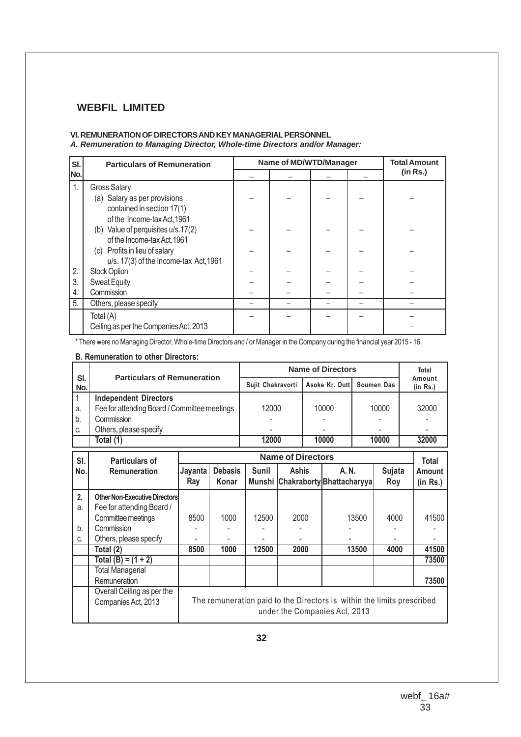### **VI. REMUNERATION OF DIRECTORS AND KEY MANAGERIAL PERSONNEL**

**A. Remuneration to Managing Director, Whole-time Directors and/or Manager:**

| SI. | <b>Particulars of Remuneration</b>     |  | Name of MD/WTD/Manager | <b>Total Amount</b> |          |
|-----|----------------------------------------|--|------------------------|---------------------|----------|
| No. |                                        |  |                        |                     | (in Rs.) |
| 1.  | <b>Gross Salary</b>                    |  |                        |                     |          |
|     | (a) Salary as per provisions           |  |                        |                     |          |
|     | contained in section 17(1)             |  |                        |                     |          |
|     | of the Income-tax Act, 1961            |  |                        |                     |          |
|     | (b) Value of perquisites u/s.17(2)     |  |                        |                     |          |
|     | of the Income-tax Act, 1961            |  |                        |                     |          |
|     | (c) Profits in lieu of salary          |  |                        |                     |          |
|     | u/s. 17(3) of the Income-tax Act, 1961 |  |                        |                     |          |
| 2.  | <b>Stock Option</b>                    |  |                        |                     |          |
| 3.  | <b>Sweat Equity</b>                    |  |                        |                     |          |
| 4.  | Commission                             |  |                        |                     |          |
| 5.  | Others, please specify                 |  |                        |                     |          |
|     | Total (A)                              |  |                        |                     |          |
|     | Ceiling as per the Companies Act, 2013 |  |                        |                     |          |

\* There were no Managing Director, Whole-time Directors and / or Manager in the Company during the financial year 2015 - 16.

### **B. Remuneration to other Directors:**

|            |                                                   |                                    |                                                                                                         |       |                                     | <b>Name of Directors</b> |                                  |       |        | Total              |              |
|------------|---------------------------------------------------|------------------------------------|---------------------------------------------------------------------------------------------------------|-------|-------------------------------------|--------------------------|----------------------------------|-------|--------|--------------------|--------------|
| SI.<br>No. |                                                   | <b>Particulars of Remuneration</b> |                                                                                                         |       | Asoke Kr. Dutt<br>Sujit Chakravorti |                          | Soumen Das                       |       |        | Amount<br>(in Rs.) |              |
| 1          | <b>Independent Directors</b>                      |                                    |                                                                                                         |       |                                     |                          |                                  |       |        |                    |              |
| a.         | Fee for attending Board / Committee meetings      |                                    |                                                                                                         | 12000 |                                     |                          | 10000                            |       | 10000  |                    | 32000        |
| b.         | Commission                                        |                                    |                                                                                                         |       |                                     |                          |                                  |       |        |                    |              |
| C.         | Others, please specify                            |                                    |                                                                                                         |       |                                     |                          |                                  |       |        |                    |              |
|            | Total (1)                                         |                                    |                                                                                                         | 12000 |                                     |                          | 10000                            |       | 10000  |                    | 32000        |
| SI.        | Particulars of                                    |                                    |                                                                                                         |       | <b>Name of Directors</b>            |                          |                                  |       |        |                    | <b>Total</b> |
| No.        | <b>Remuneration</b>                               | Jayanta                            | <b>Debasis</b>                                                                                          | Sunil | Ashis                               |                          | A.N.                             |       | Sujata |                    | Amount       |
|            |                                                   | Ray                                | Konar                                                                                                   |       |                                     |                          | Munshi Chakraborty Bhattacharyya |       | Roy    |                    | (in Rs.)     |
| 2.         | <b>Other Non-Executive Directors</b>              |                                    |                                                                                                         |       |                                     |                          |                                  |       |        |                    |              |
| a.         | Fee for attending Board /                         |                                    |                                                                                                         |       |                                     |                          |                                  |       |        |                    |              |
|            | Committee meetings                                | 8500                               | 1000                                                                                                    | 12500 | 2000                                |                          |                                  | 13500 | 4000   |                    | 41500        |
| $b$ .      | Commission                                        |                                    |                                                                                                         |       |                                     |                          |                                  |       |        |                    |              |
| C.         | Others, please specify                            |                                    |                                                                                                         |       |                                     |                          |                                  |       |        |                    |              |
|            | Total (2)                                         | 8500                               | 1000                                                                                                    | 12500 | 2000                                |                          |                                  | 13500 | 4000   |                    | 41500        |
|            | Total $(B) = (1 + 2)$                             |                                    |                                                                                                         |       |                                     |                          |                                  |       |        |                    | 73500        |
|            | <b>Total Managerial</b>                           |                                    |                                                                                                         |       |                                     |                          |                                  |       |        |                    |              |
|            | Remuneration                                      |                                    |                                                                                                         |       |                                     |                          |                                  |       |        |                    | 73500        |
|            | Overall Ceiling as per the<br>Companies Act, 2013 |                                    | The remuneration paid to the Directors is within the limits prescribed<br>under the Companies Act, 2013 |       |                                     |                          |                                  |       |        |                    |              |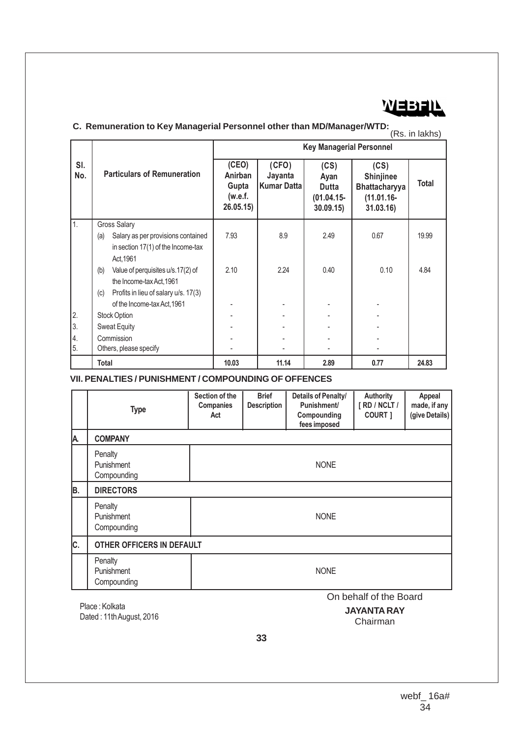

|            |                                                                      |                                                   |                                        |                                                    |                                                                         | (Rs. in lakhs) |  |  |  |
|------------|----------------------------------------------------------------------|---------------------------------------------------|----------------------------------------|----------------------------------------------------|-------------------------------------------------------------------------|----------------|--|--|--|
|            |                                                                      | <b>Key Managerial Personnel</b>                   |                                        |                                                    |                                                                         |                |  |  |  |
| SI.<br>No. | <b>Particulars of Remuneration</b>                                   | (CEO)<br>Anirban<br>Gupta<br>(w.e.f.<br>26.05.15) | (CFO)<br>Jayanta<br><b>Kumar Datta</b> | (CS)<br>Ayan<br>Dutta<br>$(01.04.15 -$<br>30.09.15 | (CS)<br><b>Shinjinee</b><br>Bhattacharyya<br>$(11.01.16 -$<br>31.03.16) | <b>Total</b>   |  |  |  |
| 1.         | <b>Gross Salary</b>                                                  |                                                   |                                        |                                                    |                                                                         |                |  |  |  |
|            | Salary as per provisions contained<br>(a)                            | 7.93                                              | 8.9                                    | 2.49                                               | 0.67                                                                    | 19.99          |  |  |  |
|            | in section $17(1)$ of the Income-tax<br>Act, 1961                    |                                                   |                                        |                                                    |                                                                         |                |  |  |  |
|            | Value of perquisites u/s.17(2) of<br>(b)<br>the Income-tax Act, 1961 | 2.10                                              | 2.24                                   | 0.40                                               | 0.10                                                                    | 4.84           |  |  |  |
|            | Profits in lieu of salary u/s. 17(3)<br>(c)                          |                                                   |                                        |                                                    |                                                                         |                |  |  |  |
|            | of the Income-tax Act, 1961                                          |                                                   |                                        |                                                    |                                                                         |                |  |  |  |
| 2.         | <b>Stock Option</b>                                                  |                                                   |                                        |                                                    |                                                                         |                |  |  |  |
| 3.         | <b>Sweat Equity</b>                                                  |                                                   |                                        |                                                    |                                                                         |                |  |  |  |
| 4.         | Commission                                                           |                                                   |                                        |                                                    |                                                                         |                |  |  |  |
| 5.         | Others, please specify                                               |                                                   |                                        |                                                    |                                                                         |                |  |  |  |
|            | Total                                                                | 10.03                                             | 11.14                                  | 2.89                                               | 0.77                                                                    | 24.83          |  |  |  |

### **C. Remuneration to Key Managerial Personnel other than MD/Manager/WTD:**

#### **VII. PENALTIES / PUNISHMENT / COMPOUNDING OF OFFENCES**

|     | <b>Type</b>                                 | Section of the<br><b>Companies</b><br>Act | <b>Brief</b><br><b>Description</b> | Details of Penalty/<br>Punishment/<br>Compounding<br>fees imposed | Authority<br>[RD / NCLT /<br>COURT ] | Appeal<br>made, if any<br>(give Details) |  |
|-----|---------------------------------------------|-------------------------------------------|------------------------------------|-------------------------------------------------------------------|--------------------------------------|------------------------------------------|--|
| İΑ. | <b>COMPANY</b>                              |                                           |                                    |                                                                   |                                      |                                          |  |
|     | Penalty<br>Punishment<br>Compounding        |                                           |                                    | <b>NONE</b>                                                       |                                      |                                          |  |
| B.  | <b>DIRECTORS</b>                            |                                           |                                    |                                                                   |                                      |                                          |  |
|     | Penalty<br>Punishment<br>Compounding        |                                           |                                    | <b>NONE</b>                                                       |                                      |                                          |  |
| c.  | OTHER OFFICERS IN DEFAULT                   |                                           |                                    |                                                                   |                                      |                                          |  |
|     | Penalty<br><b>Punishment</b><br>Compounding |                                           |                                    | <b>NONE</b>                                                       |                                      |                                          |  |
|     | On behalf of the Board                      |                                           |                                    |                                                                   |                                      |                                          |  |

Place : Kolkata Dated: 11th August, 2016 On behalf of the Board

**JAYANTA RAY**

Chairman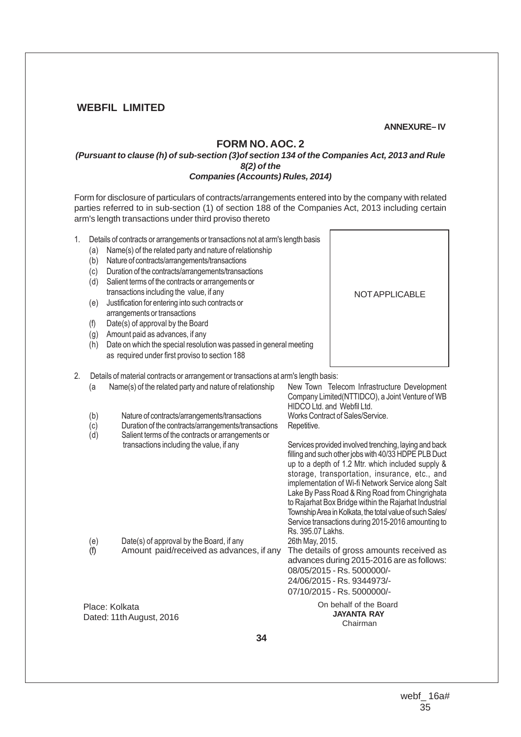#### **ANNEXURE– IV**

NOTAPPLICABLE

### **FORM NO. AOC. 2**

#### **(Pursuant to clause (h) of sub-section (3)of section 134 of the Companies Act, 2013 and Rule 8(2) of the Companies (Accounts) Rules, 2014)**

Form for disclosure of particulars of contracts/arrangements entered into by the company with related parties referred to in sub-section (1) of section 188 of the Companies Act, 2013 including certain arm's length transactions under third proviso thereto

- 1. Details of contracts or arrangements or transactions not at arm's length basis
	- (a) Name(s) of the related party and nature of relationship
	- (b) Nature of contracts/arrangements/transactions
	- (c) Duration of the contracts/arrangements/transactions
	- (d) Salient terms of the contracts or arrangements or transactions including the value, if any
	- (e) Justification for entering into such contracts or arrangements or transactions
	- (f) Date(s) of approval by the Board
	- $(g)$  Amount paid as advances, if any
	- (h) Date on which the special resolution was passed in general meeting as required under first proviso to section 188
- 2. Details of material contracts or arrangement or transactions at arm's length basis:
	- (a Name(s) of the related party and nature of relationship New Town Telecom Infrastructure Development Company Limited(NTTIDCO), a Joint Venture of WB HIDCO Ltd. and Webfil Ltd.<br>Works Contract of Sales/Service. (b) Nature of contracts/arrangements/transactions Works Concic) Contractors Works Contracts/arrangements/transactions Repetitive.  $\overrightarrow{c}$  Duration of the contracts/arrangements/transactions<br>
	(d) Salient terms of the contracts or arrangements or Salient terms of the contracts or arrangements or<br>transactions including the value, if any Services provided involved trenching, laying and back filling and such other jobs with 40/33 HDPE PLB Duct up to a depth of 1.2 Mtr. which included supply & storage, transportation, insurance, etc., and implementation of Wi-fi Network Service along Salt Lake By Pass Road & Ring Road from Chingrighata to Rajarhat Box Bridge within the Rajarhat Industrial Township Area in Kolkata, the total value of such Sales/ Service transactions during 2015-2016 amounting to Rs. 395.07 Lakhs.<br>26th May, 2015. (e) Date(s) of approval by the Board, if any 26th May, 2015. Amount paid/received as advances, if any advances during 2015-2016 are as follows: 08/05/2015 - Rs. 5000000/- 24/06/2015 - Rs. 9344973/- 07/10/2015 - Rs. 5000000/- On behalf of the Board  **JAYANTA RAY** Chairman Place: Kolkata Dated: 11th August, 2016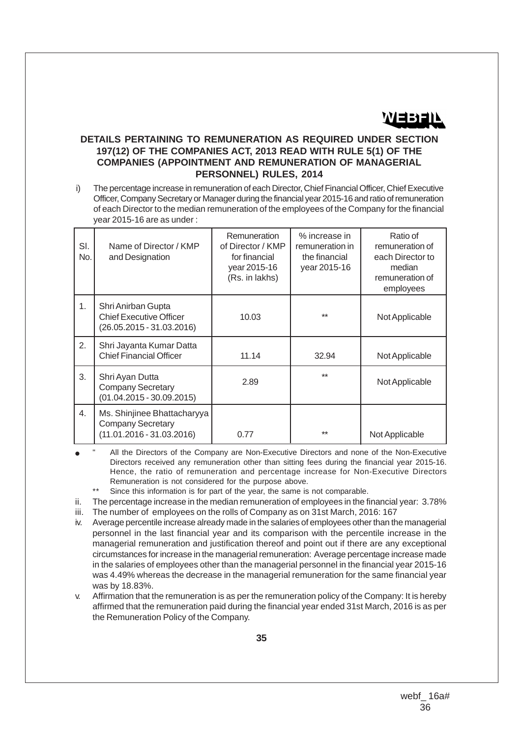

### **DETAILS PERTAINING TO REMUNERATION AS REQUIRED UNDER SECTION 197(12) OF THE COMPANIES ACT, 2013 READ WITH RULE 5(1) OF THE COMPANIES (APPOINTMENT AND REMUNERATION OF MANAGERIAL PERSONNEL) RULES, 2014**

The percentage increase in remuneration of each Director, Chief Financial Officer, Chief Executive i) The percentage increase in remuneration of each Director, Chief Financial Officer, Chief Executive Officer, Company Secretary or Manager during the financial year 2015-16 and ratio of remuneration Officer, Company Secretary or Manager during the financial year 2015-16 and ratio of remuneration of each Director to the median remuneration of the employees of the Company for the financial of each Director to the median remuneration of the employees of the Company for the financial year 2015-16 are as under : year 2015-16 are as under :

| SI.<br>No. | Name of Director / KMP<br>and Designation                                              | Remuneration<br>of Director / KMP<br>for financial<br>year 2015-16<br>(Rs. in lakhs) | % increase in<br>remuneration in<br>the financial<br>year 2015-16 | Ratio of<br>remuneration of<br>each Director to<br>median<br>remuneration of<br>employees |
|------------|----------------------------------------------------------------------------------------|--------------------------------------------------------------------------------------|-------------------------------------------------------------------|-------------------------------------------------------------------------------------------|
| 1.         | Shri Anirban Gupta<br><b>Chief Executive Officer</b><br>(26.05.2015 - 31.03.2016)      | 10.03                                                                                | $***$                                                             | Not Applicable                                                                            |
| 2.         | Shri Jayanta Kumar Datta<br><b>Chief Financial Officer</b>                             | 11.14                                                                                | 32.94                                                             | Not Applicable                                                                            |
| 3.         | Shri Ayan Dutta<br><b>Company Secretary</b><br>$(01.04.2015 - 30.09.2015)$             | 2.89                                                                                 | $**$                                                              | Not Applicable                                                                            |
| 4.         | Ms. Shinjinee Bhattacharyya<br><b>Company Secretary</b><br>$(11.01.2016 - 31.03.2016)$ | 0.77                                                                                 | $***$                                                             | Not Applicable                                                                            |

- All the Directors of the Company are Non-Executive Directors and none of the Non-Executive Directors received any remuneration other than sitting fees during the financial year 2015-16. Hence, the ratio of remuneration and percentage increase for Non-Executive Directors Remuneration is not considered for the purpose above.
	- Since this information is for part of the year, the same is not comparable.
- ii. The percentage increase in the median remuneration of employees in the financial year: 3.78%
- iii. The number of employees on the rolls of Company as on 31st March, 2016: 167
- iv. Average percentile increase already made in the salaries of employees other than the managerial personnel in the last financial year and its comparison with the percentile increase in the managerial remuneration and justification thereof and point out if there are any exceptional circumstances for increase in the managerial remuneration: Average percentage increase made in the salaries of employees other than the managerial personnel in the financial year 2015-16 was 4.49% whereas the decrease in the managerial remuneration for the same financial year was by 18.83%.
- v. Affirmation that the remuneration is as per the remuneration policy of the Company: It is hereby affirmed that the remuneration paid during the financial year ended 31st March, 2016 is as per the Remuneration Policy of the Company.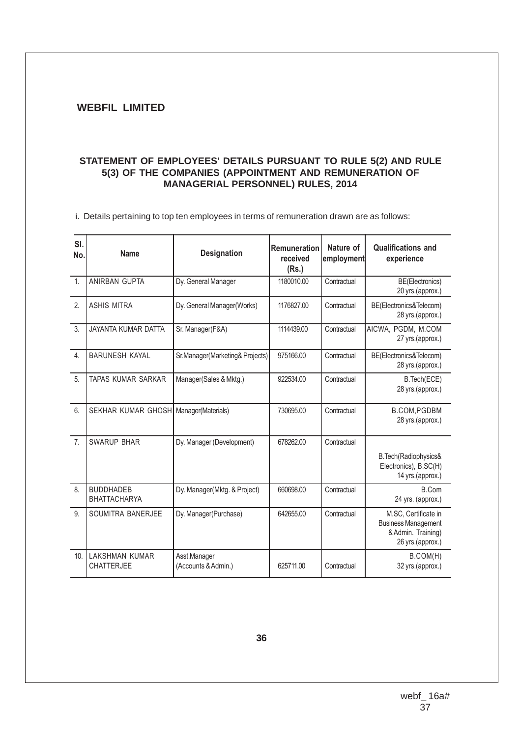# **STATEMENT OF EMPLOYEES' DETAILS PURSUANT TO RULE 5(2) AND RULE 5(3) OF THE COMPANIES (APPOINTMENT AND REMUNERATION OF MANAGERIAL PERSONNEL) RULES, 2014**

i. Details pertaining to top ten employees in terms of remuneration drawn are as follows:

| SI.<br>No.     | <b>Name</b>                                | Designation                         | <b>Remuneration</b><br>received<br>(Rs.) | Nature of<br>employment | <b>Qualifications and</b><br>experience                                                      |
|----------------|--------------------------------------------|-------------------------------------|------------------------------------------|-------------------------|----------------------------------------------------------------------------------------------|
| $\mathbf{1}$ . | ANIRBAN GUPTA                              | Dy. General Manager                 | 1180010.00                               | Contractual             | BE(Electronics)<br>20 yrs.(approx.)                                                          |
| 2.             | <b>ASHIS MITRA</b>                         | Dy. General Manager(Works)          | 1176827.00                               | Contractual             | BE(Electronics&Telecom)<br>28 yrs.(approx.)                                                  |
| 3.             | JAYANTA KUMAR DATTA                        | Sr. Manager(F&A)                    | 1114439.00                               | Contractual             | AICWA, PGDM, M.COM<br>27 yrs.(approx.)                                                       |
| 4.             | <b>BARUNESH KAYAL</b>                      | Sr.Manager(Marketing& Projects)     | 975166.00                                | Contractual             | BE(Electronics&Telecom)<br>28 yrs.(approx.)                                                  |
| 5.             | TAPAS KUMAR SARKAR                         | Manager(Sales & Mktg.)              | 922534.00                                | Contractual             | B.Tech(ECE)<br>28 yrs.(approx.)                                                              |
| 6.             | SEKHAR KUMAR GHOSH                         | Manager(Materials)                  | 730695.00                                | Contractual             | <b>B.COM, PGDBM</b><br>28 yrs.(approx.)                                                      |
| 7.             | <b>SWARUP BHAR</b>                         | Dy. Manager (Development)           | 678262.00                                | Contractual             | B.Tech(Radiophysics&<br>Electronics), B.SC(H)<br>14 yrs.(approx.)                            |
| 8.             | <b>BUDDHADEB</b><br><b>BHATTACHARYA</b>    | Dy. Manager(Mktg. & Project)        | 660698.00                                | Contractual             | B.Com<br>24 yrs. (approx.)                                                                   |
| 9.             | SOUMITRA BANERJEE                          | Dy. Manager(Purchase)               | 642655.00                                | Contractual             | M.SC, Certificate in<br><b>Business Management</b><br>& Admin. Training)<br>26 yrs.(approx.) |
| 10.            | <b>LAKSHMAN KUMAR</b><br><b>CHATTERJEE</b> | Asst.Manager<br>(Accounts & Admin.) | 625711.00                                | Contractual             | B.COM(H)<br>32 yrs.(approx.)                                                                 |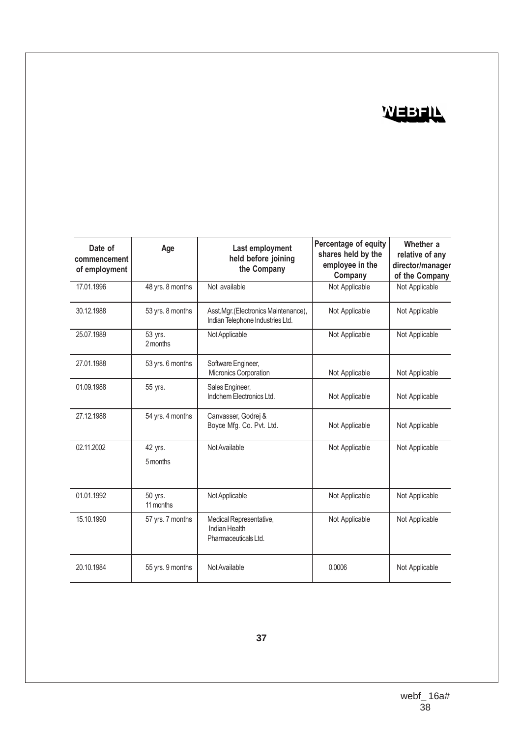# WEBELL

| Date of<br>commencement<br>of employment | Age                  | Last employment<br>held before joining<br>the Company                   | Percentage of equity<br>shares held by the<br>employee in the<br>Company | Whether a<br>relative of any<br>director/manager<br>of the Company |
|------------------------------------------|----------------------|-------------------------------------------------------------------------|--------------------------------------------------------------------------|--------------------------------------------------------------------|
| 17.01.1996                               | 48 yrs. 8 months     | Not available                                                           | Not Applicable                                                           | Not Applicable                                                     |
| 30.12.1988                               | 53 yrs. 8 months     | Asst.Mgr.(Electronics Maintenance),<br>Indian Telephone Industries Ltd. | Not Applicable                                                           | Not Applicable                                                     |
| 25.07.1989                               | 53 yrs.<br>2 months  | Not Applicable                                                          | Not Applicable                                                           | Not Applicable                                                     |
| 27.01.1988                               | 53 yrs. 6 months     | Software Engineer,<br>Micronics Corporation                             | Not Applicable                                                           | Not Applicable                                                     |
| 01.09.1988                               | 55 yrs.              | Sales Engineer,<br>Indchem Electronics Ltd.                             | Not Applicable                                                           | Not Applicable                                                     |
| 27.12.1988                               | 54 yrs. 4 months     | Canvasser, Godrej &<br>Boyce Mfg. Co. Pvt. Ltd.                         | Not Applicable                                                           | Not Applicable                                                     |
| 02.11.2002                               | 42 yrs.<br>5 months  | Not Available                                                           | Not Applicable                                                           | Not Applicable                                                     |
| 01.01.1992                               | 50 yrs.<br>11 months | Not Applicable                                                          | Not Applicable                                                           | Not Applicable                                                     |
| 15.10.1990                               | 57 yrs. 7 months     | Medical Representative,<br>Indian Health<br>Pharmaceuticals Ltd.        | Not Applicable                                                           | Not Applicable                                                     |
| 20.10.1984                               | 55 yrs. 9 months     | Not Available                                                           | 0.0006                                                                   | Not Applicable                                                     |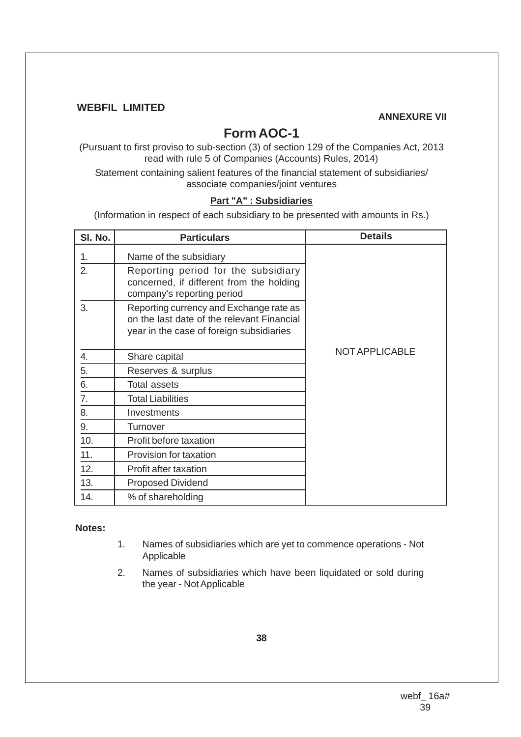### **ANNEXURE VII**

# **Form AOC-1**

(Pursuant to first proviso to sub-section (3) of section 129 of the Companies Act, 2013 read with rule 5 of Companies (Accounts) Rules, 2014)

Statement containing salient features of the financial statement of subsidiaries/ associate companies/joint ventures

# **Part "A" : Subsidiaries**

(Information in respect of each subsidiary to be presented with amounts in Rs.)

| SI. No.          | <b>Particulars</b>                                                                                                                | <b>Details</b> |
|------------------|-----------------------------------------------------------------------------------------------------------------------------------|----------------|
| 1.               | Name of the subsidiary                                                                                                            |                |
| $\overline{2}$ . | Reporting period for the subsidiary<br>concerned, if different from the holding<br>company's reporting period                     |                |
| 3.               | Reporting currency and Exchange rate as<br>on the last date of the relevant Financial<br>year in the case of foreign subsidiaries |                |
| 4.               | Share capital                                                                                                                     | NOT APPLICABLE |
| $\frac{5}{ }$    | Reserves & surplus                                                                                                                |                |
| 6.               | <b>Total assets</b>                                                                                                               |                |
| 7.               | <b>Total Liabilities</b>                                                                                                          |                |
| 8.               | Investments                                                                                                                       |                |
| 9.               | Turnover                                                                                                                          |                |
| 10.              | Profit before taxation                                                                                                            |                |
| 11.              | Provision for taxation                                                                                                            |                |
| 12.              | Profit after taxation                                                                                                             |                |
| 13.              | <b>Proposed Dividend</b>                                                                                                          |                |
| 14.              | % of shareholding                                                                                                                 |                |

### **Notes:**

- 1. Names of subsidiaries which are yet to commence operations Not Applicable
- 2. Names of subsidiaries which have been liquidated or sold during the year - Not Applicable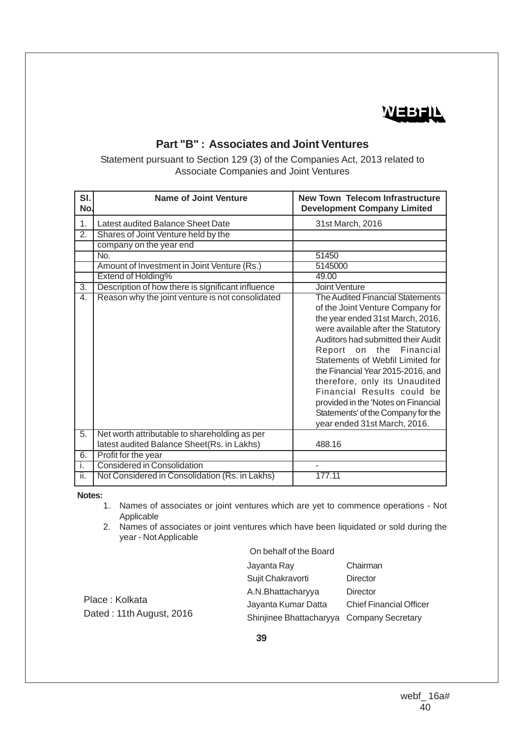WEBELL

# **Part "B" : Associates and Joint Ventures**

Statement pursuant to Section 129 (3) of the Companies Act, 2013 related to Associate Companies and Joint Ventures

| SI.<br>No.       | Name of Joint Venture                             | <b>New Town Telecom Infrastructure</b><br><b>Development Company Limited</b>                                                                                                                                                                                                                                                                                                                                                                                         |
|------------------|---------------------------------------------------|----------------------------------------------------------------------------------------------------------------------------------------------------------------------------------------------------------------------------------------------------------------------------------------------------------------------------------------------------------------------------------------------------------------------------------------------------------------------|
| $\mathbf 1$ .    | Latest audited Balance Sheet Date                 | 31st March, 2016                                                                                                                                                                                                                                                                                                                                                                                                                                                     |
| $\overline{2}$ . | Shares of Joint Venture held by the               |                                                                                                                                                                                                                                                                                                                                                                                                                                                                      |
|                  | company on the year end                           |                                                                                                                                                                                                                                                                                                                                                                                                                                                                      |
|                  | No.                                               | 51450                                                                                                                                                                                                                                                                                                                                                                                                                                                                |
|                  | Amount of Investment in Joint Venture (Rs.)       | 5145000                                                                                                                                                                                                                                                                                                                                                                                                                                                              |
|                  | Extend of Holding%                                | 49.00                                                                                                                                                                                                                                                                                                                                                                                                                                                                |
| $\overline{3}$ . | Description of how there is significant influence | Joint Venture                                                                                                                                                                                                                                                                                                                                                                                                                                                        |
| $\overline{4}$ . | Reason why the joint venture is not consolidated  | The Audited Financial Statements<br>of the Joint Venture Company for<br>the year ended 31st March, 2016,<br>were available after the Statutory<br>Auditors had submitted their Audit<br>Report on the Financial<br>Statements of Webfil Limited for<br>the Financial Year 2015-2016, and<br>therefore, only its Unaudited<br>Financial Results could be<br>provided in the 'Notes on Financial<br>Statements' of the Company for the<br>year ended 31st March, 2016. |
| 5.               | Net worth attributable to shareholding as per     |                                                                                                                                                                                                                                                                                                                                                                                                                                                                      |
|                  | latest audited Balance Sheet(Rs. in Lakhs)        | 488.16                                                                                                                                                                                                                                                                                                                                                                                                                                                               |
| 6.               | Profit for the year                               |                                                                                                                                                                                                                                                                                                                                                                                                                                                                      |
| i.               | <b>Considered in Consolidation</b>                |                                                                                                                                                                                                                                                                                                                                                                                                                                                                      |
| ii.              | Not Considered in Consolidation (Rs. in Lakhs)    | 177.11                                                                                                                                                                                                                                                                                                                                                                                                                                                               |

**Notes:**

- 1. Names of associates or joint ventures which are yet to commence operations Not Applicable
- 2. Names of associates or joint ventures which have been liquidated or sold during the year - Not Applicable

| On behalf of the Board  |                                |
|-------------------------|--------------------------------|
| Jayanta Ray             | Chairman                       |
| Sujit Chakravorti       | Director                       |
| A.N.Bhattacharyya       | Director                       |
| Jayanta Kumar Datta     | <b>Chief Financial Officer</b> |
| Shinjinee Bhattacharyya | <b>Company Secretary</b>       |

Place : Kolkata Dated : 11th August, 2016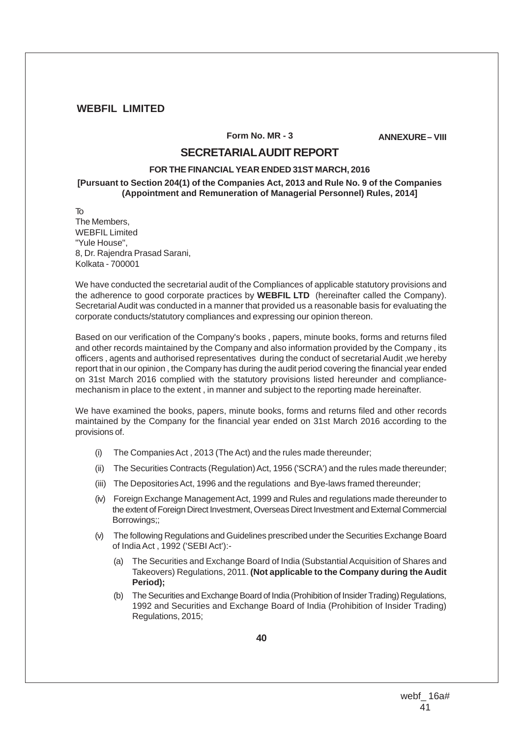### **Form No. MR - 3**

**ANNEXURE– VIII**

# **SECRETARIALAUDIT REPORT**

### **FOR THE FINANCIAL YEAR ENDED 31ST MARCH, 2016**

**[Pursuant to Section 204(1) of the Companies Act, 2013 and Rule No. 9 of the Companies (Appointment and Remuneration of Managerial Personnel) Rules, 2014]**

To

The Members, WEBFIL Limited "Yule House", 8, Dr. Rajendra Prasad Sarani, Kolkata - 700001

We have conducted the secretarial audit of the Compliances of applicable statutory provisions and the adherence to good corporate practices by **WEBFIL LTD** (hereinafter called the Company). Secretarial Audit was conducted in a manner that provided us a reasonable basis for evaluating the corporate conducts/statutory compliances and expressing our opinion thereon.

Based on our verification of the Company's books , papers, minute books, forms and returns filed and other records maintained by the Company and also information provided by the Company , its officers , agents and authorised representatives during the conduct of secretarial Audit ,we hereby report that in our opinion , the Company has during the audit period covering the financial year ended on 31st March 2016 complied with the statutory provisions listed hereunder and compliancemechanism in place to the extent , in manner and subject to the reporting made hereinafter.

We have examined the books, papers, minute books, forms and returns filed and other records maintained by the Company for the financial year ended on 31st March 2016 according to the provisions of.

- (i) The Companies Act , 2013 (The Act) and the rules made thereunder;
- (ii) The Securities Contracts (Regulation) Act, 1956 ('SCRA') and the rules made thereunder;
- (iii) The Depositories Act, 1996 and the regulations and Bye-laws framed thereunder;
- (iv) Foreign Exchange Management Act, 1999 and Rules and regulations made thereunder to the extent of Foreign Direct Investment, Overseas Direct Investment and External Commercial Borrowings;;
- (v) The following Regulations and Guidelines prescribed under the Securities Exchange Board of India Act , 1992 ('SEBI Act'):-
	- (a) The Securities and Exchange Board of India (Substantial Acquisition of Shares and Takeovers) Regulations, 2011. **(Not applicable to the Company during the Audit Period);**
	- (b) The Securities and Exchange Board of India (Prohibition of Insider Trading) Regulations, 1992 and Securities and Exchange Board of India (Prohibition of Insider Trading) Regulations, 2015;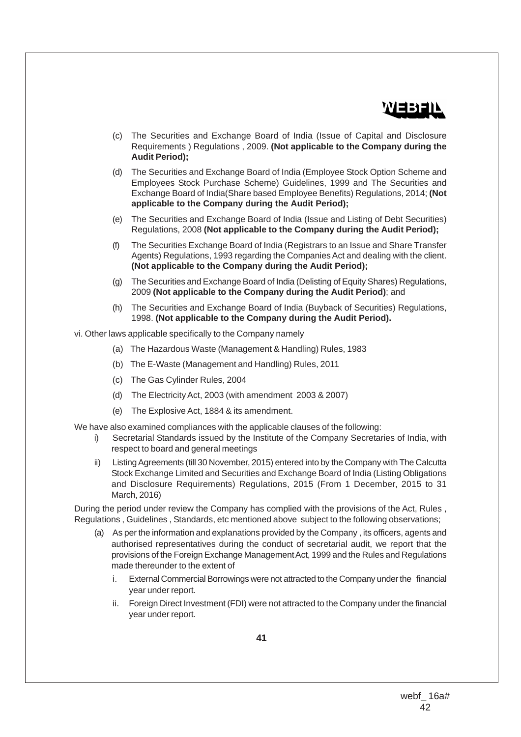

- (c) The Securities and Exchange Board of India (Issue of Capital and Disclosure Requirements ) Regulations , 2009. **(Not applicable to the Company during the Audit Period);**
- (d) The Securities and Exchange Board of India (Employee Stock Option Scheme and Employees Stock Purchase Scheme) Guidelines, 1999 and The Securities and Exchange Board of India(Share based Employee Benefits) Regulations, 2014; **(Not applicable to the Company during the Audit Period);**
- (e) The Securities and Exchange Board of India (Issue and Listing of Debt Securities) Regulations, 2008 **(Not applicable to the Company during the Audit Period);**
- (f) The Securities Exchange Board of India (Registrars to an Issue and Share Transfer Agents) Regulations, 1993 regarding the Companies Act and dealing with the client. **(Not applicable to the Company during the Audit Period);**
- (g) The Securities and Exchange Board of India (Delisting of Equity Shares) Regulations, 2009 **(Not applicable to the Company during the Audit Period)**; and
- (h) The Securities and Exchange Board of India (Buyback of Securities) Regulations, 1998. **(Not applicable to the Company during the Audit Period).**

vi. Other laws applicable specifically to the Company namely

- (a) The Hazardous Waste (Management & Handling) Rules, 1983
- (b) The E-Waste (Management and Handling) Rules, 2011
- (c) The Gas Cylinder Rules, 2004
- (d) The Electricity Act, 2003 (with amendment 2003 & 2007)
- (e) The Explosive Act, 1884 & its amendment.

We have also examined compliances with the applicable clauses of the following:

- i) Secretarial Standards issued by the Institute of the Company Secretaries of India, with respect to board and general meetings
- ii) Listing Agreements (till 30 November, 2015) entered into by the Company with The Calcutta Stock Exchange Limited and Securities and Exchange Board of India (Listing Obligations and Disclosure Requirements) Regulations, 2015 (From 1 December, 2015 to 31 March, 2016)

During the period under review the Company has complied with the provisions of the Act, Rules , Regulations , Guidelines , Standards, etc mentioned above subject to the following observations;

- (a) As per the information and explanations provided by the Company , its officers, agents and authorised representatives during the conduct of secretarial audit, we report that the provisions of the Foreign Exchange Management Act, 1999 and the Rules and Regulations made thereunder to the extent of
	- i. External Commercial Borrowings were not attracted to the Company under the financial year under report.
	- ii. Foreign Direct Investment (FDI) were not attracted to the Company under the financial year under report.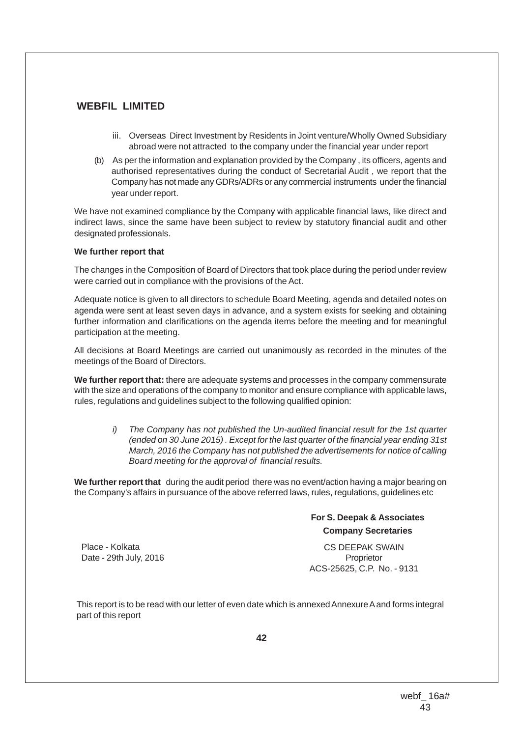- iii. Overseas Direct Investment by Residents in Joint venture/Wholly Owned Subsidiary abroad were not attracted to the company under the financial year under report
- (b) As per the information and explanation provided by the Company , its officers, agents and authorised representatives during the conduct of Secretarial Audit , we report that the Company has not made any GDRs/ADRs or any commercial instruments under the financial year under report.

We have not examined compliance by the Company with applicable financial laws, like direct and indirect laws, since the same have been subject to review by statutory financial audit and other designated professionals.

### **We further report that**

The changes in the Composition of Board of Directors that took place during the period under review were carried out in compliance with the provisions of the Act.

Adequate notice is given to all directors to schedule Board Meeting, agenda and detailed notes on agenda were sent at least seven days in advance, and a system exists for seeking and obtaining further information and clarifications on the agenda items before the meeting and for meaningful participation at the meeting.

All decisions at Board Meetings are carried out unanimously as recorded in the minutes of the meetings of the Board of Directors.

**We further report that:** there are adequate systems and processes in the company commensurate with the size and operations of the company to monitor and ensure compliance with applicable laws, rules, regulations and guidelines subject to the following qualified opinion:

> i) The Company has not published the Un-audited financial result for the 1st quarter (ended on 30 June 2015) . Except for the last quarter of the financial year ending 31st March, 2016 the Company has not published the advertisements for notice of calling Board meeting for the approval of financial results.

**We further report that** during the audit period there was no event/action having a major bearing on the Company's affairs in pursuance of the above referred laws, rules, regulations, guidelines etc

> **For S. Deepak & Associates Company Secretaries**

Place - Kolkata Date - 29th July, 2016

CS DEEPAK SWAIN **Proprietor** ACS-25625, C.P. No. - 9131

This report is to be read with our letter of even date which is annexed Annexure A and forms integral part of this report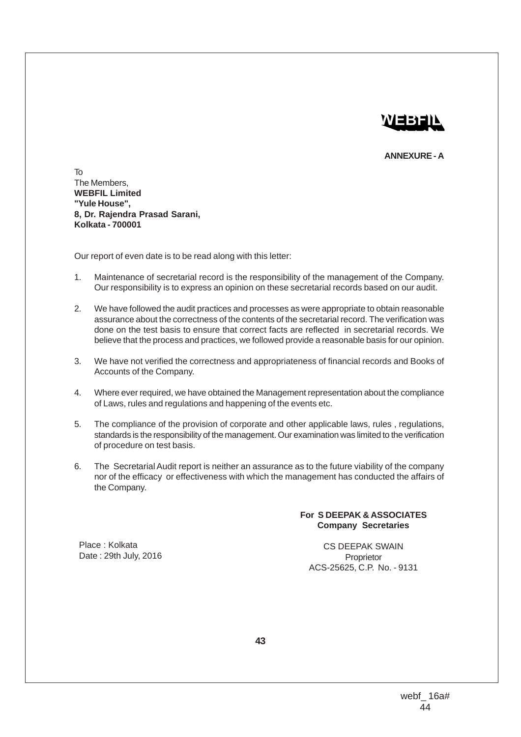

**ANNEXURE - A**

To The Members, **WEBFIL Limited "Yule House", 8, Dr. Rajendra Prasad Sarani, Kolkata - 700001**

Our report of even date is to be read along with this letter:

- 1. Maintenance of secretarial record is the responsibility of the management of the Company. Our responsibility is to express an opinion on these secretarial records based on our audit.
- 2. We have followed the audit practices and processes as were appropriate to obtain reasonable assurance about the correctness of the contents of the secretarial record. The verification was done on the test basis to ensure that correct facts are reflected in secretarial records. We believe that the process and practices, we followed provide a reasonable basis for our opinion.
- 3. We have not verified the correctness and appropriateness of financial records and Books of Accounts of the Company.
- 4. Where ever required, we have obtained the Management representation about the compliance of Laws, rules and regulations and happening of the events etc.
- 5. The compliance of the provision of corporate and other applicable laws, rules , regulations, standards is the responsibility of the management. Our examination was limited to the verification of procedure on test basis.
- 6. The Secretarial Audit report is neither an assurance as to the future viability of the company nor of the efficacy or effectiveness with which the management has conducted the affairs of the Company.

### **For S DEEPAK & ASSOCIATES Company Secretaries**

Place : Kolkata Date : 29th July, 2016

CS DEEPAK SWAIN **Proprietor** ACS-25625, C.P. No. - 9131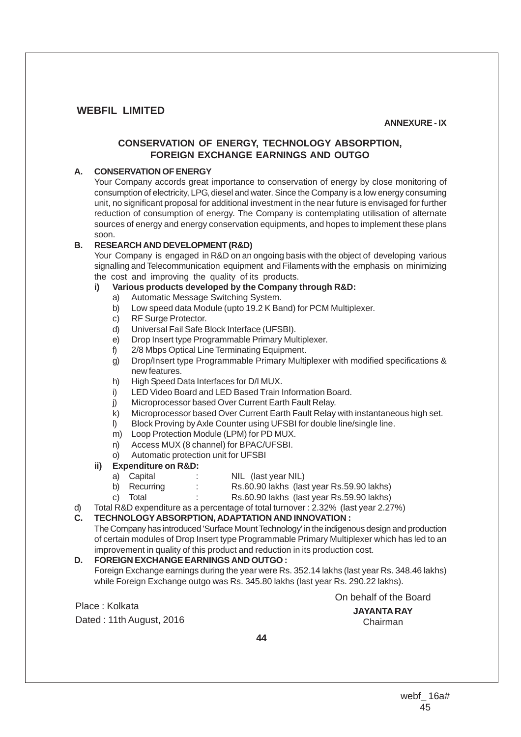### **ANNEXURE - IX**

## **CONSERVATION OF ENERGY, TECHNOLOGY ABSORPTION, FOREIGN EXCHANGE EARNINGS AND OUTGO**

### **A. CONSERVATION OF ENERGY**

Your Company accords great importance to conservation of energy by close monitoring of consumption of electricity, LPG, diesel and water. Since the Company is a low energy consuming unit, no significant proposal for additional investment in the near future is envisaged for further reduction of consumption of energy. The Company is contemplating utilisation of alternate sources of energy and energy conservation equipments, and hopes to implement these plans soon.

### **B. RESEARCH AND DEVELOPMENT (R&D)**

Your Company is engaged in R&D on an ongoing basis with the object of developing various signalling and Telecommunication equipment and Filaments with the emphasis on minimizing the cost and improving the quality of its products.

### **i) Various products developed by the Company through R&D:**

- a) Automatic Message Switching System.
- b) Low speed data Module (upto 19.2 K Band) for PCM Multiplexer.
- c) RF Surge Protector.
- d) Universal Fail Safe Block Interface (UFSBI).
- e) Drop Insert type Programmable Primary Multiplexer.
- f) 2/8 Mbps Optical Line Terminating Equipment.
- g) Drop/Insert type Programmable Primary Multiplexer with modified specifications & new features.
- h) High Speed Data Interfaces for D/I MUX.
- i) LED Video Board and LED Based Train Information Board.
- j) Microprocessor based Over Current Earth Fault Relay.
- k) Microprocessor based Over Current Earth Fault Relay with instantaneous high set.
- l) Block Proving by Axle Counter using UFSBI for double line/single line.
- m) Loop Protection Module (LPM) for PD MUX.
- n) Access MUX (8 channel) for BPAC/UFSBI.
- o) Automatic protection unit for UFSBI

### **ii) Expenditure on R&D:**

- 
- a) Capital : NIL (last year NIL)<br>b) Recurring : Rs.60.90 lakhs (last<br>a) Tatal b) Recurring : Rs.60.90 lakhs (last year Rs.59.90 lakhs)
- c) Total : Rs.60.90 lakhs (last year Rs.59.90 lakhs)
- d) Total R&D expenditure as a percentage of total turnover : 2.32% (last year 2.27%)

### **C. TECHNOLOGYABSORPTION, ADAPTATION AND INNOVATION :**

The Company has introduced 'Surface Mount Technology' in the indigenous design and production of certain modules of Drop Insert type Programmable Primary Multiplexer which has led to an improvement in quality of this product and reduction in its production cost.

### **D. FOREIGN EXCHANGE EARNINGS AND OUTGO :**

Foreign Exchange earnings during the year were Rs. 352.14 lakhs (last year Rs. 348.46 lakhs) while Foreign Exchange outgo was Rs. 345.80 lakhs (last year Rs. 290.22 lakhs).

Place : Kolkata Dated : 11th August, 2016 On behalf of the Board

**JAYANTA RAY** Chairman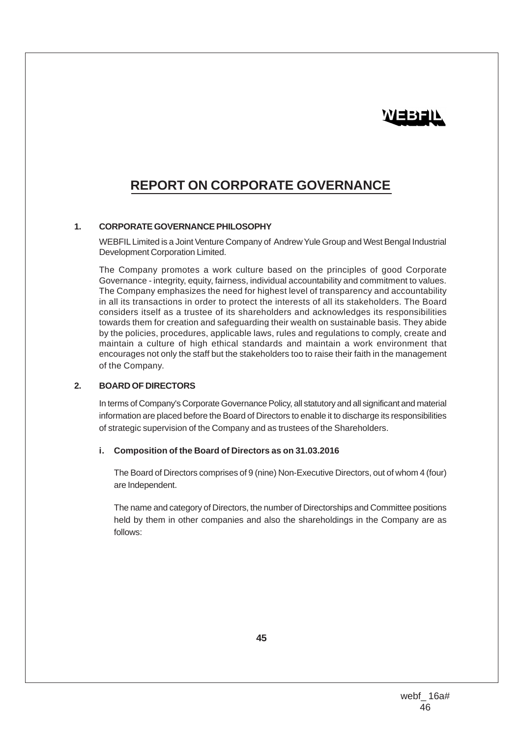

# **REPORT ON CORPORATE GOVERNANCE**

### **1. CORPORATE GOVERNANCE PHILOSOPHY**

WEBFIL Limited is a Joint Venture Company of Andrew Yule Group and West Bengal Industrial Development Corporation Limited.

The Company promotes a work culture based on the principles of good Corporate Governance - integrity, equity, fairness, individual accountability and commitment to values. The Company emphasizes the need for highest level of transparency and accountability in all its transactions in order to protect the interests of all its stakeholders. The Board considers itself as a trustee of its shareholders and acknowledges its responsibilities towards them for creation and safeguarding their wealth on sustainable basis. They abide by the policies, procedures, applicable laws, rules and regulations to comply, create and maintain a culture of high ethical standards and maintain a work environment that encourages not only the staff but the stakeholders too to raise their faith in the management of the Company.

### **2. BOARD OF DIRECTORS**

In terms of Company's Corporate Governance Policy, all statutory and all significant and material information are placed before the Board of Directors to enable it to discharge its responsibilities of strategic supervision of the Company and as trustees of the Shareholders.

### **i. Composition of the Board of Directors as on 31.03.2016**

The Board of Directors comprises of 9 (nine) Non-Executive Directors, out of whom 4 (four) are Independent.

The name and category of Directors, the number of Directorships and Committee positions held by them in other companies and also the shareholdings in the Company are as follows: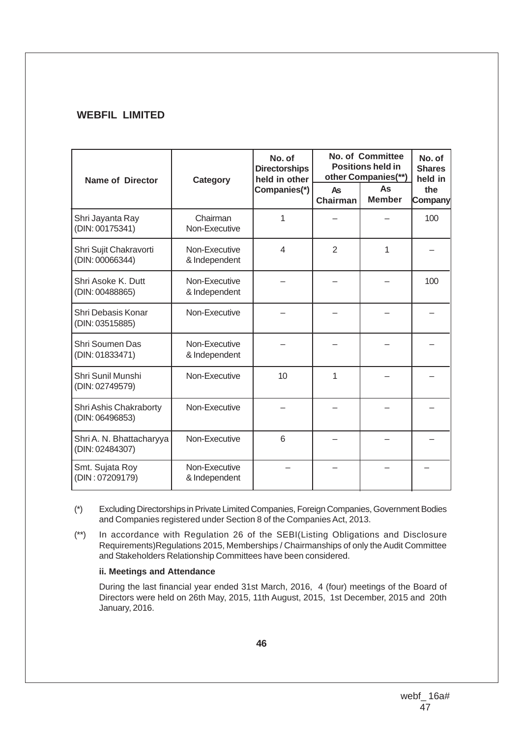| Name of Director                            | Category                       | No. of<br><b>Directorships</b><br>held in other |                       | <b>No. of Committee</b><br><b>Positions held in</b><br>other Companies(**) | No. of<br><b>Shares</b><br>held in |
|---------------------------------------------|--------------------------------|-------------------------------------------------|-----------------------|----------------------------------------------------------------------------|------------------------------------|
|                                             |                                | Companies(*)                                    | <b>As</b><br>Chairman | <b>As</b><br><b>Member</b>                                                 | the<br>Company                     |
| Shri Jayanta Ray<br>(DIN: 00175341)         | Chairman<br>Non-Executive      | 1                                               |                       |                                                                            | 100                                |
| Shri Sujit Chakravorti<br>(DIN: 00066344)   | Non-Executive<br>& Independent | 4                                               | 2                     | 1                                                                          |                                    |
| Shri Asoke K. Dutt<br>(DIN: 00488865)       | Non-Executive<br>& Independent |                                                 |                       |                                                                            | 100                                |
| Shri Debasis Konar<br>(DIN: 03515885)       | Non-Executive                  |                                                 |                       |                                                                            |                                    |
| <b>Shri Soumen Das</b><br>(DIN: 01833471)   | Non-Executive<br>& Independent |                                                 |                       |                                                                            |                                    |
| Shri Sunil Munshi<br>(DIN: 02749579)        | Non-Executive                  | 10                                              | 1                     |                                                                            |                                    |
| Shri Ashis Chakraborty<br>(DIN: 06496853)   | Non-Executive                  |                                                 |                       |                                                                            |                                    |
| Shri A. N. Bhattacharyya<br>(DIN: 02484307) | Non-Executive                  | 6                                               |                       |                                                                            |                                    |
| Smt. Sujata Roy<br>(DIN: 07209179)          | Non-Executive<br>& Independent |                                                 |                       |                                                                            |                                    |

- (\*) Excluding Directorships in Private Limited Companies, Foreign Companies, Government Bodies and Companies registered under Section 8 of the Companies Act, 2013.
- (\*\*) In accordance with Regulation 26 of the SEBI(Listing Obligations and Disclosure Requirements)Regulations 2015, Memberships / Chairmanships of only the Audit Committee and Stakeholders Relationship Committees have been considered.

### **ii. Meetings and Attendance**

During the last financial year ended 31st March, 2016, 4 (four) meetings of the Board of Directors were held on 26th May, 2015, 11th August, 2015, 1st December, 2015 and 20th January, 2016.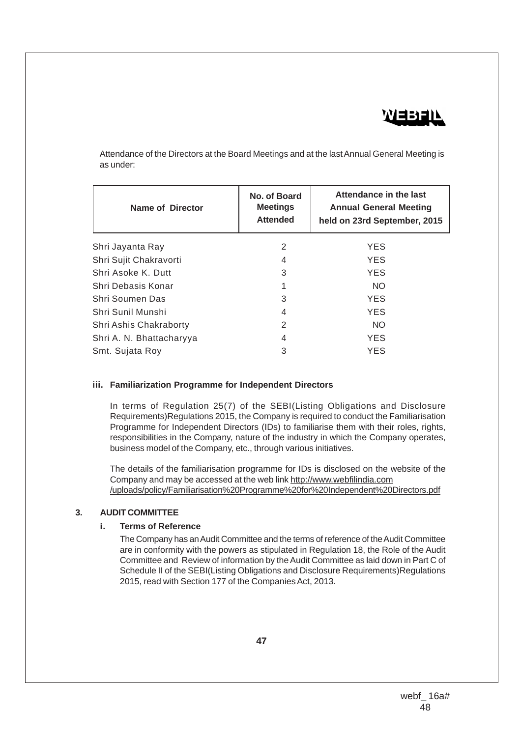

Attendance of the Directors at the Board Meetings and at the last Annual General Meeting is as under:

| Name of Director         | No. of Board<br><b>Meetings</b><br><b>Attended</b> | Attendance in the last<br><b>Annual General Meeting</b><br>held on 23rd September, 2015 |
|--------------------------|----------------------------------------------------|-----------------------------------------------------------------------------------------|
| Shri Jayanta Ray         | 2                                                  | <b>YES</b>                                                                              |
| Shri Sujit Chakravorti   | 4                                                  | <b>YES</b>                                                                              |
| Shri Asoke K. Dutt       | 3                                                  | <b>YES</b>                                                                              |
| Shri Debasis Konar       | 1                                                  | <b>NO</b>                                                                               |
| Shri Soumen Das          | 3                                                  | <b>YES</b>                                                                              |
| Shri Sunil Munshi        | 4                                                  | <b>YES</b>                                                                              |
| Shri Ashis Chakraborty   | 2                                                  | NO.                                                                                     |
| Shri A. N. Bhattacharyya | 4                                                  | <b>YES</b>                                                                              |
| Smt. Sujata Roy          | 3                                                  | <b>YES</b>                                                                              |

### **iii. Familiarization Programme for Independent Directors**

In terms of Regulation 25(7) of the SEBI(Listing Obligations and Disclosure Requirements)Regulations 2015, the Company is required to conduct the Familiarisation Programme for Independent Directors (IDs) to familiarise them with their roles, rights, responsibilities in the Company, nature of the industry in which the Company operates, business model of the Company, etc., through various initiatives.

The details of the familiarisation programme for IDs is disclosed on the website of the Company and may be accessed at the web link http://www.webfilindia.com /uploads/policy/Familiarisation%20Programme%20for%20Independent%20Directors.pdf

### **3. AUDIT COMMITTEE**

### **i. Terms of Reference**

The Company has an Audit Committee and the terms of reference of the Audit Committee are in conformity with the powers as stipulated in Regulation 18, the Role of the Audit Committee and Review of information by the Audit Committee as laid down in Part C of Schedule II of the SEBI(Listing Obligations and Disclosure Requirements)Regulations 2015, read with Section 177 of the Companies Act, 2013.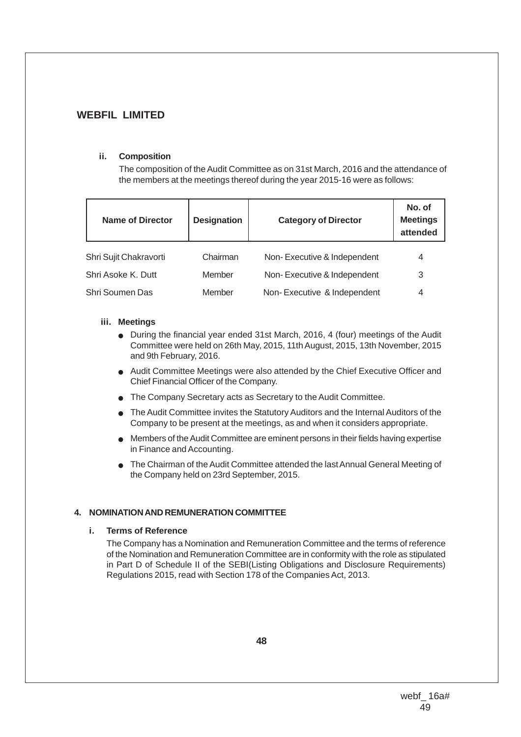### **ii. Composition**

The composition of the Audit Committee as on 31st March, 2016 and the attendance of the members at the meetings thereof during the year 2015-16 were as follows:

| <b>Name of Director</b> | <b>Designation</b> | <b>Category of Director</b> | No. of<br><b>Meetings</b><br>attended |
|-------------------------|--------------------|-----------------------------|---------------------------------------|
| Shri Sujit Chakravorti  | Chairman           | Non-Executive & Independent | 4                                     |
| Shri Asoke K. Dutt      | Member             | Non-Executive & Independent | 3                                     |
| <b>Shri Soumen Das</b>  | Member             | Non-Executive & Independent | 4                                     |

### **iii. Meetings**

- During the financial year ended 31st March, 2016, 4 (four) meetings of the Audit Committee were held on 26th May, 2015, 11th August, 2015, 13th November, 2015 and 9th February, 2016.
- Audit Committee Meetings were also attended by the Chief Executive Officer and Chief Financial Officer of the Company.
- The Company Secretary acts as Secretary to the Audit Committee.
- The Audit Committee invites the Statutory Auditors and the Internal Auditors of the Company to be present at the meetings, as and when it considers appropriate.
- Members of the Audit Committee are eminent persons in their fields having expertise in Finance and Accounting.
- The Chairman of the Audit Committee attended the last Annual General Meeting of the Company held on 23rd September, 2015.

### **4. NOMINATION AND REMUNERATION COMMITTEE**

### **i. Terms of Reference**

The Company has a Nomination and Remuneration Committee and the terms of reference of the Nomination and Remuneration Committee are in conformity with the role as stipulated in Part D of Schedule II of the SEBI(Listing Obligations and Disclosure Requirements) Regulations 2015, read with Section 178 of the Companies Act, 2013.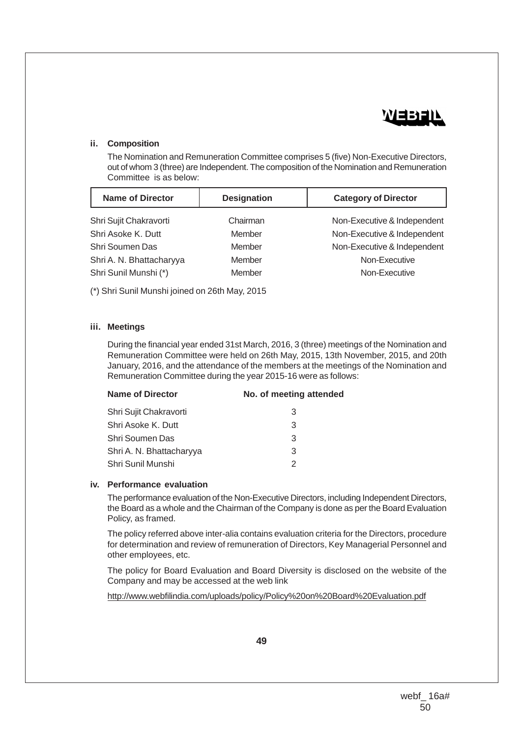

### **ii. Composition**

The Nomination and Remuneration Committee comprises 5 (five) Non-Executive Directors, out of whom 3 (three) are Independent. The composition of the Nomination and Remuneration Committee is as below:

| <b>Name of Director</b>  | <b>Designation</b> | <b>Category of Director</b> |
|--------------------------|--------------------|-----------------------------|
| Shri Sujit Chakravorti   | Chairman           | Non-Executive & Independent |
| Shri Asoke K. Dutt       | Member             | Non-Executive & Independent |
| Shri Soumen Das          | Member             | Non-Executive & Independent |
| Shri A. N. Bhattacharyya | Member             | Non-Executive               |
| Shri Sunil Munshi (*)    | Member             | Non-Executive               |

(\*) Shri Sunil Munshi joined on 26th May, 2015

### **iii. Meetings**

During the financial year ended 31st March, 2016, 3 (three) meetings of the Nomination and Remuneration Committee were held on 26th May, 2015, 13th November, 2015, and 20th January, 2016, and the attendance of the members at the meetings of the Nomination and Remuneration Committee during the year 2015-16 were as follows:

| <b>Name of Director</b>  | No. of meeting attended |
|--------------------------|-------------------------|
| Shri Sujit Chakravorti   | 3                       |
| Shri Asoke K. Dutt       | 3                       |
| Shri Soumen Das          | 3                       |
| Shri A. N. Bhattacharyya | 3                       |
| Shri Sunil Munshi        |                         |

### **iv. Performance evaluation**

The performance evaluation of the Non-Executive Directors, including Independent Directors, the Board as a whole and the Chairman of the Company is done as per the Board Evaluation Policy, as framed.

The policy referred above inter-alia contains evaluation criteria for the Directors, procedure for determination and review of remuneration of Directors, Key Managerial Personnel and other employees, etc.

The policy for Board Evaluation and Board Diversity is disclosed on the website of the Company and may be accessed at the web link

http://www.webfilindia.com/uploads/policy/Policy%20on%20Board%20Evaluation.pdf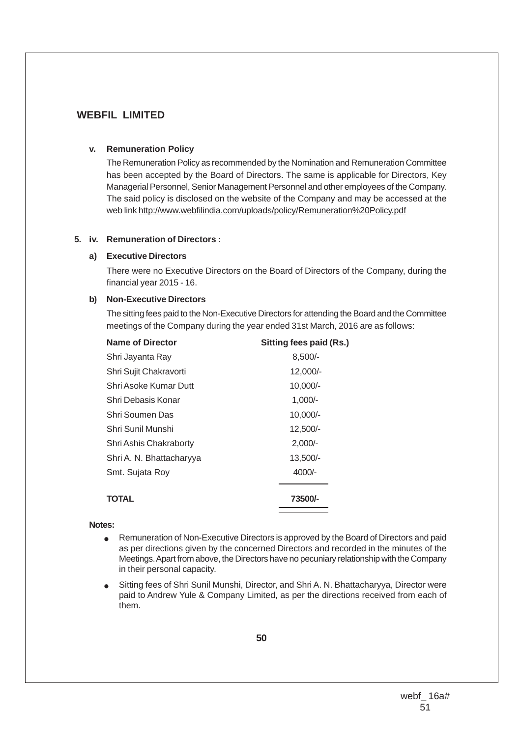### **v. Remuneration Policy**

The Remuneration Policy as recommended by the Nomination and Remuneration Committee has been accepted by the Board of Directors. The same is applicable for Directors, Key Managerial Personnel, Senior Management Personnel and other employees of the Company. The said policy is disclosed on the website of the Company and may be accessed at the web link http://www.webfilindia.com/uploads/policy/Remuneration%20Policy.pdf

### **5. iv. Remuneration of Directors :**

### **a) Executive Directors**

There were no Executive Directors on the Board of Directors of the Company, during the financial year 2015 - 16.

### **b) Non-Executive Directors**

The sitting fees paid to the Non-Executive Directors for attending the Board and the Committee meetings of the Company during the year ended 31st March, 2016 are as follows:

| <b>Name of Director</b>  | Sitting fees paid (Rs.) |
|--------------------------|-------------------------|
| Shri Jayanta Ray         | $8,500/-$               |
| Shri Sujit Chakravorti   | 12,000/-                |
| Shri Asoke Kumar Dutt    | $10,000/-$              |
| Shri Debasis Konar       | $1,000/-$               |
| Shri Soumen Das          | 10,000/-                |
| Shri Sunil Munshi        | $12,500/-$              |
| Shri Ashis Chakraborty   | $2,000/-$               |
| Shri A. N. Bhattacharyya | 13,500/-                |
| Smt. Sujata Roy          | 4000/-                  |
| <b>TOTAL</b>             | 73500/-                 |
|                          |                         |

### **Notes:**

- Remuneration of Non-Executive Directors is approved by the Board of Directors and paid as per directions given by the concerned Directors and recorded in the minutes of the Meetings. Apart from above, the Directors have no pecuniary relationship with the Company in their personal capacity.
- Sitting fees of Shri Sunil Munshi, Director, and Shri A. N. Bhattacharyya, Director were paid to Andrew Yule & Company Limited, as per the directions received from each of them.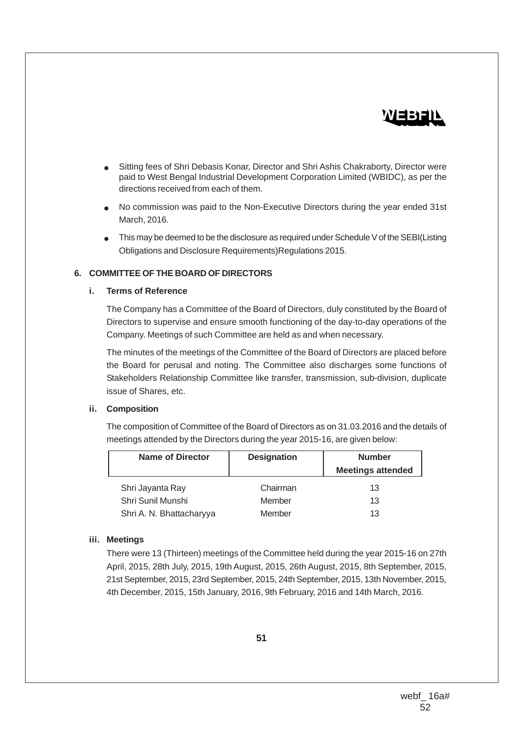

- Sitting fees of Shri Debasis Konar, Director and Shri Ashis Chakraborty, Director were paid to West Bengal Industrial Development Corporation Limited (WBIDC), as per the directions received from each of them.
- No commission was paid to the Non-Executive Directors during the year ended 31st March, 2016.
- This may be deemed to be the disclosure as required under Schedule V of the SEBI(Listing Obligations and Disclosure Requirements)Regulations 2015.

### **6. COMMITTEE OF THE BOARD OF DIRECTORS**

### **i. Terms of Reference**

The Company has a Committee of the Board of Directors, duly constituted by the Board of Directors to supervise and ensure smooth functioning of the day-to-day operations of the Company. Meetings of such Committee are held as and when necessary.

The minutes of the meetings of the Committee of the Board of Directors are placed before the Board for perusal and noting. The Committee also discharges some functions of Stakeholders Relationship Committee like transfer, transmission, sub-division, duplicate issue of Shares, etc.

### **ii. Composition**

The composition of Committee of the Board of Directors as on 31.03.2016 and the details of meetings attended by the Directors during the year 2015-16, are given below:

| <b>Name of Director</b>  | <b>Designation</b> | <b>Number</b><br><b>Meetings attended</b> |
|--------------------------|--------------------|-------------------------------------------|
| Shri Jayanta Ray         | Chairman           | 13                                        |
| Shri Sunil Munshi        | Member             | 13                                        |
| Shri A. N. Bhattacharyya | Member             | 13                                        |

### **iii. Meetings**

There were 13 (Thirteen) meetings of the Committee held during the year 2015-16 on 27th April, 2015, 28th July, 2015, 19th August, 2015, 26th August, 2015, 8th September, 2015, 21st September, 2015, 23rd September, 2015, 24th September, 2015, 13th November, 2015, 4th December, 2015, 15th January, 2016, 9th February, 2016 and 14th March, 2016.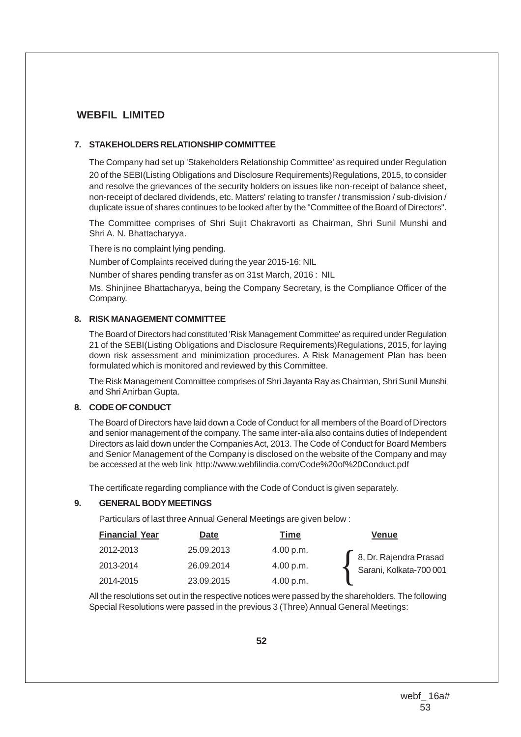### **7. STAKEHOLDERS RELATIONSHIP COMMITTEE**

The Company had set up 'Stakeholders Relationship Committee' as required under Regulation 20 of the SEBI(Listing Obligations and Disclosure Requirements)Regulations, 2015, to consider and resolve the grievances of the security holders on issues like non-receipt of balance sheet, non-receipt of declared dividends, etc. Matters' relating to transfer / transmission / sub-division / duplicate issue of shares continues to be looked after by the "Committee of the Board of Directors".

The Committee comprises of Shri Sujit Chakravorti as Chairman, Shri Sunil Munshi and Shri A. N. Bhattacharyya.

There is no complaint lying pending.

Number of Complaints received during the year 2015-16: NIL

Number of shares pending transfer as on 31st March, 2016 : NIL

Ms. Shinjinee Bhattacharyya, being the Company Secretary, is the Compliance Officer of the Company.

### **8. RISK MANAGEMENT COMMITTEE**

The Board of Directors had constituted 'Risk Management Committee' as required under Regulation 21 of the SEBI(Listing Obligations and Disclosure Requirements)Regulations, 2015, for laying down risk assessment and minimization procedures. A Risk Management Plan has been formulated which is monitored and reviewed by this Committee.

The Risk Management Committee comprises of Shri Jayanta Ray as Chairman, Shri Sunil Munshi and Shri Anirban Gupta.

### **8. CODE OF CONDUCT**

The Board of Directors have laid down a Code of Conduct for all members of the Board of Directors and senior management of the company. The same inter-alia also contains duties of Independent Directors as laid down under the Companies Act, 2013. The Code of Conduct for Board Members and Senior Management of the Company is disclosed on the website of the Company and may be accessed at the web link http://www.webfilindia.com/Code%20of%20Conduct.pdf

The certificate regarding compliance with the Code of Conduct is given separately.

### **9. GENERAL BODY MEETINGS**

Particulars of last three Annual General Meetings are given below :

| <b>Financial Year</b> | <b>Date</b> | Time      | <b>Venue</b>            |
|-----------------------|-------------|-----------|-------------------------|
| 2012-2013             | 25.09.2013  | 4.00 p.m. | 8, Dr. Rajendra Prasad  |
| 2013-2014             | 26.09.2014  | 4.00 p.m. | Sarani, Kolkata-700 001 |
| 2014-2015             | 23.09.2015  | 4.00 p.m. |                         |

All the resolutions set out in the respective notices were passed by the shareholders. The following Special Resolutions were passed in the previous 3 (Three) Annual General Meetings: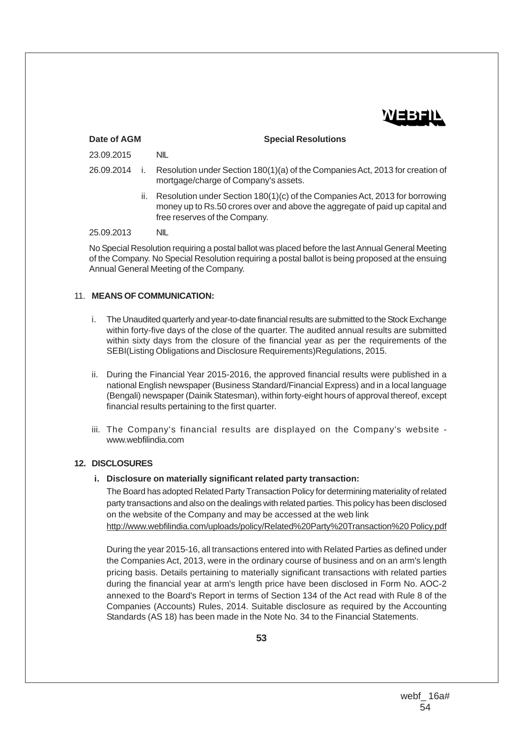

23.09.2015 NIL

### **Date of AGM Special Resolutions**

- 26.09.2014 i. Resolution under Section 180(1)(a) of the Companies Act, 2013 for creation of mortgage/charge of Company's assets.
	- ii. Resolution under Section 180(1)(c) of the Companies Act, 2013 for borrowing money up to Rs.50 crores over and above the aggregate of paid up capital and free reserves of the Company.

25.09.2013 NIL

No Special Resolution requiring a postal ballot was placed before the last Annual General Meeting of the Company. No Special Resolution requiring a postal ballot is being proposed at the ensuing Annual General Meeting of the Company.

### 11. **MEANS OF COMMUNICATION:**

- i. The Unaudited quarterly and year-to-date financial results are submitted to the Stock Exchange within forty-five days of the close of the quarter. The audited annual results are submitted within sixty days from the closure of the financial year as per the requirements of the SEBI(Listing Obligations and Disclosure Requirements)Regulations, 2015.
- ii. During the Financial Year 2015-2016, the approved financial results were published in a national English newspaper (Business Standard/Financial Express) and in a local language (Bengali) newspaper (Dainik Statesman), within forty-eight hours of approval thereof, except financial results pertaining to the first quarter.
- iii. The Company's financial results are displayed on the Company's website www.webfilindia.com

### **12. DISCLOSURES**

### **i. Disclosure on materially significant related party transaction:**

The Board has adopted Related Party Transaction Policy for determining materiality of related party transactions and also on the dealings with related parties. This policy has been disclosed on the website of the Company and may be accessed at the web link http://www.webfilindia.com/uploads/policy/Related%20Party%20Transaction%20 Policy.pdf

During the year 2015-16, all transactions entered into with Related Parties as defined under the Companies Act, 2013, were in the ordinary course of business and on an arm's length pricing basis. Details pertaining to materially significant transactions with related parties during the financial year at arm's length price have been disclosed in Form No. AOC-2 annexed to the Board's Report in terms of Section 134 of the Act read with Rule 8 of the Companies (Accounts) Rules, 2014. Suitable disclosure as required by the Accounting Standards (AS 18) has been made in the Note No. 34 to the Financial Statements.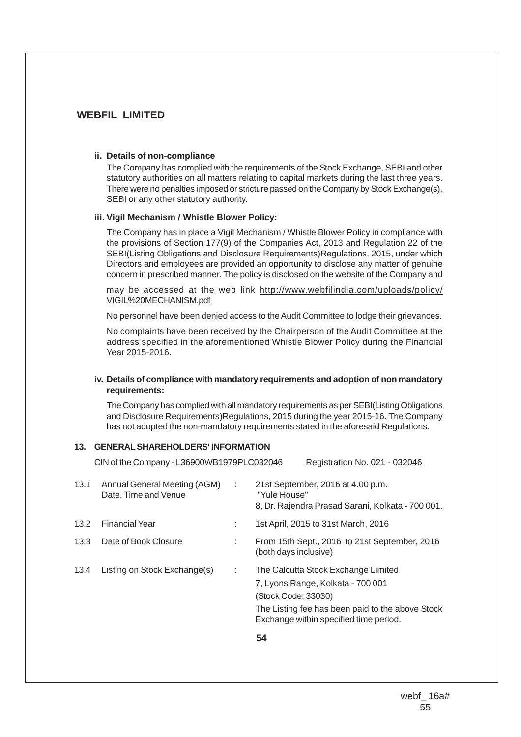### **ii. Details of non-compliance**

The Company has complied with the requirements of the Stock Exchange, SEBI and other statutory authorities on all matters relating to capital markets during the last three years. There were no penalties imposed or stricture passed on the Company by Stock Exchange(s), SEBI or any other statutory authority.

### **iii. Vigil Mechanism / Whistle Blower Policy:**

The Company has in place a Vigil Mechanism / Whistle Blower Policy in compliance with the provisions of Section 177(9) of the Companies Act, 2013 and Regulation 22 of the SEBI(Listing Obligations and Disclosure Requirements)Regulations, 2015, under which Directors and employees are provided an opportunity to disclose any matter of genuine concern in prescribed manner. The policy is disclosed on the website of the Company and

may be accessed at the web link http://www.webfilindia.com/uploads/policy/ VIGIL%20MECHANISM.pdf

No personnel have been denied access to the Audit Committee to lodge their grievances.

No complaints have been received by the Chairperson of the Audit Committee at the address specified in the aforementioned Whistle Blower Policy during the Financial Year 2015-2016.

### **iv. Details of compliance with mandatory requirements and adoption of non mandatory requirements:**

The Company has complied with all mandatory requirements as per SEBI(Listing Obligations and Disclosure Requirements)Regulations, 2015 during the year 2015-16. The Company has not adopted the non-mandatory requirements stated in the aforesaid Regulations.

### **13. GENERAL SHAREHOLDERS' INFORMATION**

|      | CIN of the Company - L36900WB1979PLC032046           |    | Registration No. 021 - 032046                                                                                                                                                                 |
|------|------------------------------------------------------|----|-----------------------------------------------------------------------------------------------------------------------------------------------------------------------------------------------|
| 13.1 | Annual General Meeting (AGM)<br>Date, Time and Venue | t. | 21st September, 2016 at 4.00 p.m.<br>"Yule House"<br>8, Dr. Rajendra Prasad Sarani, Kolkata - 700 001.                                                                                        |
| 13.2 | <b>Financial Year</b>                                | ÷  | 1st April, 2015 to 31st March, 2016                                                                                                                                                           |
| 13.3 | Date of Book Closure                                 | ÷  | From 15th Sept., 2016 to 21st September, 2016<br>(both days inclusive)                                                                                                                        |
| 13.4 | Listing on Stock Exchange(s)                         | ÷  | The Calcutta Stock Exchange Limited<br>7, Lyons Range, Kolkata - 700 001<br>(Stock Code: 33030)<br>The Listing fee has been paid to the above Stock<br>Exchange within specified time period. |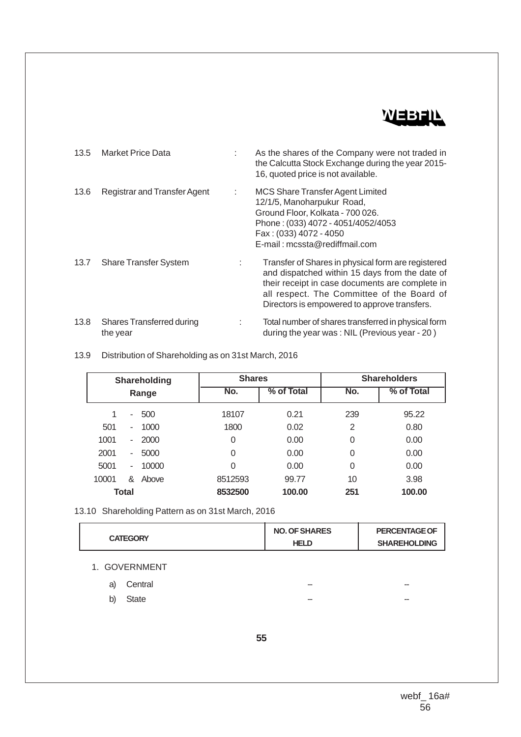

| 13.5 | Market Price Data                            |   | As the shares of the Company were not traded in<br>the Calcutta Stock Exchange during the year 2015-<br>16, quoted price is not available.                                                                                                            |
|------|----------------------------------------------|---|-------------------------------------------------------------------------------------------------------------------------------------------------------------------------------------------------------------------------------------------------------|
| 13.6 | Registrar and Transfer Agent                 | ÷ | <b>MCS Share Transfer Agent Limited</b><br>12/1/5, Manoharpukur Road,<br>Ground Floor, Kolkata - 700 026.<br>Phone: (033) 4072 - 4051/4052/4053<br>Fax: (033) 4072 - 4050<br>E-mail: mcssta@rediffmail.com                                            |
| 13.7 | <b>Share Transfer System</b>                 |   | Transfer of Shares in physical form are registered<br>and dispatched within 15 days from the date of<br>their receipt in case documents are complete in<br>all respect. The Committee of the Board of<br>Directors is empowered to approve transfers. |
| 13.8 | <b>Shares Transferred during</b><br>the year |   | Total number of shares transferred in physical form<br>during the year was: NIL (Previous year - 20)                                                                                                                                                  |

13.9 Distribution of Shareholding as on 31st March, 2016

| <b>Shareholding</b> |                          | <b>Shares</b> |         | <b>Shareholders</b> |                |            |
|---------------------|--------------------------|---------------|---------|---------------------|----------------|------------|
|                     |                          | Range         | No.     | % of Total          | No.            | % of Total |
| 1                   | $\overline{\phantom{a}}$ | 500           | 18107   | 0.21                | 239            | 95.22      |
| 501                 | ۰.                       | 1000          | 1800    | 0.02                | $\overline{2}$ | 0.80       |
| 1001                | $\overline{\phantom{a}}$ | 2000          | 0       | 0.00                | $\Omega$       | 0.00       |
| 2001                | $\overline{\phantom{a}}$ | 5000          | 0       | 0.00                | 0              | 0.00       |
| 5001                | ۰.                       | 10000         | 0       | 0.00                | 0              | 0.00       |
| 10001               | &                        | Above         | 8512593 | 99.77               | 10             | 3.98       |
|                     | Total                    |               | 8532500 | 100.00              | 251            | 100.00     |

13.10 Shareholding Pattern as on 31st March, 2016

| <b>CATEGORY</b> | <b>NO. OF SHARES</b><br><b>HELD</b> | <b>PERCENTAGE OF</b><br><b>SHAREHOLDING</b> |
|-----------------|-------------------------------------|---------------------------------------------|
|                 |                                     |                                             |

# 1. GOVERNMENT

| a) Central | $\sim$ | $-$ |
|------------|--------|-----|
| b) State   | $\sim$ | $-$ |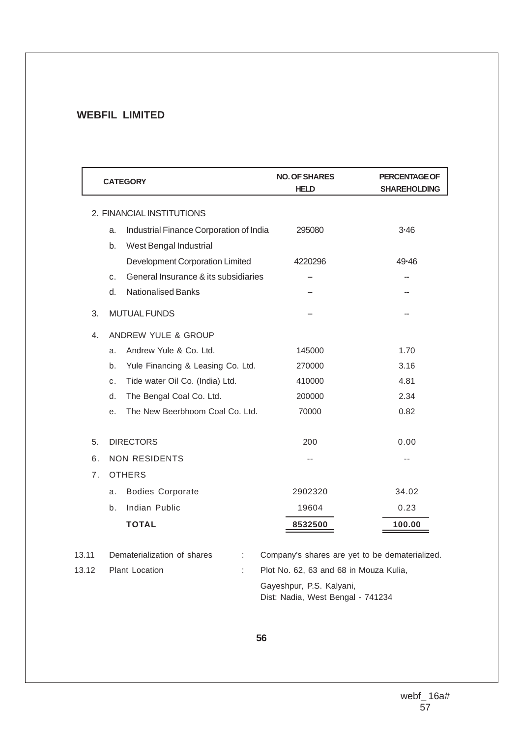|       |                           | <b>CATEGORY</b>                         | <b>NO. OF SHARES</b><br><b>HELD</b>    | <b>PERCENTAGE OF</b><br><b>SHAREHOLDING</b>    |
|-------|---------------------------|-----------------------------------------|----------------------------------------|------------------------------------------------|
|       | 2. FINANCIAL INSTITUTIONS |                                         |                                        |                                                |
|       | a.                        | Industrial Finance Corporation of India | 295080                                 | $3 - 46$                                       |
|       | b.                        | West Bengal Industrial                  |                                        |                                                |
|       |                           | Development Corporation Limited         | 4220296                                | $49 - 46$                                      |
|       | C.                        | General Insurance & its subsidiaries    |                                        |                                                |
|       | d.                        | <b>Nationalised Banks</b>               |                                        |                                                |
| 3.    |                           | <b>MUTUAL FUNDS</b>                     |                                        |                                                |
| 4.    |                           | ANDREW YULE & GROUP                     |                                        |                                                |
|       | a.                        | Andrew Yule & Co. Ltd.                  | 145000                                 | 1.70                                           |
|       | b.                        | Yule Financing & Leasing Co. Ltd.       | 270000                                 | 3.16                                           |
|       | C.                        | Tide water Oil Co. (India) Ltd.         | 410000                                 | 4.81                                           |
|       | d.                        | The Bengal Coal Co. Ltd.                | 200000                                 | 2.34                                           |
|       | е.                        | The New Beerbhoom Coal Co. Ltd.         | 70000                                  | 0.82                                           |
| 5.    |                           | <b>DIRECTORS</b>                        | 200                                    | 0.00                                           |
| 6.    |                           | <b>NON RESIDENTS</b>                    |                                        |                                                |
| 7.    |                           | <b>OTHERS</b>                           |                                        |                                                |
|       | a.                        | <b>Bodies Corporate</b>                 | 2902320                                | 34.02                                          |
|       | b.                        | Indian Public                           | 19604                                  | 0.23                                           |
|       |                           | <b>TOTAL</b>                            | 8532500                                | 100.00                                         |
| 13.11 |                           | Dematerialization of shares             |                                        | Company's shares are yet to be dematerialized. |
| 13.12 |                           | Plant Location                          | Plot No. 62, 63 and 68 in Mouza Kulia, |                                                |

Gayeshpur, P.S. Kalyani, Dist: Nadia, West Bengal - 741234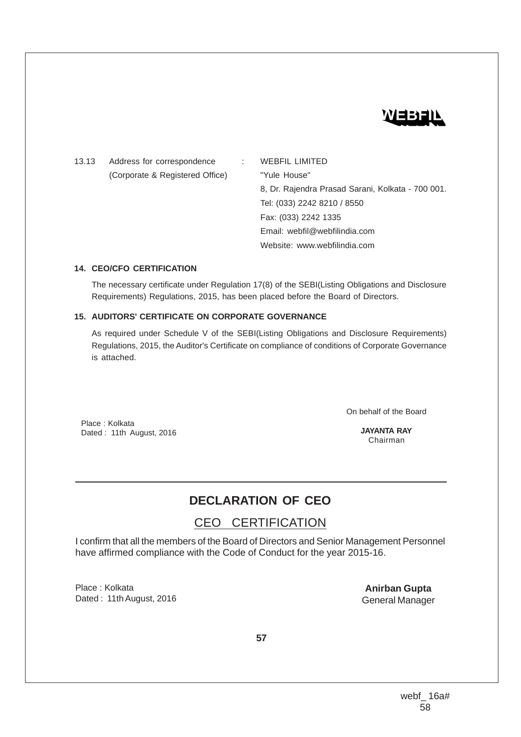

13.13 Address for correspondence : WEBFIL LIMITED (Corporate & Registered Office) "Yule House" 8, Dr. Rajendra Prasad Sarani, Kolkata - 700 001. Tel: (033) 2242 8210 / 8550 Fax: (033) 2242 1335 Email: webfil@webfilindia.com Website: www.webfilindia.com

### **14. CEO/CFO CERTIFICATION**

The necessary certificate under Regulation 17(8) of the SEBI(Listing Obligations and Disclosure Requirements) Regulations, 2015, has been placed before the Board of Directors.

### **15. AUDITORS' CERTIFICATE ON CORPORATE GOVERNANCE**

As required under Schedule V of the SEBI(Listing Obligations and Disclosure Requirements) Regulations, 2015, the Auditor's Certificate on compliance of conditions of Corporate Governance is attached.

Place : Kolkata Dated : 11th August, 2016 On behalf of the Board

**JAYANTA RAY** Chairman

# **DECLARATION OF CEO**

# CEO CERTIFICATION

I confirm that all the members of the Board of Directors and Senior Management Personnel have affirmed compliance with the Code of Conduct for the year 2015-16.

Place : Kolkata Dated : 11th August, 2016

**Anirban Gupta** General Manager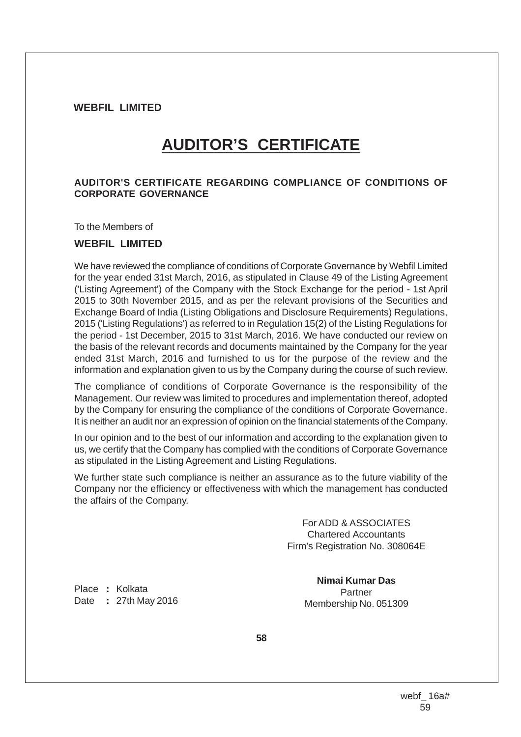# **AUDITOR'S CERTIFICATE**

# **AUDITOR'S CERTIFICATE REGARDING COMPLIANCE OF CONDITIONS OF CORPORATE GOVERNANCE**

To the Members of

# **WEBFIL LIMITED**

We have reviewed the compliance of conditions of Corporate Governance by Webfil Limited for the year ended 31st March, 2016, as stipulated in Clause 49 of the Listing Agreement ('Listing Agreement') of the Company with the Stock Exchange for the period - 1st April 2015 to 30th November 2015, and as per the relevant provisions of the Securities and Exchange Board of India (Listing Obligations and Disclosure Requirements) Regulations, 2015 ('Listing Regulations') as referred to in Regulation 15(2) of the Listing Regulations for the period - 1st December, 2015 to 31st March, 2016. We have conducted our review on the basis of the relevant records and documents maintained by the Company for the year ended 31st March, 2016 and furnished to us for the purpose of the review and the information and explanation given to us by the Company during the course of such review.

The compliance of conditions of Corporate Governance is the responsibility of the Management. Our review was limited to procedures and implementation thereof, adopted by the Company for ensuring the compliance of the conditions of Corporate Governance. It is neither an audit nor an expression of opinion on the financial statements of the Company.

In our opinion and to the best of our information and according to the explanation given to us, we certify that the Company has complied with the conditions of Corporate Governance as stipulated in the Listing Agreement and Listing Regulations.

We further state such compliance is neither an assurance as to the future viability of the Company nor the efficiency or effectiveness with which the management has conducted the affairs of the Company.

> For ADD & ASSOCIATES Chartered Accountants Firm's Registration No. 308064E

Place **:** Kolkata Date **:** 27th May 2016

**Nimai Kumar Das Partner** Membership No. 051309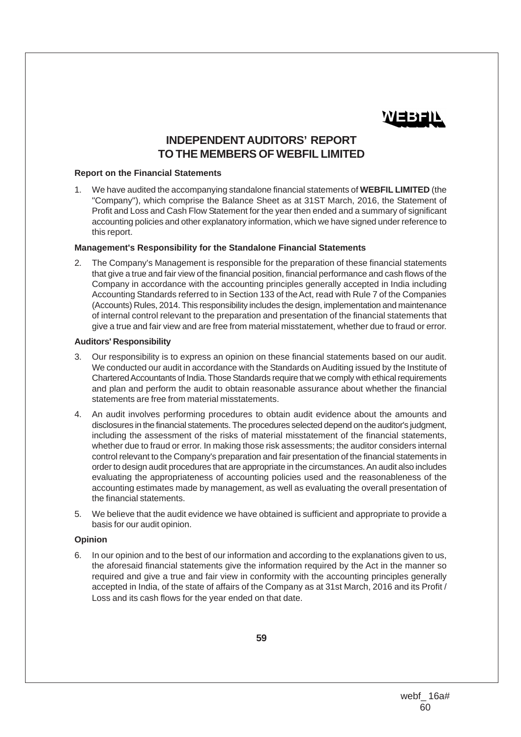

# **INDEPENDENT AUDITORS' REPORT TO THE MEMBERS OF WEBFIL LIMITED**

### **Report on the Financial Statements**

1. We have audited the accompanying standalone financial statements of **WEBFIL LIMITED** (the "Company"), which comprise the Balance Sheet as at 31ST March, 2016, the Statement of Profit and Loss and Cash Flow Statement for the year then ended and a summary of significant accounting policies and other explanatory information, which we have signed under reference to this report.

### **Management's Responsibility for the Standalone Financial Statements**

2. The Company's Management is responsible for the preparation of these financial statements that give a true and fair view of the financial position, financial performance and cash flows of the Company in accordance with the accounting principles generally accepted in India including Accounting Standards referred to in Section 133 of the Act, read with Rule 7 of the Companies (Accounts) Rules, 2014. This responsibility includes the design, implementation and maintenance of internal control relevant to the preparation and presentation of the financial statements that give a true and fair view and are free from material misstatement, whether due to fraud or error.

### **Auditors' Responsibility**

- 3. Our responsibility is to express an opinion on these financial statements based on our audit. We conducted our audit in accordance with the Standards on Auditing issued by the Institute of Chartered Accountants of India. Those Standards require that we comply with ethical requirements and plan and perform the audit to obtain reasonable assurance about whether the financial statements are free from material misstatements.
- 4. An audit involves performing procedures to obtain audit evidence about the amounts and disclosures in the financial statements. The procedures selected depend on the auditor's judgment, including the assessment of the risks of material misstatement of the financial statements, whether due to fraud or error. In making those risk assessments; the auditor considers internal control relevant to the Company's preparation and fair presentation of the financial statements in order to design audit procedures that are appropriate in the circumstances. An audit also includes evaluating the appropriateness of accounting policies used and the reasonableness of the accounting estimates made by management, as well as evaluating the overall presentation of the financial statements.
- 5. We believe that the audit evidence we have obtained is sufficient and appropriate to provide a basis for our audit opinion.

### **Opinion**

6. In our opinion and to the best of our information and according to the explanations given to us, the aforesaid financial statements give the information required by the Act in the manner so required and give a true and fair view in conformity with the accounting principles generally accepted in India, of the state of affairs of the Company as at 31st March, 2016 and its Profit / Loss and its cash flows for the year ended on that date.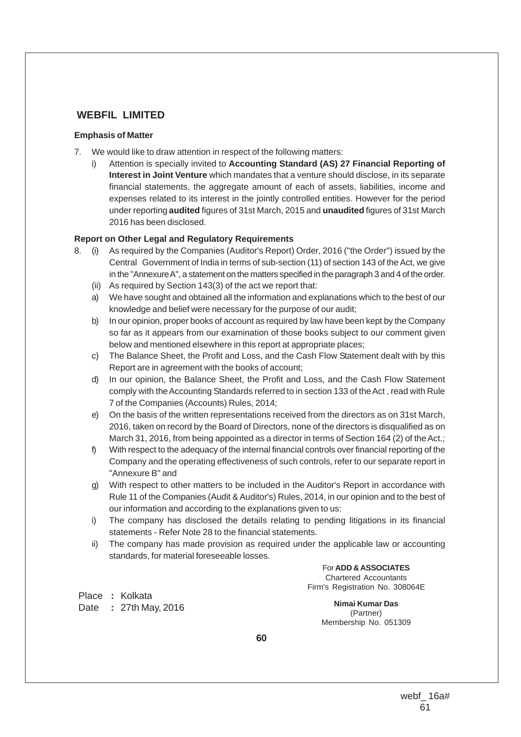### **Emphasis of Matter**

- 7. We would like to draw attention in respect of the following matters:
	- i) Attention is specially invited to **Accounting Standard (AS) 27 Financial Reporting of Interest in Joint Venture** which mandates that a venture should disclose, in its separate financial statements, the aggregate amount of each of assets, liabilities, income and expenses related to its interest in the jointly controlled entities. However for the period under reporting **audited** figures of 31st March, 2015 and **unaudited** figures of 31st March 2016 has been disclosed.

### **Report on Other Legal and Regulatory Requirements**

- 8. (i) As required by the Companies (Auditor's Report) Order, 2016 ("the Order") issued by the Central Government of India in terms of sub-section (11) of section 143 of the Act, we give in the "Annexure A", a statement on the matters specified in the paragraph 3 and 4 of the order.
	- (ii) As required by Section 143(3) of the act we report that:
	- a) We have sought and obtained all the information and explanations which to the best of our knowledge and belief were necessary for the purpose of our audit;
	- b) In our opinion, proper books of account as required by law have been kept by the Company so far as it appears from our examination of those books subject to our comment given below and mentioned elsewhere in this report at appropriate places;
	- c) The Balance Sheet, the Profit and Loss, and the Cash Flow Statement dealt with by this Report are in agreement with the books of account;
	- d) In our opinion, the Balance Sheet, the Profit and Loss, and the Cash Flow Statement comply with the Accounting Standards referred to in section 133 of the Act , read with Rule 7 of the Companies (Accounts) Rules, 2014;
	- e) On the basis of the written representations received from the directors as on 31st March, 2016, taken on record by the Board of Directors, none of the directors is disqualified as on March 31, 2016, from being appointed as a director in terms of Section 164 (2) of the Act.;
	- f) With respect to the adequacy of the internal financial controls over financial reporting of the Company and the operating effectiveness of such controls, refer to our separate report in "Annexure B" and
	- g) With respect to other matters to be included in the Auditor's Report in accordance with Rule 11 of the Companies (Audit & Auditor's) Rules, 2014, in our opinion and to the best of our information and according to the explanations given to us:
	- i) The company has disclosed the details relating to pending litigations in its financial statements - Refer Note 28 to the financial statements.
	- ii) The company has made provision as required under the applicable law or accounting standards, for material foreseeable losses.

For **ADD & ASSOCIATES** Chartered Accountants Firm's Registration No. 308064E

Place **:** Kolkata Date **:** 27th May, 2016

**Nimai Kumar Das** (Partner) Membership No. 051309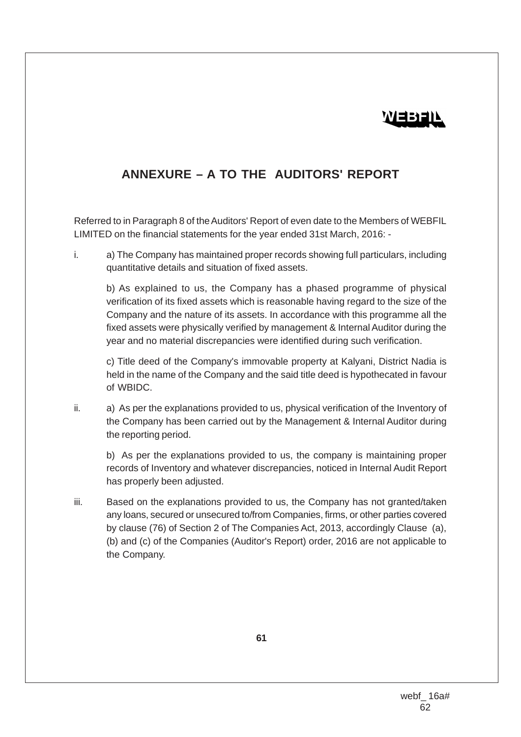

# **ANNEXURE – A TO THE AUDITORS' REPORT**

Referred to in Paragraph 8 of the Auditors' Report of even date to the Members of WEBFIL LIMITED on the financial statements for the year ended 31st March, 2016: -

i. a) The Company has maintained proper records showing full particulars, including quantitative details and situation of fixed assets.

b) As explained to us, the Company has a phased programme of physical verification of its fixed assets which is reasonable having regard to the size of the Company and the nature of its assets. In accordance with this programme all the fixed assets were physically verified by management & Internal Auditor during the year and no material discrepancies were identified during such verification.

c) Title deed of the Company's immovable property at Kalyani, District Nadia is held in the name of the Company and the said title deed is hypothecated in favour of WBIDC.

ii. a) As per the explanations provided to us, physical verification of the Inventory of the Company has been carried out by the Management & Internal Auditor during the reporting period.

b) As per the explanations provided to us, the company is maintaining proper records of Inventory and whatever discrepancies, noticed in Internal Audit Report has properly been adjusted.

iii. Based on the explanations provided to us, the Company has not granted/taken any loans, secured or unsecured to/from Companies, firms, or other parties covered by clause (76) of Section 2 of The Companies Act, 2013, accordingly Clause (a), (b) and (c) of the Companies (Auditor's Report) order, 2016 are not applicable to the Company.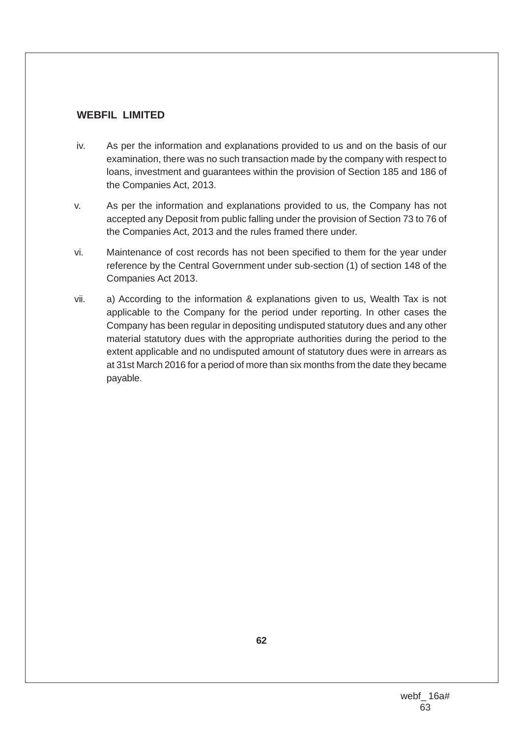- iv. As per the information and explanations provided to us and on the basis of our examination, there was no such transaction made by the company with respect to loans, investment and guarantees within the provision of Section 185 and 186 of the Companies Act, 2013.
- v. As per the information and explanations provided to us, the Company has not accepted any Deposit from public falling under the provision of Section 73 to 76 of the Companies Act, 2013 and the rules framed there under.
- vi. Maintenance of cost records has not been specified to them for the year under reference by the Central Government under sub-section (1) of section 148 of the Companies Act 2013.
- vii. a) According to the information & explanations given to us, Wealth Tax is not applicable to the Company for the period under reporting. In other cases the Company has been regular in depositing undisputed statutory dues and any other material statutory dues with the appropriate authorities during the period to the extent applicable and no undisputed amount of statutory dues were in arrears as at 31st March 2016 for a period of more than six months from the date they became payable.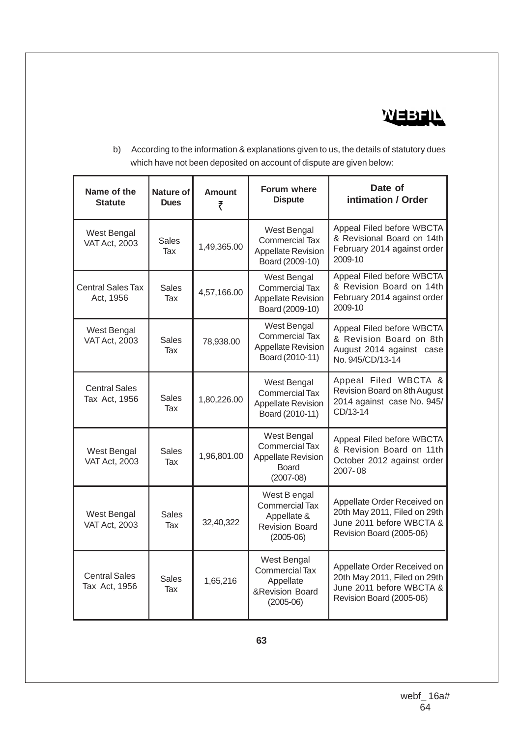

| Name of the<br><b>Statute</b>         | Nature of<br><b>Dues</b> | <b>Amount</b><br>₹ | Forum where<br><b>Dispute</b>                                                                    | Date of<br>intimation / Order                                                                                       |
|---------------------------------------|--------------------------|--------------------|--------------------------------------------------------------------------------------------------|---------------------------------------------------------------------------------------------------------------------|
| West Bengal<br><b>VAT Act, 2003</b>   | Sales<br>Tax             | 1,49,365.00        | West Bengal<br><b>Commercial Tax</b><br><b>Appellate Revision</b><br>Board (2009-10)             | Appeal Filed before WBCTA<br>& Revisional Board on 14th<br>February 2014 against order<br>2009-10                   |
| <b>Central Sales Tax</b><br>Act, 1956 | Sales<br>Tax             | 4,57,166.00        | West Bengal<br><b>Commercial Tax</b><br><b>Appellate Revision</b><br>Board (2009-10)             | Appeal Filed before WBCTA<br>& Revision Board on 14th<br>February 2014 against order<br>2009-10                     |
| West Bengal<br><b>VAT Act, 2003</b>   | Sales<br>Tax             | 78,938.00          | West Bengal<br><b>Commercial Tax</b><br><b>Appellate Revision</b><br>Board (2010-11)             | Appeal Filed before WBCTA<br>& Revision Board on 8th<br>August 2014 against case<br>No. 945/CD/13-14                |
| <b>Central Sales</b><br>Tax Act, 1956 | Sales<br>Tax             | 1,80,226.00        | West Bengal<br><b>Commercial Tax</b><br><b>Appellate Revision</b><br>Board (2010-11)             | Appeal Filed WBCTA &<br>Revision Board on 8th August<br>2014 against case No. 945/<br>CD/13-14                      |
| West Bengal<br><b>VAT Act, 2003</b>   | <b>Sales</b><br>Tax      | 1,96,801.00        | West Bengal<br><b>Commercial Tax</b><br><b>Appellate Revision</b><br><b>Board</b><br>$(2007-08)$ | Appeal Filed before WBCTA<br>& Revision Board on 11th<br>October 2012 against order<br>2007-08                      |
| West Bengal<br><b>VAT Act, 2003</b>   | <b>Sales</b><br>Tax      | 32,40,322          | West B engal<br><b>Commercial Tax</b><br>Appellate &<br><b>Revision Board</b><br>$(2005-06)$     | Appellate Order Received on<br>20th May 2011, Filed on 29th<br>June 2011 before WBCTA &<br>Revision Board (2005-06) |
| <b>Central Sales</b><br>Tax Act, 1956 | Sales<br>Tax             | 1,65,216           | West Bengal<br><b>Commercial Tax</b><br>Appellate<br>&Revision Board<br>$(2005-06)$              | Appellate Order Received on<br>20th May 2011, Filed on 29th<br>June 2011 before WBCTA &<br>Revision Board (2005-06) |

b) According to the information & explanations given to us, the details of statutory dues which have not been deposited on account of dispute are given below: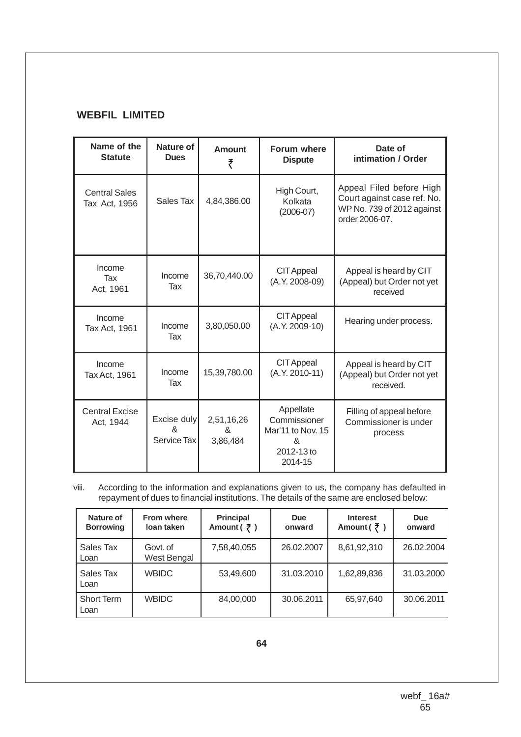| Name of the<br><b>Statute</b>                            | Nature of<br><b>Dues</b>                                       | Amount<br>₹                          | Forum where<br><b>Dispute</b>                                                | Date of<br>intimation / Order                                                                           |
|----------------------------------------------------------|----------------------------------------------------------------|--------------------------------------|------------------------------------------------------------------------------|---------------------------------------------------------------------------------------------------------|
| <b>Central Sales</b><br>Tax Act, 1956                    | Sales Tax                                                      | 4,84,386.00                          | High Court,<br>Kolkata<br>$(2006-07)$                                        | Appeal Filed before High<br>Court against case ref. No.<br>WP No. 739 of 2012 against<br>order 2006-07. |
| Income<br>Tax<br>Act, 1961                               | 36,70,440.00<br>Income<br>Tax                                  |                                      | <b>CITAppeal</b><br>$(A.Y. 2008-09)$                                         | Appeal is heard by CIT<br>(Appeal) but Order not yet<br>received                                        |
| Income<br>Income<br>Tax Act, 1961<br>Tax                 |                                                                | 3,80,050.00                          | <b>CIT</b> Appeal<br>$(A.Y. 2009-10)$                                        | Hearing under process.                                                                                  |
| Income<br>Income<br>15,39,780.00<br>Tax Act, 1961<br>Tax |                                                                | <b>CITAppeal</b><br>$(A.Y. 2010-11)$ | Appeal is heard by CIT<br>(Appeal) but Order not yet<br>received.            |                                                                                                         |
| <b>Central Excise</b><br>Act, 1944                       | Excise duly<br>2,51,16,26<br>&<br>&<br>Service Tax<br>3,86,484 |                                      | Appellate<br>Commissioner<br>Mar'11 to Nov. 15<br>&<br>2012-13 to<br>2014-15 | Filling of appeal before<br>Commissioner is under<br>process                                            |

viii. According to the information and explanations given to us, the company has defaulted in repayment of dues to financial institutions. The details of the same are enclosed below:

| Nature of<br><b>Borrowing</b> | <b>From where</b><br>loan taken | <b>Principal</b><br>Amount ( $\overline{z}$ ) | <b>Due</b><br>onward | <b>Interest</b><br>Amount $(\bar{z})$ | <b>Due</b><br>onward |
|-------------------------------|---------------------------------|-----------------------------------------------|----------------------|---------------------------------------|----------------------|
| Sales Tax<br>Loan             | Govt. of<br>West Bengal         | 7,58,40,055                                   | 26.02.2007           | 8,61,92,310                           | 26.02.2004           |
| Sales Tax<br>Loan             | <b>WBIDC</b>                    | 53,49,600                                     | 31.03.2010           | 1,62,89,836                           | 31.03.2000           |
| <b>Short Term</b><br>Loan     | <b>WBIDC</b>                    | 84,00,000                                     | 30.06.2011           | 65,97,640                             | 30.06.2011           |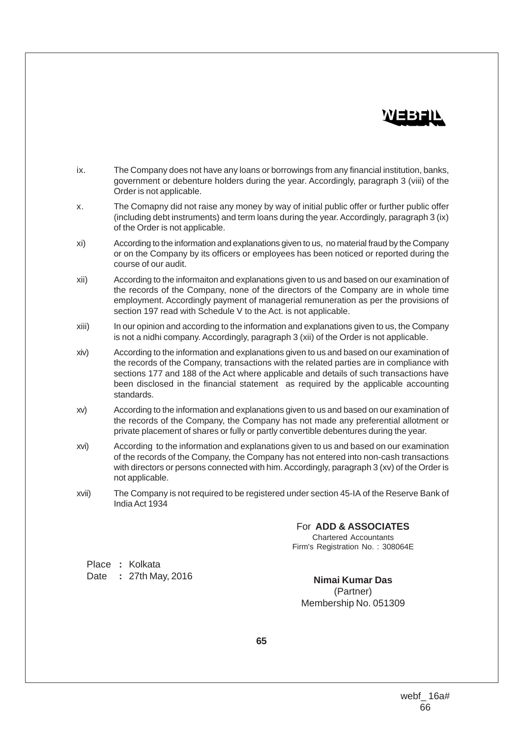

- ix. The Company does not have any loans or borrowings from any financial institution, banks, government or debenture holders during the year. Accordingly, paragraph 3 (viii) of the Order is not applicable.
- x. The Comapny did not raise any money by way of initial public offer or further public offer (including debt instruments) and term loans during the year. Accordingly, paragraph 3 (ix) of the Order is not applicable.
- xi) According to the information and explanations given to us, no material fraud by the Company or on the Company by its officers or employees has been noticed or reported during the course of our audit.
- xii) According to the informaiton and explanations given to us and based on our examination of the records of the Company, none of the directors of the Company are in whole time employment. Accordingly payment of managerial remuneration as per the provisions of section 197 read with Schedule V to the Act. is not applicable.
- xiii) In our opinion and according to the information and explanations given to us, the Company is not a nidhi company. Accordingly, paragraph 3 (xii) of the Order is not applicable.
- xiv) According to the information and explanations given to us and based on our examination of the records of the Company, transactions with the related parties are in compliance with sections 177 and 188 of the Act where applicable and details of such transactions have been disclosed in the financial statement as required by the applicable accounting standards.
- xv) According to the information and explanations given to us and based on our examination of the records of the Company, the Company has not made any preferential allotment or private placement of shares or fully or partly convertible debentures during the year.
- xvi) According to the information and explanations given to us and based on our examination of the records of the Company, the Company has not entered into non-cash transactions with directors or persons connected with him. Accordingly, paragraph 3 (xv) of the Order is not applicable.
- xvii) The Company is not required to be registered under section 45-IA of the Reserve Bank of India Act 1934

For **ADD & ASSOCIATES**

Chartered Accountants Firm's Registration No. : 308064E

Place **:** Kolkata Date **:** 27th May, 2016

**Nimai Kumar Das** (Partner) Membership No. 051309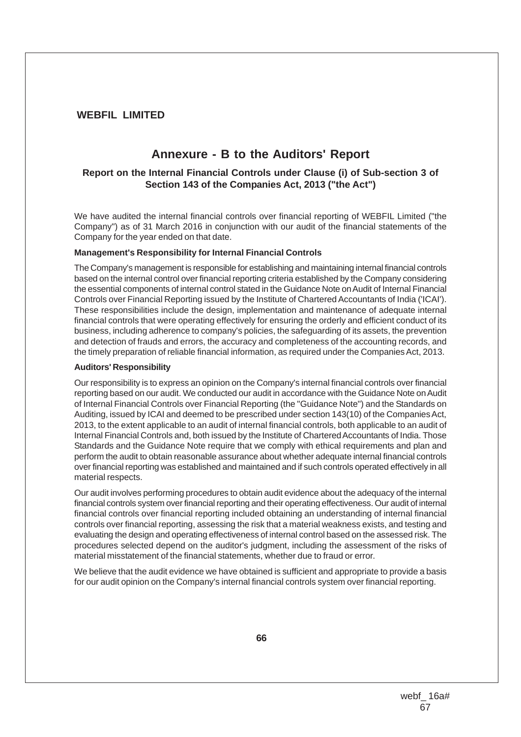# **Annexure - B to the Auditors' Report**

## **Report on the Internal Financial Controls under Clause (i) of Sub-section 3 of Section 143 of the Companies Act, 2013 ("the Act")**

We have audited the internal financial controls over financial reporting of WEBFIL Limited ("the Company") as of 31 March 2016 in conjunction with our audit of the financial statements of the Company for the year ended on that date.

### **Management's Responsibility for Internal Financial Controls**

The Company's management is responsible for establishing and maintaining internal financial controls based on the internal control over financial reporting criteria established by the Company considering the essential components of internal control stated in the Guidance Note on Audit of Internal Financial Controls over Financial Reporting issued by the Institute of Chartered Accountants of India ('ICAI'). These responsibilities include the design, implementation and maintenance of adequate internal financial controls that were operating effectively for ensuring the orderly and efficient conduct of its business, including adherence to company's policies, the safeguarding of its assets, the prevention and detection of frauds and errors, the accuracy and completeness of the accounting records, and the timely preparation of reliable financial information, as required under the Companies Act, 2013.

### **Auditors' Responsibility**

Our responsibility is to express an opinion on the Company's internal financial controls over financial reporting based on our audit. We conducted our audit in accordance with the Guidance Note on Audit of Internal Financial Controls over Financial Reporting (the "Guidance Note") and the Standards on Auditing, issued by ICAI and deemed to be prescribed under section 143(10) of the Companies Act, 2013, to the extent applicable to an audit of internal financial controls, both applicable to an audit of Internal Financial Controls and, both issued by the Institute of Chartered Accountants of India. Those Standards and the Guidance Note require that we comply with ethical requirements and plan and perform the audit to obtain reasonable assurance about whether adequate internal financial controls over financial reporting was established and maintained and if such controls operated effectively in all material respects.

Our audit involves performing procedures to obtain audit evidence about the adequacy of the internal financial controls system over financial reporting and their operating effectiveness. Our audit of internal financial controls over financial reporting included obtaining an understanding of internal financial controls over financial reporting, assessing the risk that a material weakness exists, and testing and evaluating the design and operating effectiveness of internal control based on the assessed risk. The procedures selected depend on the auditor's judgment, including the assessment of the risks of material misstatement of the financial statements, whether due to fraud or error.

We believe that the audit evidence we have obtained is sufficient and appropriate to provide a basis for our audit opinion on the Company's internal financial controls system over financial reporting.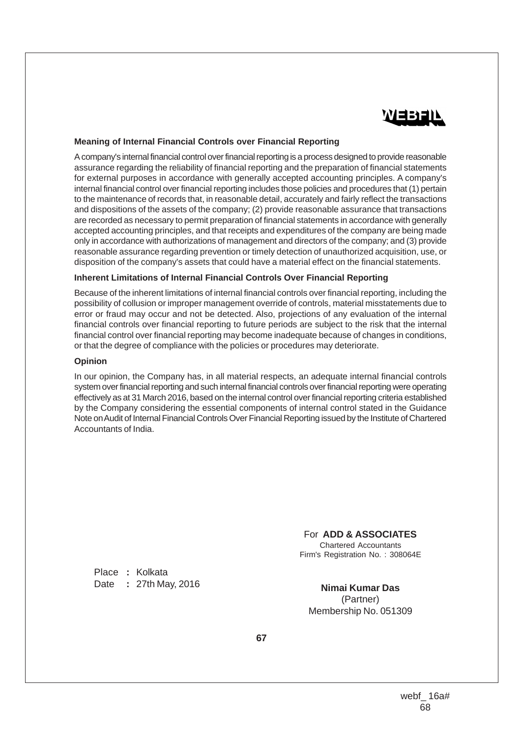

### **Meaning of Internal Financial Controls over Financial Reporting**

A company's internal financial control over financial reporting is a process designed to provide reasonable assurance regarding the reliability of financial reporting and the preparation of financial statements for external purposes in accordance with generally accepted accounting principles. A company's internal financial control over financial reporting includes those policies and procedures that (1) pertain to the maintenance of records that, in reasonable detail, accurately and fairly reflect the transactions and dispositions of the assets of the company; (2) provide reasonable assurance that transactions are recorded as necessary to permit preparation of financial statements in accordance with generally accepted accounting principles, and that receipts and expenditures of the company are being made only in accordance with authorizations of management and directors of the company; and (3) provide reasonable assurance regarding prevention or timely detection of unauthorized acquisition, use, or disposition of the company's assets that could have a material effect on the financial statements.

### **Inherent Limitations of Internal Financial Controls Over Financial Reporting**

Because of the inherent limitations of internal financial controls over financial reporting, including the possibility of collusion or improper management override of controls, material misstatements due to error or fraud may occur and not be detected. Also, projections of any evaluation of the internal financial controls over financial reporting to future periods are subject to the risk that the internal financial control over financial reporting may become inadequate because of changes in conditions, or that the degree of compliance with the policies or procedures may deteriorate.

### **Opinion**

In our opinion, the Company has, in all material respects, an adequate internal financial controls system over financial reporting and such internal financial controls over financial reporting were operating effectively as at 31 March 2016, based on the internal control over financial reporting criteria established by the Company considering the essential components of internal control stated in the Guidance Note on Audit of Internal Financial Controls Over Financial Reporting issued by the Institute of Chartered Accountants of India.

## For **ADD & ASSOCIATES**

Chartered Accountants Firm's Registration No. : 308064E

Place **:** Kolkata Date **:** 27th May, 2016

**Nimai Kumar Das** (Partner) Membership No. 051309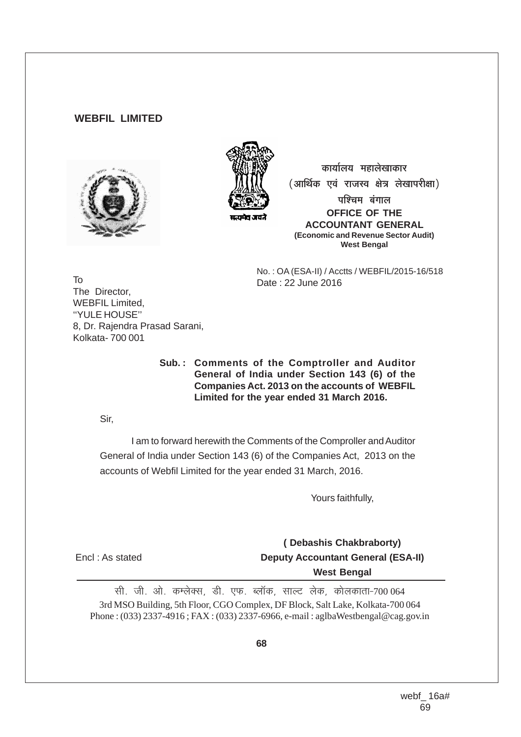



कार्यालय महालेखाकार (आर्थिक एवं राजस्व क्षेत्र लेखापरीक्षा) पश्चिम बंगाल **OFFICE OF THE ACCOUNTANT GENERAL (Economic and Revenue Sector Audit) West Bengal**

No. : OA (ESA-II) / Acctts / WEBFIL/2015-16/518

To Date: 22 June 2016 The Director, WEBFIL Limited, ''YULE HOUSE'' 8, Dr. Rajendra Prasad Sarani, Kolkata- 700 001

> **Sub. : Comments of the Comptroller and Auditor General of India under Section 143 (6) of the Companies Act. 2013 on the accounts of WEBFIL Limited for the year ended 31 March 2016.**

Sir,

Encl : As stated

I am to forward herewith the Comments of the Comproller and Auditor General of India under Section 143 (6) of the Companies Act, 2013 on the accounts of Webfil Limited for the year ended 31 March, 2016.

Yours faithfully,

**( Debashis Chakbraborty) Deputy Accountant General (ESA-II) West Bengal**

सी. जी. ओ. कम्लेक्स. डी. एफ. ब्लॉक, साल्ट लेक, कोलकाता-700 064 3rd MSO Building, 5th Floor, CGO Complex, DF Block, Salt Lake, Kolkata-700 064 Phone : (033) 2337-4916 ; FAX : (033) 2337-6966, e-mail : aglbaWestbengal@cag.gov.in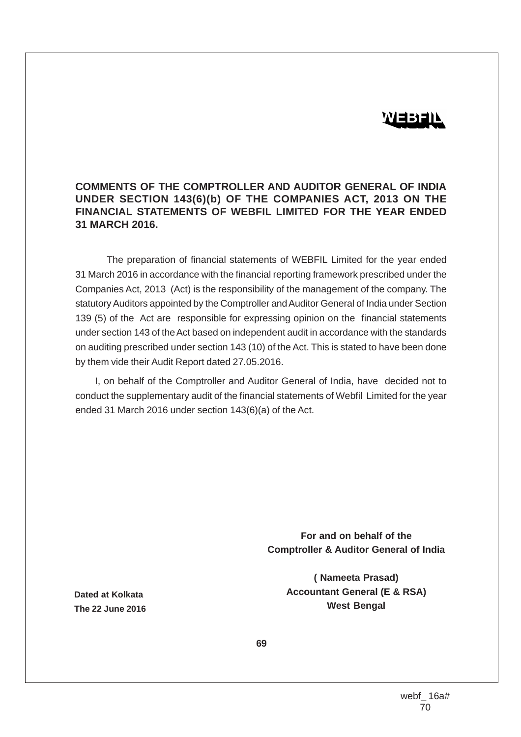

# **COMMENTS OF THE COMPTROLLER AND AUDITOR GENERAL OF INDIA UNDER SECTION 143(6)(b) OF THE COMPANIES ACT, 2013 ON THE FINANCIAL STATEMENTS OF WEBFIL LIMITED FOR THE YEAR ENDED 31 MARCH 2016.**

The preparation of financial statements of WEBFIL Limited for the year ended 31 March 2016 in accordance with the financial reporting framework prescribed under the Companies Act, 2013 (Act) is the responsibility of the management of the company. The statutory Auditors appointed by the Comptroller and Auditor General of India under Section 139 (5) of the Act are responsible for expressing opinion on the financial statements under section 143 of the Act based on independent audit in accordance with the standards on auditing prescribed under section 143 (10) of the Act. This is stated to have been done by them vide their Audit Report dated 27.05.2016.

I, on behalf of the Comptroller and Auditor General of India, have decided not to conduct the supplementary audit of the financial statements of Webfil Limited for the year ended 31 March 2016 under section 143(6)(a) of the Act.

> **For and on behalf of the Comptroller & Auditor General of India**

> > **( Nameeta Prasad) Accountant General (E & RSA) West Bengal**

**Dated at Kolkata The 22 June 2016**

**69**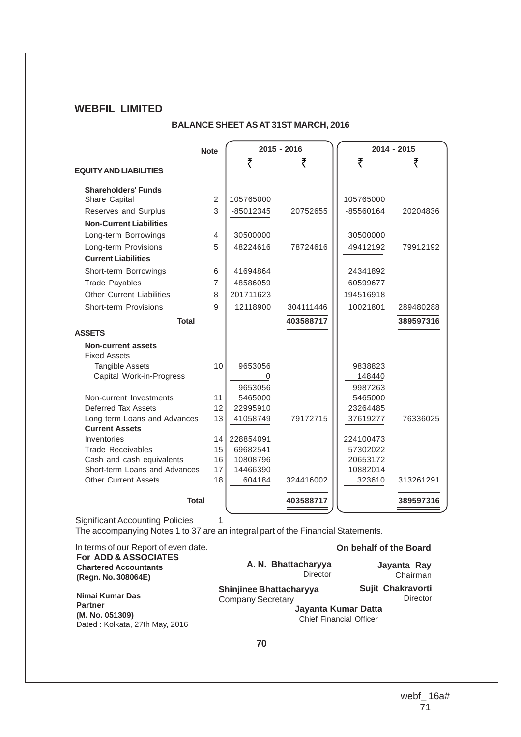### **BALANCE SHEET AS AT 31ST MARCH, 2016**

|                                  | <b>Note</b>    | 2015 - 2016         |           |                     | 2014 - 2015 |  |
|----------------------------------|----------------|---------------------|-----------|---------------------|-------------|--|
|                                  |                | ₹                   | ₹         | ₹                   | ₹           |  |
| <b>EQUITY AND LIABILITIES</b>    |                |                     |           |                     |             |  |
| <b>Shareholders' Funds</b>       |                |                     |           |                     |             |  |
| Share Capital                    | 2              | 105765000           |           | 105765000           |             |  |
| Reserves and Surplus             | 3              | -85012345           | 20752655  | -85560164           | 20204836    |  |
| <b>Non-Current Liabilities</b>   |                |                     |           |                     |             |  |
| Long-term Borrowings             | $\overline{4}$ | 30500000            |           | 30500000            |             |  |
| Long-term Provisions             | 5              | 48224616            | 78724616  | 49412192            | 79912192    |  |
| <b>Current Liabilities</b>       |                |                     |           |                     |             |  |
| Short-term Borrowings            | 6              | 41694864            |           | 24341892            |             |  |
| <b>Trade Payables</b>            | 7              | 48586059            |           | 60599677            |             |  |
| <b>Other Current Liabilities</b> | 8              | 201711623           |           | 194516918           |             |  |
| Short-term Provisions            | 9              | 12118900            | 304111446 | 10021801            | 289480288   |  |
| <b>Total</b>                     |                |                     | 403588717 |                     | 389597316   |  |
| <b>ASSETS</b>                    |                |                     |           |                     |             |  |
| <b>Non-current assets</b>        |                |                     |           |                     |             |  |
| <b>Fixed Assets</b>              |                |                     |           |                     |             |  |
| <b>Tangible Assets</b>           | 10             | 9653056             |           | 9838823             |             |  |
| Capital Work-in-Progress         |                | O                   |           | 148440              |             |  |
| Non-current Investments          |                | 9653056             |           | 9987263             |             |  |
| Deferred Tax Assets              | 11<br>12       | 5465000<br>22995910 |           | 5465000<br>23264485 |             |  |
| Long term Loans and Advances     | 13             | 41058749            | 79172715  | 37619277            | 76336025    |  |
| <b>Current Assets</b>            |                |                     |           |                     |             |  |
| Inventories                      | 14             | 228854091           |           | 224100473           |             |  |
| <b>Trade Receivables</b>         | 15             | 69682541            |           | 57302022            |             |  |
| Cash and cash equivalents        | 16             | 10808796            |           | 20653172            |             |  |
| Short-term Loans and Advances    | 17             | 14466390            |           | 10882014            |             |  |
| <b>Other Current Assets</b>      | 18             | 604184              | 324416002 | 323610              | 313261291   |  |
| Total                            |                |                     | 403588717 |                     | 389597316   |  |

Significant Accounting Policies 1

The accompanying Notes 1 to 37 are an integral part of the Financial Statements.

### **For ADD & ASSOCIATES Chartered Accountants (Regn. No. 308064E)** In terms of our Report of even date.

Dated : Kolkata, 27th May, 2016

**Nimai Kumar Das**

**(M. No. 051309)**

**Partner**

**On behalf of the Board**

**Jayanta Ray** Chairman

**Shinjinee Bhattacharyya** Company Secretary

**A. N. Bhattacharyya**

**Sujit Chakravorti** Director

**Jayanta Kumar Datta** Chief Financial Officer

**Director** 

**70**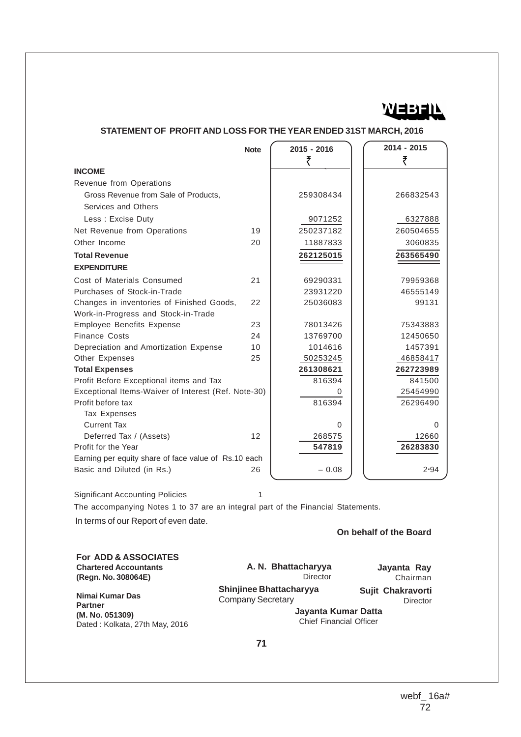

# **STATEMENT OF PROFIT AND LOSS FOR THE YEAR ENDED 31ST MARCH, 2016**

|                                                      | <b>Note</b> | $2015 - 2016$ | $2014 - 2015$ |
|------------------------------------------------------|-------------|---------------|---------------|
|                                                      |             | ₹             | ₹             |
| <b>INCOME</b>                                        |             |               |               |
| Revenue from Operations                              |             |               |               |
| Gross Revenue from Sale of Products,                 |             | 259308434     | 266832543     |
| Services and Others                                  |             |               |               |
| Less: Excise Duty                                    |             | 9071252       | 6327888       |
| Net Revenue from Operations                          | 19          | 250237182     | 260504655     |
| Other Income                                         | 20          | 11887833      | 3060835       |
| <b>Total Revenue</b>                                 |             | 262125015     | 263565490     |
| <b>EXPENDITURE</b>                                   |             |               |               |
| Cost of Materials Consumed                           | 21          | 69290331      | 79959368      |
| Purchases of Stock-in-Trade                          |             | 23931220      | 46555149      |
| Changes in inventories of Finished Goods,            | 22          | 25036083      | 99131         |
| Work-in-Progress and Stock-in-Trade                  |             |               |               |
| <b>Employee Benefits Expense</b>                     | 23          | 78013426      | 75343883      |
| <b>Finance Costs</b>                                 | 24          | 13769700      | 12450650      |
| Depreciation and Amortization Expense                | 10          | 1014616       | 1457391       |
| Other Expenses                                       | 25          | 50253245      | 46858417      |
| <b>Total Expenses</b>                                |             | 261308621     | 262723989     |
| Profit Before Exceptional items and Tax              |             | 816394        | 841500        |
| Exceptional Items-Waiver of Interest (Ref. Note-30)  |             | 0             | 25454990      |
| Profit before tax                                    |             | 816394        | 26296490      |
| <b>Tax Expenses</b>                                  |             |               |               |
| <b>Current Tax</b>                                   |             | $\Omega$      | 0             |
| Deferred Tax / (Assets)                              | 12          | 268575        | 12660         |
| Profit for the Year                                  |             | 547819        | 26283830      |
| Earning per equity share of face value of Rs.10 each |             |               |               |
| Basic and Diluted (in Rs.)                           | 26          | $-0.08$       | 2.94          |

### Significant Accounting Policies 1

The accompanying Notes 1 to 37 are an integral part of the Financial Statements.

In terms of our Report of even date.

### **On behalf of the Board**

| For ADD & ASSOCIATES         |
|------------------------------|
| <b>Chartered Accountants</b> |
| (Regn. No. 308064E)          |

**Nimai Kumar Das Partner (M. No. 051309)** Dated : Kolkata, 27th May, 2016

**A. N. Bhattacharyya Director Shinjinee Bhattacharyya** Company Secretary

**Jayanta Ray** Chairman

**Sujit Chakravorti** Director

**Jayanta Kumar Datta** Chief Financial Officer

**71**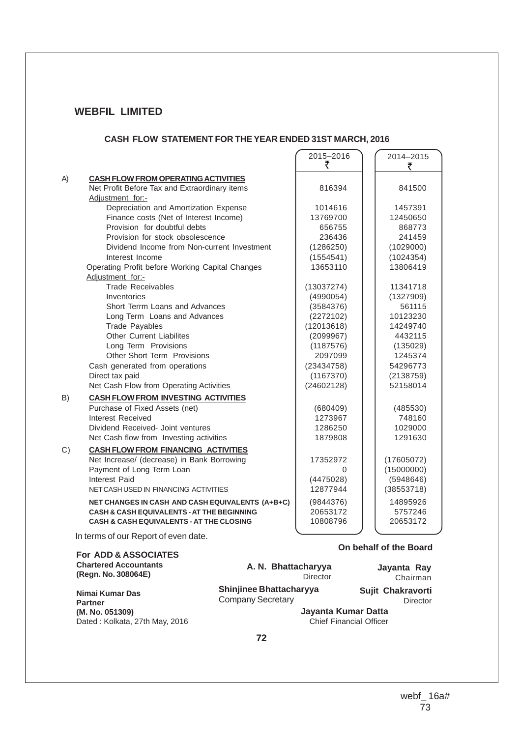### **CASH FLOW STATEMENT FOR THE YEAR ENDED 31ST MARCH, 2016**

|    |                                                                                                                 | 2015-2016<br>₹ | 2014-2015<br>₹ |
|----|-----------------------------------------------------------------------------------------------------------------|----------------|----------------|
|    |                                                                                                                 |                |                |
| A) | <b>CASH FLOW FROM OPERATING ACTIVITIES</b><br>Net Profit Before Tax and Extraordinary items<br>Adjustment for:- | 816394         | 841500         |
|    | Depreciation and Amortization Expense                                                                           | 1014616        | 1457391        |
|    | Finance costs (Net of Interest Income)                                                                          | 13769700       | 12450650       |
|    | Provision for doubtful debts                                                                                    | 656755         | 868773         |
|    | Provision for stock obsolescence                                                                                | 236436         | 241459         |
|    | Dividend Income from Non-current Investment                                                                     | (1286250)      | (1029000)      |
|    | Interest Income                                                                                                 | (1554541)      | (1024354)      |
|    | Operating Profit before Working Capital Changes                                                                 | 13653110       | 13806419       |
|    | Adjustment for:-                                                                                                |                |                |
|    | <b>Trade Receivables</b>                                                                                        | (13037274)     | 11341718       |
|    | Inventories                                                                                                     | (4990054)      | (1327909)      |
|    | Short Terrm Loans and Advances                                                                                  | (3584376)      | 561115         |
|    | Long Term Loans and Advances                                                                                    | (2272102)      | 10123230       |
|    | <b>Trade Payables</b>                                                                                           | (12013618)     | 14249740       |
|    | <b>Other Current Liabilites</b>                                                                                 | (2099967)      | 4432115        |
|    | Long Term Provisions                                                                                            | (1187576)      | (135029)       |
|    | Other Short Term Provisions                                                                                     | 2097099        | 1245374        |
|    | Cash generated from operations                                                                                  | (23434758)     | 54296773       |
|    | Direct tax paid                                                                                                 | (1167370)      | (2138759)      |
|    | Net Cash Flow from Operating Activities                                                                         | (24602128)     | 52158014       |
| B) | <b>CASH FLOW FROM INVESTING ACTIVITIES</b>                                                                      |                |                |
|    | Purchase of Fixed Assets (net)                                                                                  | (680409)       | (485530)       |
|    | Interest Received                                                                                               | 1273967        | 748160         |
|    | Dividend Received- Joint ventures                                                                               | 1286250        | 1029000        |
|    | Net Cash flow from Investing activities                                                                         | 1879808        | 1291630        |
| C) | <b>CASH FLOW FROM FINANCING ACTIVITIES</b>                                                                      |                |                |
|    | Net Increase/ (decrease) in Bank Borrowing                                                                      | 17352972       | (17605072)     |
|    | Payment of Long Term Loan                                                                                       | 0              | (15000000)     |
|    | Interest Paid                                                                                                   | (4475028)      | (5948646)      |
|    | NET CASH USED IN FINANCING ACTIVITIES                                                                           | 12877944       | (38553718)     |
|    | NET CHANGES IN CASH AND CASH EQUIVALENTS (A+B+C)                                                                | (9844376)      | 14895926       |
|    | <b>CASH &amp; CASH EQUIVALENTS - AT THE BEGINNING</b>                                                           | 20653172       | 5757246        |
|    | <b>CASH &amp; CASH EQUIVALENTS - AT THE CLOSING</b>                                                             | 10808796       | 20653172       |
|    | In terms of our Report of even date.                                                                            |                |                |

#### **On behalf of the Board**

| For ADD & ASSOCIATES                              |                          | <u>UII DENAN UI UIE DUAIU</u>  |  |
|---------------------------------------------------|--------------------------|--------------------------------|--|
| <b>Chartered Accountants</b>                      | A. N. Bhattacharyya      | Jayanta Ray                    |  |
| (Regn. No. 308064E)                               | Director                 | Chairman                       |  |
| Nimai Kumar Das                                   | Shinjinee Bhattacharyya  | Sujit Chakravorti              |  |
| <b>Partner</b>                                    | <b>Company Secretary</b> | Director                       |  |
| (M. No. 051309)<br>Dated: Kolkata, 27th May, 2016 | Jayanta Kumar Datta      | <b>Chief Financial Officer</b> |  |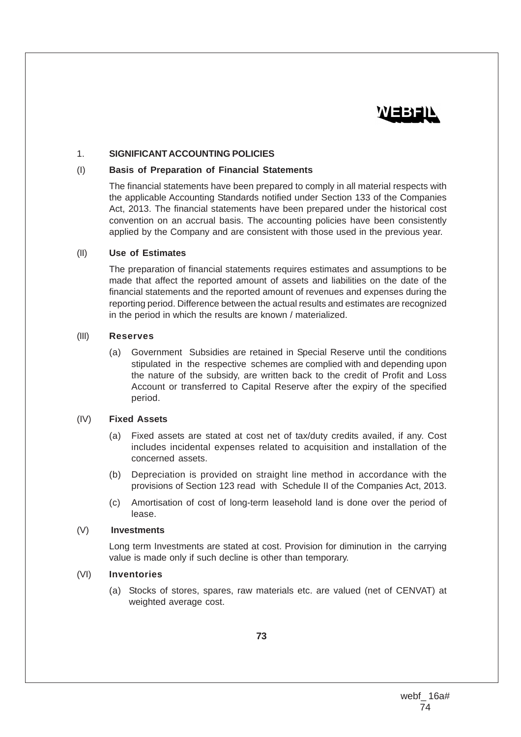WEBEIN

#### 1. **SIGNIFICANT ACCOUNTING POLICIES**

#### (I) **Basis of Preparation of Financial Statements**

The financial statements have been prepared to comply in all material respects with the applicable Accounting Standards notified under Section 133 of the Companies Act, 2013. The financial statements have been prepared under the historical cost convention on an accrual basis. The accounting policies have been consistently applied by the Company and are consistent with those used in the previous year.

#### (II) **Use of Estimates**

The preparation of financial statements requires estimates and assumptions to be made that affect the reported amount of assets and liabilities on the date of the financial statements and the reported amount of revenues and expenses during the reporting period. Difference between the actual results and estimates are recognized in the period in which the results are known / materialized.

#### (III) **Reserves**

(a) Government Subsidies are retained in Special Reserve until the conditions stipulated in the respective schemes are complied with and depending upon the nature of the subsidy, are written back to the credit of Profit and Loss Account or transferred to Capital Reserve after the expiry of the specified period.

#### (IV) **Fixed Assets**

- (a) Fixed assets are stated at cost net of tax/duty credits availed, if any. Cost includes incidental expenses related to acquisition and installation of the concerned assets.
- (b) Depreciation is provided on straight line method in accordance with the provisions of Section 123 read with Schedule II of the Companies Act, 2013.
- (c) Amortisation of cost of long-term leasehold land is done over the period of lease.

#### (V) **Investments**

Long term Investments are stated at cost. Provision for diminution in the carrying value is made only if such decline is other than temporary.

### (VI) **Inventories**

(a) Stocks of stores, spares, raw materials etc. are valued (net of CENVAT) at weighted average cost.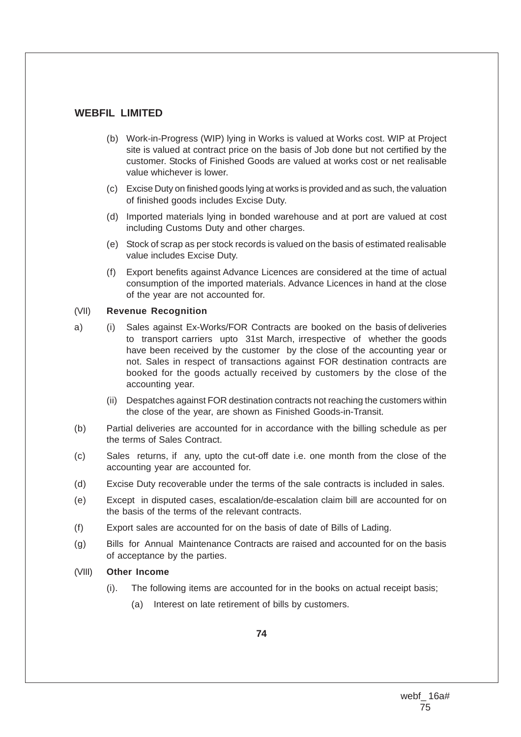- (b) Work-in-Progress (WIP) lying in Works is valued at Works cost. WIP at Project site is valued at contract price on the basis of Job done but not certified by the customer. Stocks of Finished Goods are valued at works cost or net realisable value whichever is lower.
- (c) Excise Duty on finished goods lying at works is provided and as such, the valuation of finished goods includes Excise Duty.
- (d) Imported materials lying in bonded warehouse and at port are valued at cost including Customs Duty and other charges.
- (e) Stock of scrap as per stock records is valued on the basis of estimated realisable value includes Excise Duty.
- (f) Export benefits against Advance Licences are considered at the time of actual consumption of the imported materials. Advance Licences in hand at the close of the year are not accounted for.

### (VII) **Revenue Recognition**

- a) (i) Sales against Ex-Works/FOR Contracts are booked on the basis of deliveries to transport carriers upto 31st March, irrespective of whether the goods have been received by the customer by the close of the accounting year or not. Sales in respect of transactions against FOR destination contracts are booked for the goods actually received by customers by the close of the accounting year.
	- (ii) Despatches against FOR destination contracts not reaching the customers within the close of the year, are shown as Finished Goods-in-Transit.
- (b) Partial deliveries are accounted for in accordance with the billing schedule as per the terms of Sales Contract.
- (c) Sales returns, if any, upto the cut-off date i.e. one month from the close of the accounting year are accounted for.
- (d) Excise Duty recoverable under the terms of the sale contracts is included in sales.
- (e) Except in disputed cases, escalation/de-escalation claim bill are accounted for on the basis of the terms of the relevant contracts.
- (f) Export sales are accounted for on the basis of date of Bills of Lading.
- (g) Bills for Annual Maintenance Contracts are raised and accounted for on the basis of acceptance by the parties.
- (VIII) **Other Income**
	- (i). The following items are accounted for in the books on actual receipt basis;
		- (a) Interest on late retirement of bills by customers.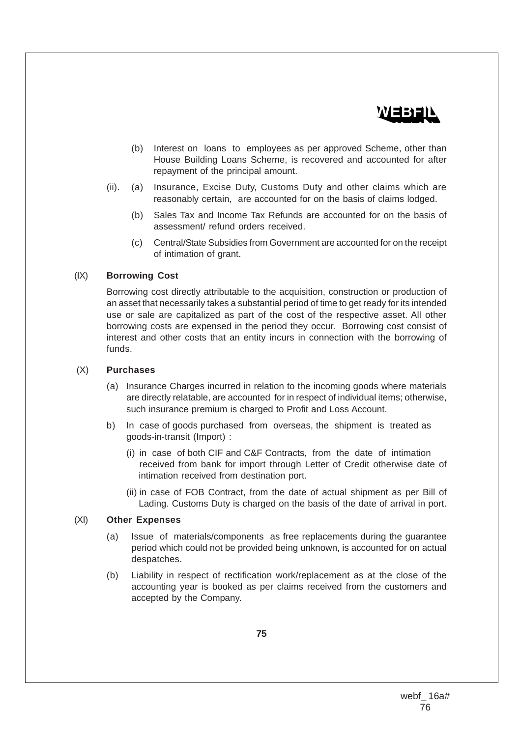

- (b) Interest on loans to employees as per approved Scheme, other than House Building Loans Scheme, is recovered and accounted for after repayment of the principal amount.
- (ii). (a) Insurance, Excise Duty, Customs Duty and other claims which are reasonably certain, are accounted for on the basis of claims lodged.
	- (b) Sales Tax and Income Tax Refunds are accounted for on the basis of assessment/ refund orders received.
	- (c) Central/State Subsidies from Government are accounted for on the receipt of intimation of grant.

#### (IX) **Borrowing Cost**

Borrowing cost directly attributable to the acquisition, construction or production of an asset that necessarily takes a substantial period of time to get ready for its intended use or sale are capitalized as part of the cost of the respective asset. All other borrowing costs are expensed in the period they occur. Borrowing cost consist of interest and other costs that an entity incurs in connection with the borrowing of funds.

#### (X) **Purchases**

- (a) Insurance Charges incurred in relation to the incoming goods where materials are directly relatable, are accounted for in respect of individual items; otherwise, such insurance premium is charged to Profit and Loss Account.
- b) In case of goods purchased from overseas, the shipment is treated as goods-in-transit (Import) :
	- (i) in case of both CIF and C&F Contracts, from the date of intimation received from bank for import through Letter of Credit otherwise date of intimation received from destination port.
	- (ii) in case of FOB Contract, from the date of actual shipment as per Bill of Lading. Customs Duty is charged on the basis of the date of arrival in port.

#### (XI) **Other Expenses**

- (a) Issue of materials/components as free replacements during the guarantee period which could not be provided being unknown, is accounted for on actual despatches.
- (b) Liability in respect of rectification work/replacement as at the close of the accounting year is booked as per claims received from the customers and accepted by the Company.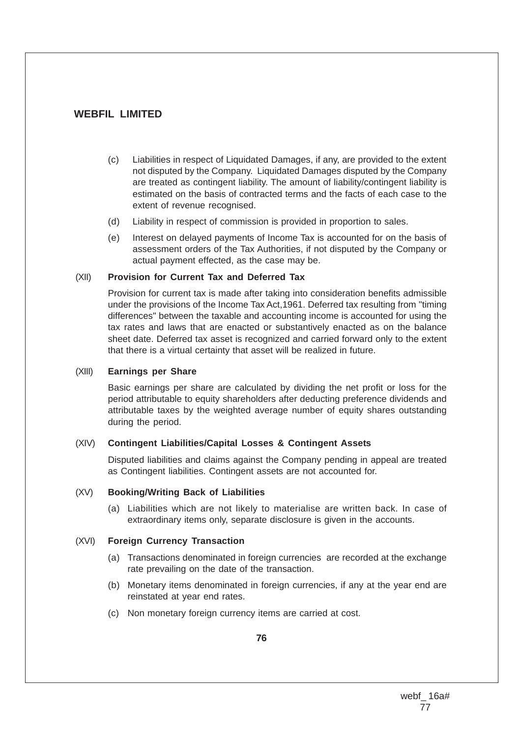- (c) Liabilities in respect of Liquidated Damages, if any, are provided to the extent not disputed by the Company. Liquidated Damages disputed by the Company are treated as contingent liability. The amount of liability/contingent liability is estimated on the basis of contracted terms and the facts of each case to the extent of revenue recognised.
- (d) Liability in respect of commission is provided in proportion to sales.
- (e) Interest on delayed payments of Income Tax is accounted for on the basis of assessment orders of the Tax Authorities, if not disputed by the Company or actual payment effected, as the case may be.

### (XII) **Provision for Current Tax and Deferred Tax**

Provision for current tax is made after taking into consideration benefits admissible under the provisions of the Income Tax Act,1961. Deferred tax resulting from ''timing differences" between the taxable and accounting income is accounted for using the tax rates and laws that are enacted or substantively enacted as on the balance sheet date. Deferred tax asset is recognized and carried forward only to the extent that there is a virtual certainty that asset will be realized in future.

#### (XIII) **Earnings per Share**

Basic earnings per share are calculated by dividing the net profit or loss for the period attributable to equity shareholders after deducting preference dividends and attributable taxes by the weighted average number of equity shares outstanding during the period.

## (XIV) **Contingent Liabilities/Capital Losses & Contingent Assets**

Disputed liabilities and claims against the Company pending in appeal are treated as Contingent liabilities. Contingent assets are not accounted for.

## (XV) **Booking/Writing Back of Liabilities**

(a) Liabilities which are not likely to materialise are written back. In case of extraordinary items only, separate disclosure is given in the accounts.

## (XVI) **Foreign Currency Transaction**

- (a) Transactions denominated in foreign currencies are recorded at the exchange rate prevailing on the date of the transaction.
- (b) Monetary items denominated in foreign currencies, if any at the year end are reinstated at year end rates.
- (c) Non monetary foreign currency items are carried at cost.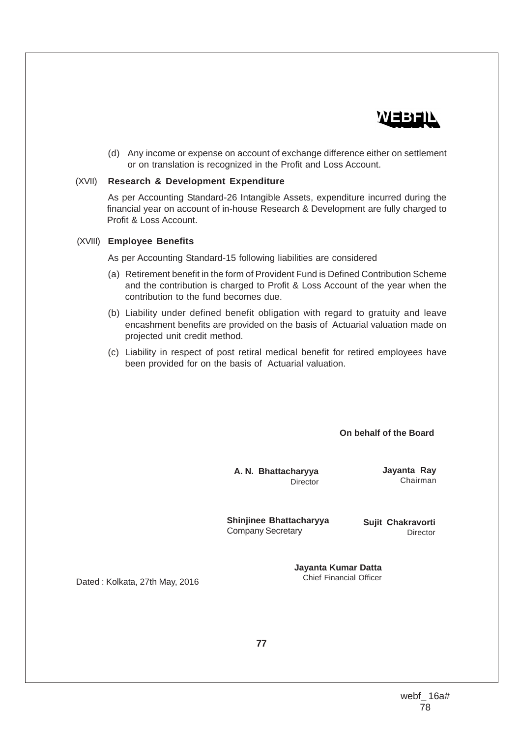

(d) Any income or expense on account of exchange difference either on settlement or on translation is recognized in the Profit and Loss Account.

#### (XVII) **Research & Development Expenditure**

As per Accounting Standard-26 Intangible Assets, expenditure incurred during the financial year on account of in-house Research & Development are fully charged to Profit & Loss Account.

#### (XVIII) **Employee Benefits**

As per Accounting Standard-15 following liabilities are considered

- (a) Retirement benefit in the form of Provident Fund is Defined Contribution Scheme and the contribution is charged to Profit & Loss Account of the year when the contribution to the fund becomes due.
- (b) Liability under defined benefit obligation with regard to gratuity and leave encashment benefits are provided on the basis of Actuarial valuation made on projected unit credit method.
- (c) Liability in respect of post retiral medical benefit for retired employees have been provided for on the basis of Actuarial valuation.

**On behalf of the Board**

**A. N. Bhattacharyya** Director

**Jayanta Ray** Chairman

**Shinjinee Bhattacharyya** Company Secretary

**Sujit Chakravorti** Director

**Jayanta Kumar Datta** Chief Financial Officer

Dated : Kolkata, 27th May, 2016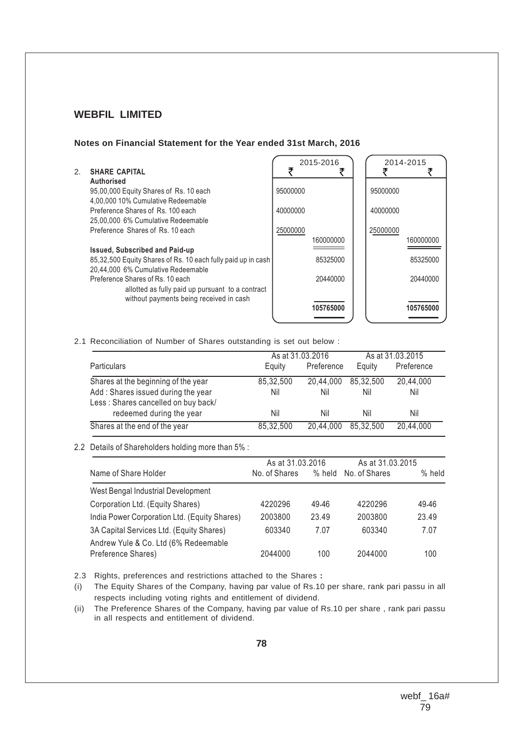#### **Notes on Financial Statement for the Year ended 31st March, 2016**

|    |                                                              |          | 2015-2016 |          | 2014-2015 |
|----|--------------------------------------------------------------|----------|-----------|----------|-----------|
| 2. | <b>SHARE CAPITAL</b>                                         |          |           |          |           |
|    | Authorised                                                   |          |           |          |           |
|    | 95,00,000 Equity Shares of Rs. 10 each                       | 95000000 |           | 95000000 |           |
|    | 4,00,000 10% Cumulative Redeemable                           |          |           |          |           |
|    | Preference Shares of Rs. 100 each                            | 40000000 |           | 40000000 |           |
|    | 25,00,000 6% Cumulative Redeemable                           |          |           |          |           |
|    | Preference Shares of Rs. 10 each                             | 25000000 |           | 25000000 |           |
|    |                                                              |          | 160000000 |          | 160000000 |
|    | <b>Issued, Subscribed and Paid-up</b>                        |          |           |          |           |
|    | 85,32,500 Equity Shares of Rs. 10 each fully paid up in cash |          | 85325000  |          | 85325000  |
|    | 20,44,000 6% Cumulative Redeemable                           |          |           |          |           |
|    | Preference Shares of Rs. 10 each                             |          | 20440000  |          | 20440000  |
|    | allotted as fully paid up pursuant to a contract             |          |           |          |           |
|    | without payments being received in cash                      |          |           |          |           |
|    |                                                              |          | 105765000 |          | 105765000 |
|    |                                                              |          |           |          |           |

2.1 Reconciliation of Number of Shares outstanding is set out below :

|                                                                                                                  |                  | As at 31.03.2016 |                  | As at 31.03.2015 |
|------------------------------------------------------------------------------------------------------------------|------------------|------------------|------------------|------------------|
| <b>Particulars</b>                                                                                               | Equity           | Preference       | Equity           | Preference       |
| Shares at the beginning of the year<br>Add: Shares issued during the year<br>Less: Shares cancelled on buy back/ | 85,32,500<br>Nil | 20,44,000<br>Nil | 85,32,500<br>Nil | 20,44,000<br>Nil |
| redeemed during the year                                                                                         | Nil              | Nil              | Nil              | Nil              |
| Shares at the end of the year                                                                                    | 85,32,500        | 20,44,000        | 85,32,500        | 20,44,000        |

#### 2.2 Details of Shareholders holding more than 5% :

|                                                            | As at 31.03.2016 |        | As at 31.03.2015 |        |
|------------------------------------------------------------|------------------|--------|------------------|--------|
| Name of Share Holder                                       | No. of Shares    | % held | No. of Shares    | % held |
| West Bengal Industrial Development                         |                  |        |                  |        |
| Corporation Ltd. (Equity Shares)                           | 4220296          | 49.46  | 4220296          | 49.46  |
| India Power Corporation Ltd. (Equity Shares)               | 2003800          | 23.49  | 2003800          | 23.49  |
| 3A Capital Services Ltd. (Equity Shares)                   | 603340           | 7.07   | 603340           | 7.07   |
| Andrew Yule & Co. Ltd (6% Redeemable<br>Preference Shares) | 2044000          | 100    | 2044000          | 100    |

2.3 Rights, preferences and restrictions attached to the Shares **:**

- (i) The Equity Shares of the Company, having par value of Rs.10 per share, rank pari passu in all respects including voting rights and entitlement of dividend.
- (ii) The Preference Shares of the Company, having par value of Rs.10 per share , rank pari passu in all respects and entitlement of dividend.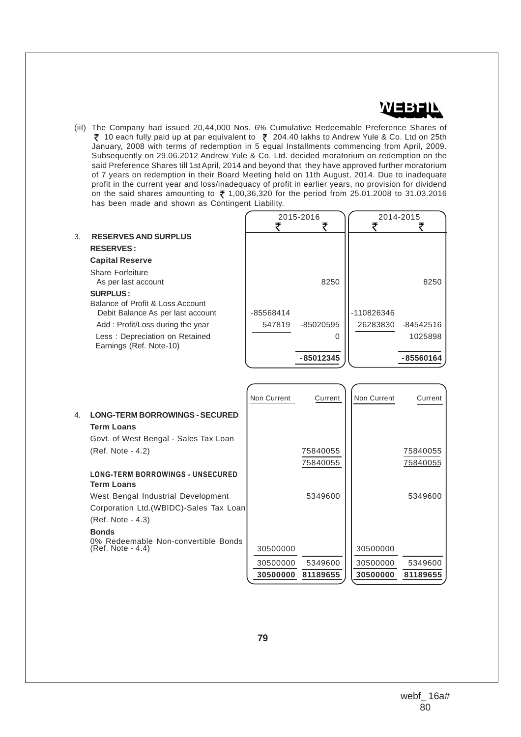(iiI) The Company had issued 20,44,000 Nos. 6% Cumulative Redeemable Preference Shares of ₹ 10 each fully paid up at par equivalent to ₹ 204.40 lakhs to Andrew Yule & Co. Ltd on 25th January, 2008 with terms of redemption in 5 equal Installments commencing from April, 2009. Subsequently on 29.06.2012 Andrew Yule & Co. Ltd. decided moratorium on redemption on the said Preference Shares till 1st April, 2014 and beyond that they have approved further moratorium of 7 years on redemption in their Board Meeting held on 11th August, 2014. Due to inadequate profit in the current year and loss/inadequacy of profit in earlier years, no provision for dividend on the said shares amounting to  $\bar{\tau}$  1,00,36,320 for the period from 25.01.2008 to 31.03.2016 has been made and shown as Contingent Liability.

|    |                                         |           | 2015-2016   |            | 2014-2015 |
|----|-----------------------------------------|-----------|-------------|------------|-----------|
|    |                                         |           |             |            |           |
| 3. | <b>RESERVES AND SURPLUS</b>             |           |             |            |           |
|    | <b>RESERVES:</b>                        |           |             |            |           |
|    | <b>Capital Reserve</b>                  |           |             |            |           |
|    | Share Forfeiture<br>As per last account |           | 8250        |            | 8250      |
|    | <b>SURPLUS:</b>                         |           |             |            |           |
|    | Balance of Profit & Loss Account        |           |             |            |           |
|    | Debit Balance As per last account       | -85568414 |             | -110826346 |           |
|    | Add: Profit/Loss during the year        | 547819    | -85020595   | 26283830   | -84542516 |
|    | Less: Depreciation on Retained          |           |             |            | 1025898   |
|    | Earnings (Ref. Note-10)                 |           |             |            |           |
|    |                                         |           | $-85012345$ |            | -85560164 |

|                |                                                          | Non Current | Current  | Non Current | Current  |
|----------------|----------------------------------------------------------|-------------|----------|-------------|----------|
| $\mathbf{4}$ . | <b>LONG-TERM BORROWINGS - SECURED</b>                    |             |          |             |          |
|                | <b>Term Loans</b>                                        |             |          |             |          |
|                | Govt. of West Bengal - Sales Tax Loan                    |             |          |             |          |
|                | (Ref. Note - 4.2)                                        |             | 75840055 |             | 75840055 |
|                |                                                          |             | 75840055 |             | 75840055 |
|                | <b>LONG-TERM BORROWINGS - UNSECURED</b>                  |             |          |             |          |
|                | <b>Term Loans</b>                                        |             |          |             |          |
|                | West Bengal Industrial Development                       |             | 5349600  |             | 5349600  |
|                | Corporation Ltd. (WBIDC)-Sales Tax Loan                  |             |          |             |          |
|                | (Ref. Note - 4.3)                                        |             |          |             |          |
|                | <b>Bonds</b>                                             |             |          |             |          |
|                | 0% Redeemable Non-convertible Bonds<br>(Ref. Note - 4.4) |             |          |             |          |
|                |                                                          | 30500000    |          | 30500000    |          |
|                |                                                          | 30500000    | 5349600  | 30500000    | 5349600  |
|                |                                                          | 30500000    | 81189655 | 30500000    | 81189655 |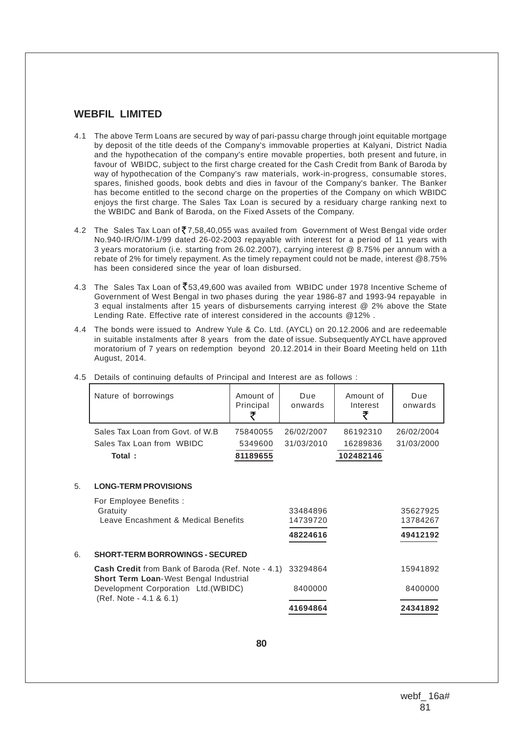- 4.1 The above Term Loans are secured by way of pari-passu charge through joint equitable mortgage by deposit of the title deeds of the Company's immovable properties at Kalyani, District Nadia and the hypothecation of the company's entire movable properties, both present and future, in favour of WBIDC, subject to the first charge created for the Cash Credit from Bank of Baroda by way of hypothecation of the Company's raw materials, work-in-progress, consumable stores, spares, finished goods, book debts and dies in favour of the Company's banker. The Banker has become entitled to the second charge on the properties of the Company on which WBIDC enjoys the first charge. The Sales Tax Loan is secured by a residuary charge ranking next to the WBIDC and Bank of Baroda, on the Fixed Assets of the Company.
- 4.2 The Sales Tax Loan of  $\bar{z}$  7,58,40,055 was availed from Government of West Bengal vide order No.940-IR/O/IM-1/99 dated 26-02-2003 repayable with interest for a period of 11 years with 3 years moratorium (i.e. starting from 26.02.2007), carrying interest @ 8.75% per annum with a rebate of 2% for timely repayment. As the timely repayment could not be made, interest @8.75% has been considered since the year of loan disbursed.
- 4.3 The Sales Tax Loan of 53,49,600 was availed from WBIDC under 1978 Incentive Scheme of Government of West Bengal in two phases during the year 1986-87 and 1993-94 repayable in 3 equal instalments after 15 years of disbursements carrying interest @ 2% above the State Lending Rate. Effective rate of interest considered in the accounts @12%.
- 4.4 The bonds were issued to Andrew Yule & Co. Ltd. (AYCL) on 20.12.2006 and are redeemable in suitable instalments after 8 years from the date of issue. Subsequently AYCL have approved moratorium of 7 years on redemption beyond 20.12.2014 in their Board Meeting held on 11th August, 2014.

| Nature of borrowings              | Amount of | Due        | Amount of | Due        |
|-----------------------------------|-----------|------------|-----------|------------|
|                                   | Principal | onwards    | Interest  | onwards    |
| Sales Tax Loan from Govt. of W.B. | 75840055  | 26/02/2007 | 86192310  | 26/02/2004 |
| Sales Tax Loan from WBIDC         | 5349600   | 31/03/2010 | 16289836  | 31/03/2000 |
| Total:                            | 81189655  |            | 102482146 |            |

4.5 Details of continuing defaults of Principal and Interest are as follows :

#### 5. **LONG-TERM PROVISIONS**

|    | For Employee Benefits :                                                                                     |          |          |
|----|-------------------------------------------------------------------------------------------------------------|----------|----------|
|    | Gratuity                                                                                                    | 33484896 | 35627925 |
|    | Leave Encashment & Medical Benefits                                                                         | 14739720 | 13784267 |
|    |                                                                                                             | 48224616 | 49412192 |
| 6. | <b>SHORT-TERM BORROWINGS - SECURED</b>                                                                      |          |          |
|    | Cash Credit from Bank of Baroda (Ref. Note - 4.1) 33294864<br><b>Short Term Loan-West Bengal Industrial</b> |          | 15941892 |
|    | Development Corporation Ltd. (WBIDC)<br>(Ref. Note - 4.1 & 6.1)                                             | 8400000  | 8400000  |
|    |                                                                                                             | 41694864 | 24341892 |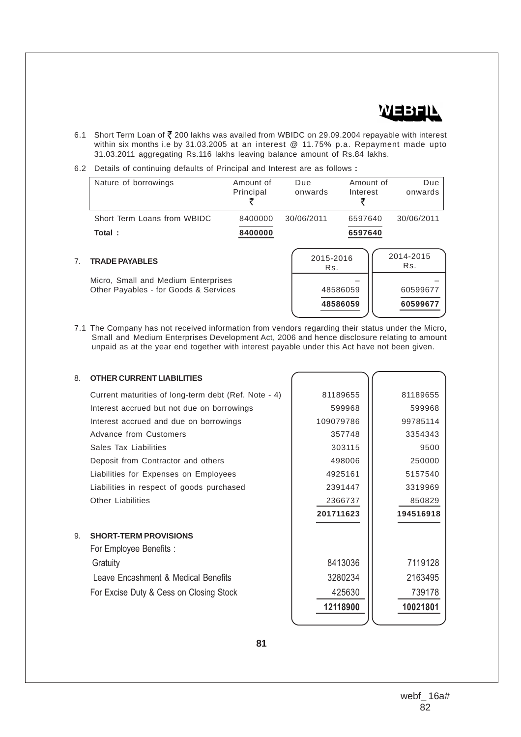

**48586059 60599677**

- 6.1 Short Term Loan of  $\bar{\zeta}$  200 lakhs was availed from WBIDC on 29.09.2004 repayable with interest within six months i.e by 31.03.2005 at an interest @ 11.75% p.a. Repayment made upto 31.03.2011 aggregating Rs.116 lakhs leaving balance amount of Rs.84 lakhs.
- 6.2 Details of continuing defaults of Principal and Interest are as follows **:**

|    | Nature of borrowings                                                         | Amount of<br>Principal | Due<br>onwards   | Amount of<br>Interest | Due<br>onwards   |
|----|------------------------------------------------------------------------------|------------------------|------------------|-----------------------|------------------|
|    | Short Term Loans from WBIDC                                                  | 8400000                | 30/06/2011       | 6597640               | 30/06/2011       |
|    | Total:                                                                       | 8400000                |                  | 6597640               |                  |
| 7. | <b>TRADE PAYABLES</b>                                                        |                        | 2015-2016<br>Rs. |                       | 2014-2015<br>Rs. |
|    | Micro, Small and Medium Enterprises<br>Other Payables - for Goods & Services |                        |                  | 48586059              | 60599677         |

7.1 The Company has not received information from vendors regarding their status under the Micro, Small and Medium Enterprises Development Act, 2006 and hence disclosure relating to amount unpaid as at the year end together with interest payable under this Act have not been given.

#### 8. **OTHER CURRENT LIABILITIES**

| 8. | <b>OTHER CURRENT LIABILITIES</b>                     |           |           |
|----|------------------------------------------------------|-----------|-----------|
|    | Current maturities of long-term debt (Ref. Note - 4) | 81189655  | 81189655  |
|    | Interest accrued but not due on borrowings           | 599968    | 599968    |
|    | Interest accrued and due on borrowings               | 109079786 | 99785114  |
|    | <b>Advance from Customers</b>                        | 357748    | 3354343   |
|    | Sales Tax Liabilities                                | 303115    | 9500      |
|    | Deposit from Contractor and others                   | 498006    | 250000    |
|    | Liabilities for Expenses on Employees                | 4925161   | 5157540   |
|    | Liabilities in respect of goods purchased            | 2391447   | 3319969   |
|    | <b>Other Liabilities</b>                             | 2366737   | 850829    |
|    |                                                      | 201711623 | 194516918 |
| 9. | <b>SHORT-TERM PROVISIONS</b>                         |           |           |
|    | For Employee Benefits :                              |           |           |
|    | Gratuity                                             | 8413036   | 7119128   |
|    | Leave Encashment & Medical Benefits                  | 3280234   | 2163495   |
|    | For Excise Duty & Cess on Closing Stock              | 425630    | 739178    |
|    |                                                      | 12118900  | 10021801  |
|    |                                                      |           |           |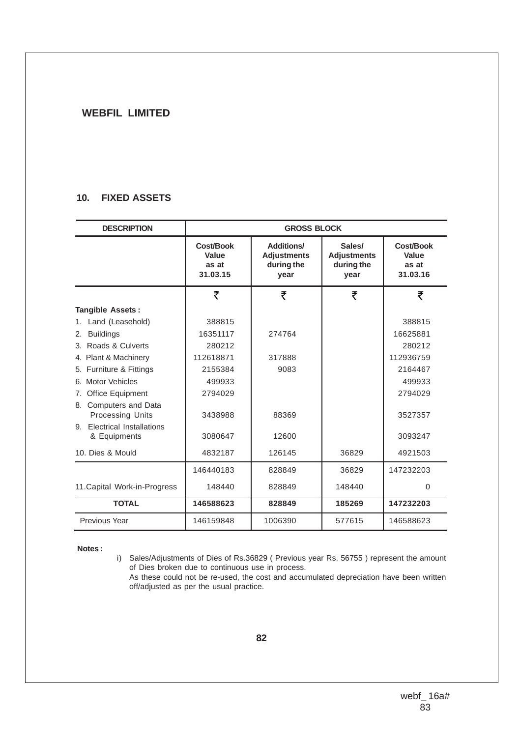## **10. FIXED ASSETS**

| <b>DESCRIPTION</b>                                                              | <b>GROSS BLOCK</b>                      |                                                        |                                                    |                                         |
|---------------------------------------------------------------------------------|-----------------------------------------|--------------------------------------------------------|----------------------------------------------------|-----------------------------------------|
|                                                                                 | Cost/Book<br>Value<br>as at<br>31.03.15 | Additions/<br><b>Adjustments</b><br>during the<br>year | Sales/<br><b>Adjustments</b><br>during the<br>year | Cost/Book<br>Value<br>as at<br>31.03.16 |
|                                                                                 | ₹                                       | ₹                                                      | ₹                                                  | ₹                                       |
| <b>Tangible Assets:</b>                                                         |                                         |                                                        |                                                    |                                         |
| Land (Leasehold)<br>1.                                                          | 388815                                  |                                                        |                                                    | 388815                                  |
| <b>Buildings</b><br>2.                                                          | 16351117                                | 274764                                                 |                                                    | 16625881                                |
| 3. Roads & Culverts                                                             | 280212                                  |                                                        |                                                    | 280212                                  |
| 4. Plant & Machinery                                                            | 112618871                               | 317888                                                 |                                                    | 112936759                               |
| 5. Furniture & Fittings                                                         | 2155384                                 | 9083                                                   |                                                    | 2164467                                 |
| 6. Motor Vehicles                                                               | 499933                                  |                                                        |                                                    | 499933                                  |
| Office Equipment<br>7.                                                          | 2794029                                 |                                                        |                                                    | 2794029                                 |
| 8. Computers and Data<br><b>Processing Units</b><br>9. Electrical Installations | 3438988                                 | 88369                                                  |                                                    | 3527357                                 |
| & Equipments                                                                    | 3080647                                 | 12600                                                  |                                                    | 3093247                                 |
| 10. Dies & Mould                                                                | 4832187                                 | 126145                                                 | 36829                                              | 4921503                                 |
|                                                                                 | 146440183                               | 828849                                                 | 36829                                              | 147232203                               |
| 11. Capital Work-in-Progress                                                    | 148440                                  | 828849                                                 | 148440                                             | $\Omega$                                |
| <b>TOTAL</b>                                                                    | 146588623                               | 828849                                                 | 185269                                             | 147232203                               |
| Previous Year                                                                   | 146159848                               | 1006390                                                | 577615                                             | 146588623                               |

#### **Notes :**

i) Sales/Adjustments of Dies of Rs.36829 ( Previous year Rs. 56755 ) represent the amount of Dies broken due to continuous use in process.

As these could not be re-used, the cost and accumulated depreciation have been written off/adjusted as per the usual practice.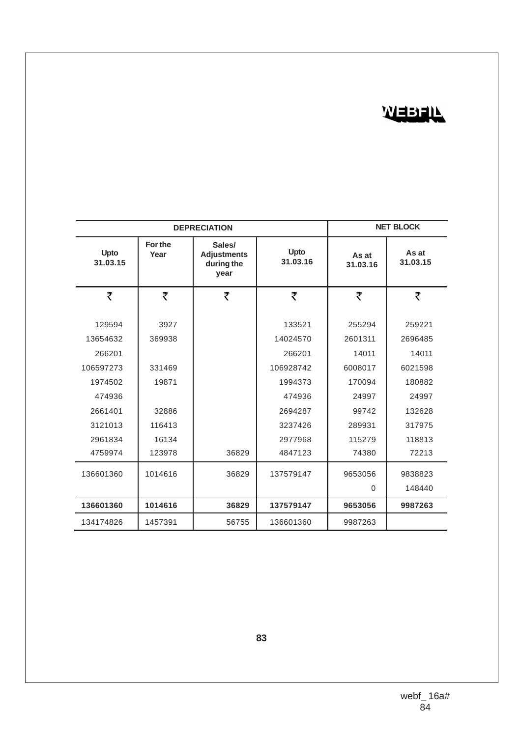# WEBELL

| <b>DEPRECIATION</b> |                 |                                                    |                  | <b>NET BLOCK</b>    |                   |
|---------------------|-----------------|----------------------------------------------------|------------------|---------------------|-------------------|
| Upto<br>31.03.15    | For the<br>Year | Sales/<br><b>Adjustments</b><br>during the<br>year | Upto<br>31.03.16 | As at<br>31.03.16   | As at<br>31.03.15 |
| ₹                   | ₹               | ₹                                                  | ₹                | ₹                   | ₹                 |
| 129594              | 3927            |                                                    | 133521           | 255294              | 259221            |
| 13654632            | 369938          |                                                    | 14024570         | 2601311             | 2696485           |
| 266201              |                 |                                                    | 266201           | 14011               | 14011             |
| 106597273           | 331469          |                                                    | 106928742        | 6008017             | 6021598           |
| 1974502             | 19871           |                                                    | 1994373          | 170094              | 180882            |
| 474936              |                 |                                                    | 474936           | 24997               | 24997             |
| 2661401             | 32886           |                                                    | 2694287          | 99742               | 132628            |
| 3121013             | 116413          |                                                    | 3237426          | 289931              | 317975            |
| 2961834             | 16134           |                                                    | 2977968          | 115279              | 118813            |
| 4759974             | 123978          | 36829                                              | 4847123          | 74380               | 72213             |
| 136601360           | 1014616         | 36829                                              | 137579147        | 9653056<br>$\Omega$ | 9838823<br>148440 |
| 136601360           | 1014616         | 36829                                              | 137579147        | 9653056             | 9987263           |
| 134174826           | 1457391         | 56755                                              | 136601360        | 9987263             |                   |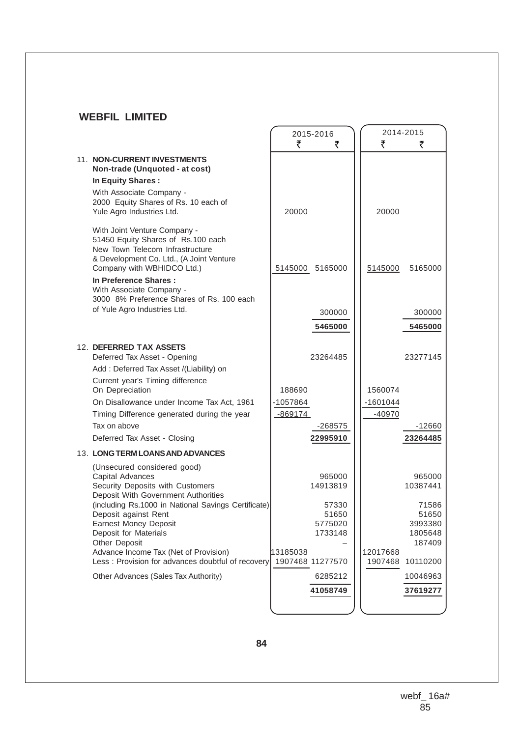|                                                                                                                                                                                                                                                     | 2015-2016 |                                                          |                     | 2014-2015                                                  |
|-----------------------------------------------------------------------------------------------------------------------------------------------------------------------------------------------------------------------------------------------------|-----------|----------------------------------------------------------|---------------------|------------------------------------------------------------|
|                                                                                                                                                                                                                                                     | ₹         | ₹                                                        | ₹                   | ₹                                                          |
| 11. NON-CURRENT INVESTMENTS<br>Non-trade (Unquoted - at cost)                                                                                                                                                                                       |           |                                                          |                     |                                                            |
| In Equity Shares:                                                                                                                                                                                                                                   |           |                                                          |                     |                                                            |
| With Associate Company -<br>2000 Equity Shares of Rs. 10 each of<br>Yule Agro Industries Ltd.                                                                                                                                                       | 20000     |                                                          | 20000               |                                                            |
| With Joint Venture Company -<br>51450 Equity Shares of Rs.100 each<br>New Town Telecom Infrastructure<br>& Development Co. Ltd., (A Joint Venture<br>Company with WBHIDCO Ltd.)                                                                     | 5145000   | 5165000                                                  | 5145000             | 5165000                                                    |
| In Preference Shares:<br>With Associate Company -<br>3000 8% Preference Shares of Rs. 100 each                                                                                                                                                      |           |                                                          |                     |                                                            |
| of Yule Agro Industries Ltd.                                                                                                                                                                                                                        |           | 300000                                                   |                     | 300000                                                     |
|                                                                                                                                                                                                                                                     |           | 5465000                                                  |                     | 5465000                                                    |
| 12. DEFERRED TAX ASSETS                                                                                                                                                                                                                             |           |                                                          |                     |                                                            |
| Deferred Tax Asset - Opening                                                                                                                                                                                                                        |           | 23264485                                                 |                     | 23277145                                                   |
| Add: Deferred Tax Asset /(Liability) on                                                                                                                                                                                                             |           |                                                          |                     |                                                            |
| Current year's Timing difference<br>On Depreciation                                                                                                                                                                                                 | 188690    |                                                          | 1560074             |                                                            |
| On Disallowance under Income Tax Act, 1961                                                                                                                                                                                                          | -1057864  |                                                          | $-1601044$          |                                                            |
| Timing Difference generated during the year                                                                                                                                                                                                         | $-869174$ |                                                          | -40970              |                                                            |
| Tax on above                                                                                                                                                                                                                                        |           | -268575                                                  |                     | -12660                                                     |
| Deferred Tax Asset - Closing                                                                                                                                                                                                                        |           | 22995910                                                 |                     | 23264485                                                   |
| 13. LONG TERM LOANS AND ADVANCES                                                                                                                                                                                                                    |           |                                                          |                     |                                                            |
| (Unsecured considered good)<br>Capital Advances<br>Security Deposits with Customers<br>Deposit With Government Authorities                                                                                                                          |           | 965000<br>14913819                                       |                     | 965000<br>10387441                                         |
| (including Rs.1000 in National Savings Certificate)<br>Deposit against Rent<br><b>Earnest Money Deposit</b><br>Deposit for Materials<br>Other Deposit<br>Advance Income Tax (Net of Provision)<br>Less: Provision for advances doubtful of recovery | 13185038  | 57330<br>51650<br>5775020<br>1733148<br>1907468 11277570 | 12017668<br>1907468 | 71586<br>51650<br>3993380<br>1805648<br>187409<br>10110200 |
| Other Advances (Sales Tax Authority)                                                                                                                                                                                                                |           | 6285212                                                  |                     | 10046963                                                   |
|                                                                                                                                                                                                                                                     |           |                                                          |                     |                                                            |
|                                                                                                                                                                                                                                                     |           | 41058749                                                 |                     | 37619277                                                   |
|                                                                                                                                                                                                                                                     |           |                                                          |                     |                                                            |

**84**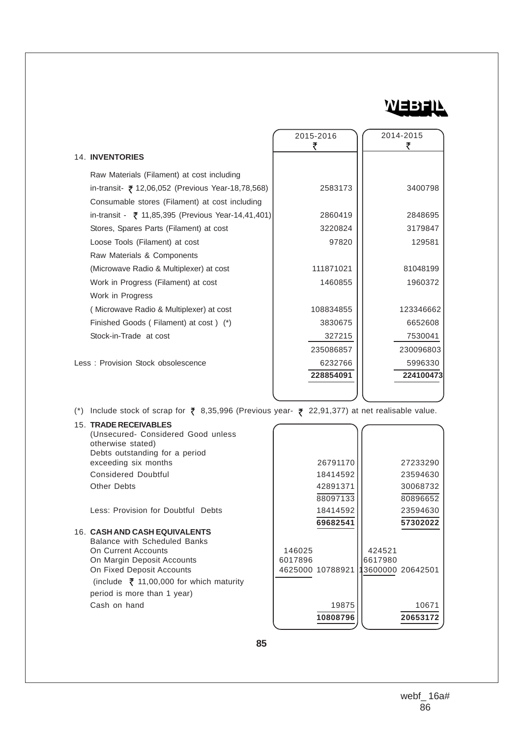## W331

|                                                            | 2015-2016 | 2014-2015 |
|------------------------------------------------------------|-----------|-----------|
| <b>14. INVENTORIES</b>                                     |           |           |
| Raw Materials (Filament) at cost including                 |           |           |
| in-transit- ₹ 12,06,052 (Previous Year-18,78,568)          | 2583173   | 3400798   |
| Consumable stores (Filament) at cost including             |           |           |
| in-transit - $\bar{z}$ 11,85,395 (Previous Year-14,41,401) | 2860419   | 2848695   |
| Stores, Spares Parts (Filament) at cost                    | 3220824   | 3179847   |
| Loose Tools (Filament) at cost                             | 97820     | 129581    |
| Raw Materials & Components                                 |           |           |
| (Microwave Radio & Multiplexer) at cost                    | 111871021 | 81048199  |
| Work in Progress (Filament) at cost                        | 1460855   | 1960372   |
| Work in Progress                                           |           |           |
| (Microwave Radio & Multiplexer) at cost                    | 108834855 | 123346662 |
| Finished Goods (Filament) at cost) (*)                     | 3830675   | 6652608   |
| Stock-in-Trade at cost                                     | 327215    | 7530041   |
|                                                            | 235086857 | 230096803 |
| Less: Provision Stock obsolescence                         | 6232766   | 5996330   |
|                                                            | 228854091 | 224100473 |
|                                                            |           |           |

(\*) Include stock of scrap for  $\xi$  8,35,996 (Previous year-  $\xi$  22,91,377) at net realisable value.

#### 15. **TRADE RECEIVABLES**

| (Unsecured- Considered Good unless |
|------------------------------------|
| otherwise stated)                  |
| Debts outstanding for a period     |
| exceeding six months               |
| <b>Considered Doubtful</b>         |
| Other Debts                        |

#### 16. **CASH AND CASH EQUIVALENTS**

| TRADE RECEIVABLES<br>(Unsecured- Considered Good unless<br>otherwise stated)<br>Debts outstanding for a period |         |                  |         |                  |
|----------------------------------------------------------------------------------------------------------------|---------|------------------|---------|------------------|
| exceeding six months                                                                                           |         | 26791170         |         | 27233290         |
| Considered Doubtful                                                                                            |         | 18414592         |         | 23594630         |
| Other Debts                                                                                                    |         | 42891371         |         | 30068732         |
|                                                                                                                |         | 88097133         |         | 80896652         |
| Less: Provision for Doubtful Debts                                                                             |         | 18414592         |         | 23594630         |
|                                                                                                                |         | 69682541         |         | 57302022         |
| <b>CASH AND CASH EQUIVALENTS</b><br>Balance with Scheduled Banks                                               |         |                  |         |                  |
| On Current Accounts                                                                                            | 146025  |                  | 424521  |                  |
| On Margin Deposit Accounts                                                                                     | 6017896 |                  | 6617980 |                  |
| On Fixed Deposit Accounts<br>(include $\bar{\tau}$ 11,00,000 for which maturity                                |         | 4625000 10788921 |         | 3600000 20642501 |
| period is more than 1 year)                                                                                    |         |                  |         |                  |
| Cash on hand                                                                                                   |         | 19875            |         | 10671            |
|                                                                                                                |         | 10808796         |         | 20653172         |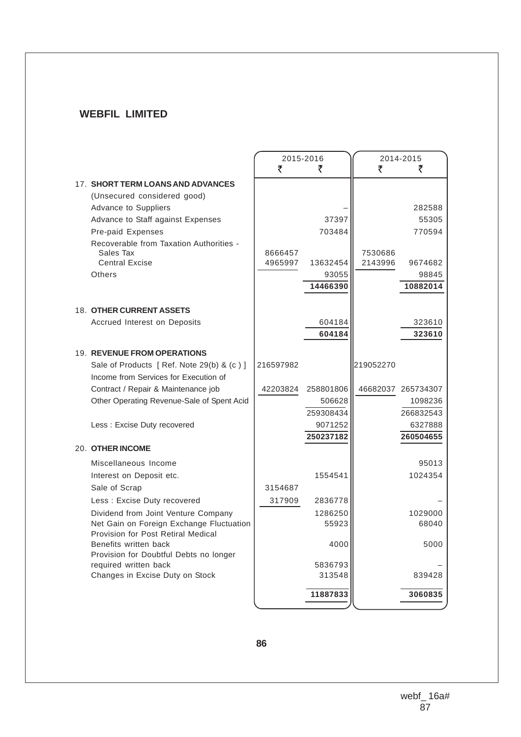|                                                                 | ₹         | 2015-2016<br>₹ | ₹         | 2014-2015<br>₹     |
|-----------------------------------------------------------------|-----------|----------------|-----------|--------------------|
| <b>17. SHORT TERM LOANS AND ADVANCES</b>                        |           |                |           |                    |
| (Unsecured considered good)                                     |           |                |           |                    |
| Advance to Suppliers                                            |           |                |           | 282588             |
| Advance to Staff against Expenses                               |           | 37397          |           | 55305              |
| Pre-paid Expenses                                               |           | 703484         |           | 770594             |
| Recoverable from Taxation Authorities -                         |           |                |           |                    |
| Sales Tax                                                       | 8666457   |                | 7530686   |                    |
| <b>Central Excise</b>                                           | 4965997   | 13632454       | 2143996   | 9674682            |
| Others                                                          |           | 93055          |           | 98845              |
|                                                                 |           | 14466390       |           | 10882014           |
| <b>18. OTHER CURRENT ASSETS</b>                                 |           |                |           |                    |
| Accrued Interest on Deposits                                    |           | 604184         |           | 323610             |
|                                                                 |           | 604184         |           | 323610             |
| <b>19. REVENUE FROM OPERATIONS</b>                              |           |                |           |                    |
| Sale of Products [ Ref. Note 29(b) & (c ) ]                     | 216597982 |                | 219052270 |                    |
| Income from Services for Execution of                           |           |                |           |                    |
| Contract / Repair & Maintenance job                             | 42203824  | 258801806      |           | 46682037 265734307 |
| Other Operating Revenue-Sale of Spent Acid                      |           | 506628         |           | 1098236            |
|                                                                 |           | 259308434      |           | 266832543          |
| Less : Excise Duty recovered                                    |           | 9071252        |           | 6327888            |
|                                                                 |           | 250237182      |           | 260504655          |
| 20. OTHER INCOME                                                |           |                |           |                    |
| Miscellaneous Income                                            |           |                |           | 95013              |
| Interest on Deposit etc.                                        |           | 1554541        |           | 1024354            |
| Sale of Scrap                                                   | 3154687   |                |           |                    |
| Less : Excise Duty recovered                                    | 317909    | 2836778        |           |                    |
| Dividend from Joint Venture Company                             |           | 1286250        |           | 1029000            |
| Net Gain on Foreign Exchange Fluctuation                        |           | 55923          |           | 68040              |
| Provision for Post Retiral Medical                              |           |                |           |                    |
| Benefits written back<br>Provision for Doubtful Debts no longer |           | 4000           |           | 5000               |
| required written back                                           |           | 5836793        |           |                    |
| Changes in Excise Duty on Stock                                 |           | 313548         |           | 839428             |
|                                                                 |           | 11887833       |           | 3060835            |
|                                                                 |           |                |           |                    |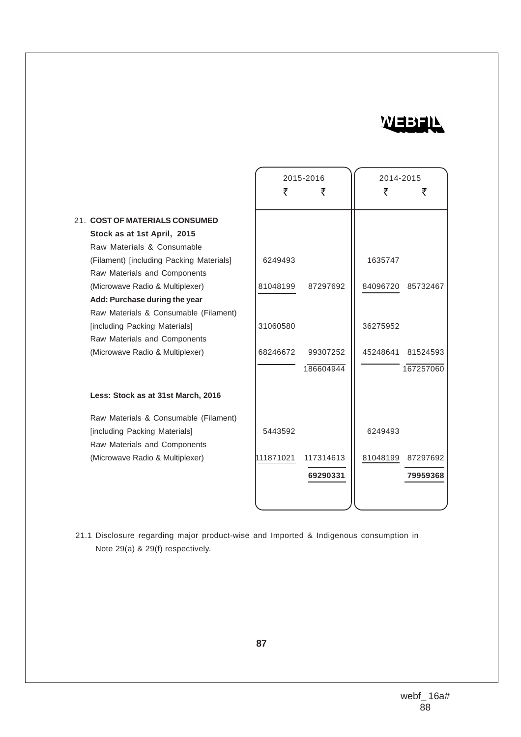

## 21. **COST OF MATERIALS CONSUMED**

**Stock as at 1st April, 2015** Raw Materials & Consumable (Filament) [including Packing Materials] Raw Materials and Components (Microwave Radio & Multiplexer) **Add: Purchase during the year** Raw Materials & Consumable (Filament) [including Packing Materials] Raw Materials and Components (Microwave Radio & Multiplexer)

**Less: Stock as at 31st March, 2016**

Raw Materials & Consumable (Filament) [including Packing Materials] Raw Materials and Components (Microwave Radio & Multiplexer)

|          | 2015-2016           | 2014-2015 |                   |
|----------|---------------------|-----------|-------------------|
| ₹        | ₹                   | ₹         | ₹                 |
|          |                     |           |                   |
|          |                     |           |                   |
|          |                     |           |                   |
| 6249493  |                     | 1635747   |                   |
|          | 81048199 87297692   |           | 84096720 85732467 |
|          |                     |           |                   |
| 31060580 |                     | 36275952  |                   |
|          |                     |           |                   |
|          | 68246672 99307252   |           | 45248641 81524593 |
|          | 186604944           |           | 167257060         |
|          |                     |           |                   |
|          |                     |           |                   |
| 5443592  |                     | 6249493   |                   |
|          |                     |           |                   |
|          | 111871021 117314613 |           | 81048199 87297692 |
|          | 69290331            |           | 79959368          |
|          |                     |           |                   |

21.1 Disclosure regarding major product-wise and Imported & Indigenous consumption in Note 29(a) & 29(f) respectively.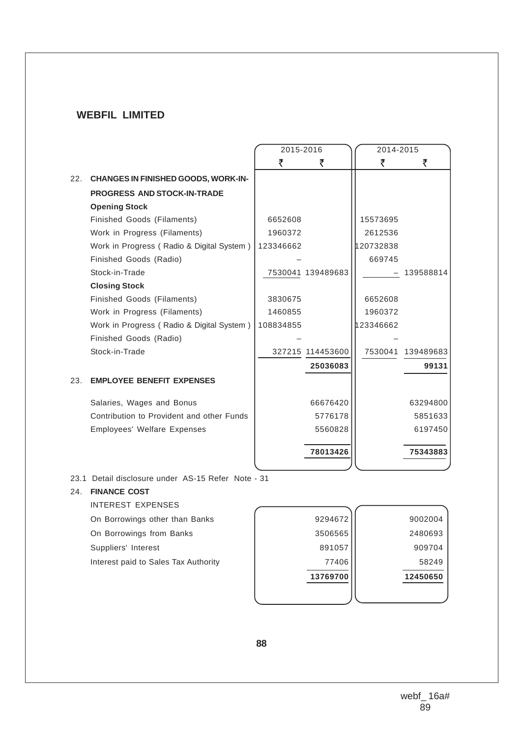|     |                                            | 2015-2016 |                   | 2014-2015 |                   |
|-----|--------------------------------------------|-----------|-------------------|-----------|-------------------|
|     |                                            | ₹         | ₹                 | ₹         | ₹                 |
| 22. | <b>CHANGES IN FINISHED GOODS, WORK-IN-</b> |           |                   |           |                   |
|     | <b>PROGRESS AND STOCK-IN-TRADE</b>         |           |                   |           |                   |
|     | <b>Opening Stock</b>                       |           |                   |           |                   |
|     | Finished Goods (Filaments)                 | 6652608   |                   | 15573695  |                   |
|     | Work in Progress (Filaments)               | 1960372   |                   | 2612536   |                   |
|     | Work in Progress (Radio & Digital System)  | 123346662 |                   | 120732838 |                   |
|     | Finished Goods (Radio)                     |           |                   | 669745    |                   |
|     | Stock-in-Trade                             |           | 7530041 139489683 |           | 139588814         |
|     | <b>Closing Stock</b>                       |           |                   |           |                   |
|     | Finished Goods (Filaments)                 | 3830675   |                   | 6652608   |                   |
|     | Work in Progress (Filaments)               | 1460855   |                   | 1960372   |                   |
|     | Work in Progress (Radio & Digital System)  | 108834855 |                   | 123346662 |                   |
|     | Finished Goods (Radio)                     |           |                   |           |                   |
|     | Stock-in-Trade                             |           | 327215 114453600  |           | 7530041 139489683 |
|     |                                            |           | 25036083          |           | 99131             |
| 23. | <b>EMPLOYEE BENEFIT EXPENSES</b>           |           |                   |           |                   |
|     | Salaries, Wages and Bonus                  |           | 66676420          |           | 63294800          |
|     | Contribution to Provident and other Funds  |           | 5776178           |           | 5851633           |
|     | <b>Employees' Welfare Expenses</b>         |           | 5560828           |           | 6197450           |
|     |                                            |           | 78013426          |           | 75343883          |
|     |                                            |           |                   |           |                   |

23.1 Detail disclosure under AS-15 Refer Note - 31

## 24. **FINANCE COST**

|                                      | 13769700 | 12450650 |
|--------------------------------------|----------|----------|
| Interest paid to Sales Tax Authority | 77406    | 58249    |
| Suppliers' Interest                  | 891057   | 909704   |
| On Borrowings from Banks             | 3506565  | 2480693  |
| On Borrowings other than Banks       | 9294672  | 9002004  |
| INTEREST EXPENSES                    |          |          |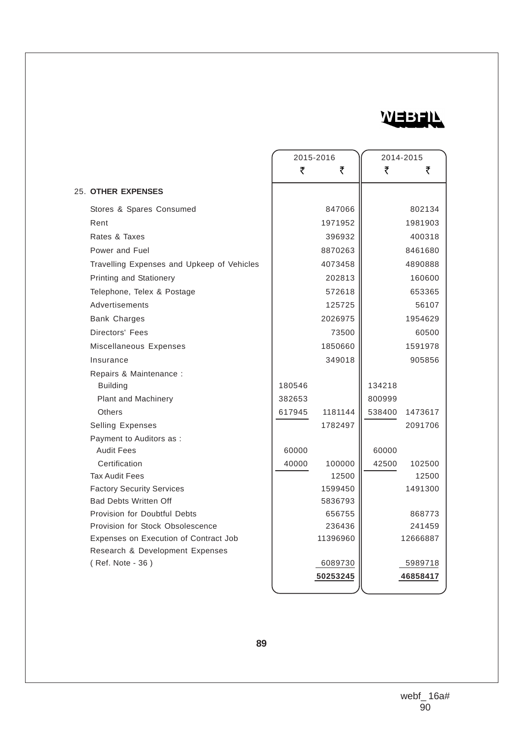# WEBELL

|                                            | 2015-2016 |          | 2014-2015 |          |
|--------------------------------------------|-----------|----------|-----------|----------|
|                                            | ₹         | ₹        | ₹         | ₹        |
| 25. OTHER EXPENSES                         |           |          |           |          |
| Stores & Spares Consumed                   |           | 847066   |           | 802134   |
| Rent                                       |           | 1971952  |           | 1981903  |
| Rates & Taxes                              |           | 396932   |           | 400318   |
| Power and Fuel                             |           | 8870263  |           | 8461680  |
| Travelling Expenses and Upkeep of Vehicles |           | 4073458  |           | 4890888  |
| <b>Printing and Stationery</b>             |           | 202813   |           | 160600   |
| Telephone, Telex & Postage                 |           | 572618   |           | 653365   |
| Advertisements                             |           | 125725   |           | 56107    |
| <b>Bank Charges</b>                        |           | 2026975  |           | 1954629  |
| <b>Directors' Fees</b>                     |           | 73500    |           | 60500    |
| Miscellaneous Expenses                     |           | 1850660  |           | 1591978  |
| Insurance                                  |           | 349018   |           | 905856   |
| Repairs & Maintenance:                     |           |          |           |          |
| <b>Building</b>                            | 180546    |          | 134218    |          |
| Plant and Machinery                        | 382653    |          | 800999    |          |
| Others                                     | 617945    | 1181144  | 538400    | 1473617  |
| Selling Expenses                           |           | 1782497  |           | 2091706  |
| Payment to Auditors as :                   |           |          |           |          |
| <b>Audit Fees</b>                          | 60000     |          | 60000     |          |
| Certification                              | 40000     | 100000   | 42500     | 102500   |
| <b>Tax Audit Fees</b>                      |           | 12500    |           | 12500    |
| <b>Factory Security Services</b>           |           | 1599450  |           | 1491300  |
| <b>Bad Debts Written Off</b>               |           | 5836793  |           |          |
| Provision for Doubtful Debts               |           | 656755   |           | 868773   |
| Provision for Stock Obsolescence           |           | 236436   |           | 241459   |
| Expenses on Execution of Contract Job      |           | 11396960 |           | 12666887 |
| Research & Development Expenses            |           |          |           |          |
| (Ref. Note - 36)                           |           | 6089730  |           | 5989718  |
|                                            |           | 50253245 |           | 46858417 |
|                                            |           |          |           |          |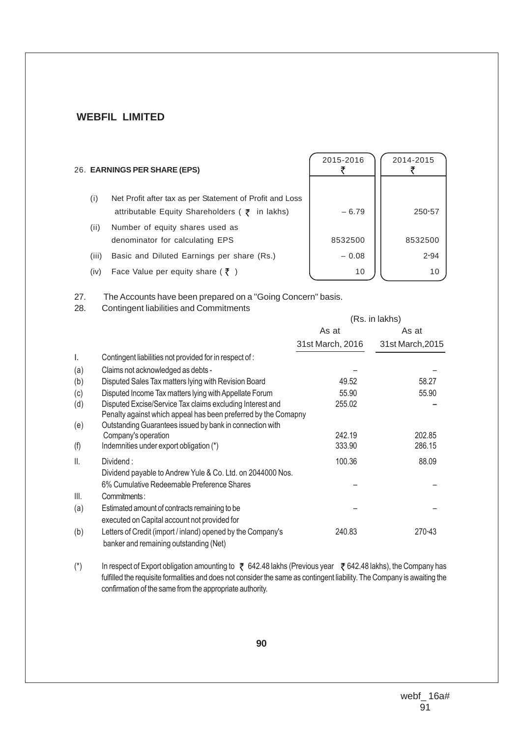#### 26. **EARNINGS PER SHARE (EPS)**

- (i) Net Profit after tax as per Statement of Profit and Loss attributable Equity Shareholders (Rs. in lakhs) – 6.79 250**.**57
- (ii) Number of equity shares used as
- (iii) Basic and Diluted Earnings per share  $(Rs.)$   $-0.08$
- (iv) Face Value per equity share  $(\bar{\zeta})$  10 10 10 10



- 27. The Accounts have been prepared on a "Going Concern" basis.
- 28. Contingent liabilities and Commitments

|                |                                                                                                       | (Rs. in lakhs)   |                  |  |
|----------------|-------------------------------------------------------------------------------------------------------|------------------|------------------|--|
|                |                                                                                                       | As at            | As at            |  |
|                |                                                                                                       | 31st March, 2016 | 31st March, 2015 |  |
| I.             | Contingent liabilities not provided for in respect of:                                                |                  |                  |  |
| (a)            | Claims not acknowledged as debts -                                                                    |                  |                  |  |
| (b)            | Disputed Sales Tax matters lying with Revision Board                                                  | 49.52            | 58.27            |  |
| (c)            | Disputed Income Tax matters lying with Appellate Forum                                                | 55.90            | 55.90            |  |
| (d)            | Disputed Excise/Service Tax claims excluding Interest and                                             | 255.02           |                  |  |
|                | Penalty against which appeal has been preferred by the Comapny                                        |                  |                  |  |
| (e)            | Outstanding Guarantees issued by bank in connection with                                              |                  |                  |  |
|                | Company's operation                                                                                   | 242.19           | 202.85           |  |
| (f)            | Indemnities under export obligation (*)                                                               | 333.90           | 286.15           |  |
| $\mathbb{I}$ . | Dividend:                                                                                             | 100.36           | 88.09            |  |
|                | Dividend payable to Andrew Yule & Co. Ltd. on 2044000 Nos.                                            |                  |                  |  |
|                | 6% Cumulative Redeemable Preference Shares                                                            |                  |                  |  |
| III.           | Commitments:                                                                                          |                  |                  |  |
| (a)            | Estimated amount of contracts remaining to be                                                         |                  |                  |  |
|                | executed on Capital account not provided for                                                          |                  |                  |  |
| (b)            | Letters of Credit (import / inland) opened by the Company's<br>banker and remaining outstanding (Net) | 240.83           | 270-43           |  |

(\*) In respect of Export obligation amounting to  $\bar{\tau}$  642.48 lakhs (Previous year  $\bar{\tau}$  642.48 lakhs), the Company has fulfilled the requisite formalities and does not consider the same as contingent liability. The Company is awaiting the confirmation of the same from the appropriate authority.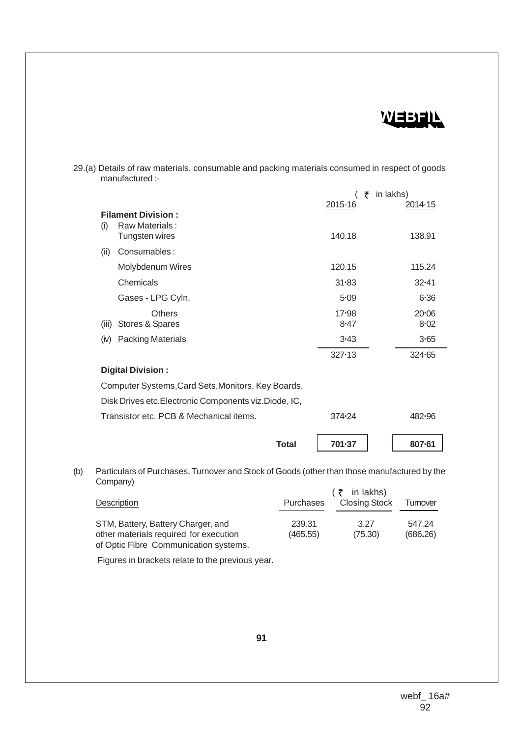## WEBEIN

29.(a) Details of raw materials, consumable and packing materials consumed in respect of goods manufactured :-

|       |                                                        |            | in lakhs)<br>₹ |
|-------|--------------------------------------------------------|------------|----------------|
|       | <b>Filament Division:</b>                              | 2015-16    | 2014-15        |
| (i)   | Raw Materials:                                         |            |                |
|       | Tungsten wires                                         | 140.18     | 138.91         |
| (ii)  | Consumables:                                           |            |                |
|       | Molybdenum Wires                                       | 120.15     | 115.24         |
|       | Chemicals                                              | $31 - 83$  | $32 - 41$      |
|       | Gases - LPG Cyln.                                      | $5 - 09$   | $6 - 36$       |
|       | <b>Others</b>                                          | $17 - 98$  | $20 - 06$      |
| (iii) | Stores & Spares                                        | $8 - 47$   | $8 - 02$       |
| (iv)  | <b>Packing Materials</b>                               | $3 - 43$   | $3 - 65$       |
|       |                                                        | $327 - 13$ | $324 - 65$     |
|       | <b>Digital Division:</b>                               |            |                |
|       | Computer Systems, Card Sets, Monitors, Key Boards,     |            |                |
|       | Disk Drives etc. Electronic Components viz. Diode, IC, |            |                |
|       | Transistor etc. PCB & Mechanical items.                | 374.24     | 482-96         |
|       | <b>Total</b>                                           | 701.37     | 807-61         |

(b) Particulars of Purchases, Turnover and Stock of Goods (other than those manufactured by the Company)

| Description                                                                                                           | Purchases          | $(5 \t{in}$ lakhs)<br><b>Closing Stock</b> | Turnover           |
|-----------------------------------------------------------------------------------------------------------------------|--------------------|--------------------------------------------|--------------------|
| STM, Battery, Battery Charger, and<br>other materials required for execution<br>of Optic Fibre Communication systems. | 239.31<br>(465.55) | 3.27<br>(75.30)                            | 547.24<br>(686.26) |

Figures in brackets relate to the previous year.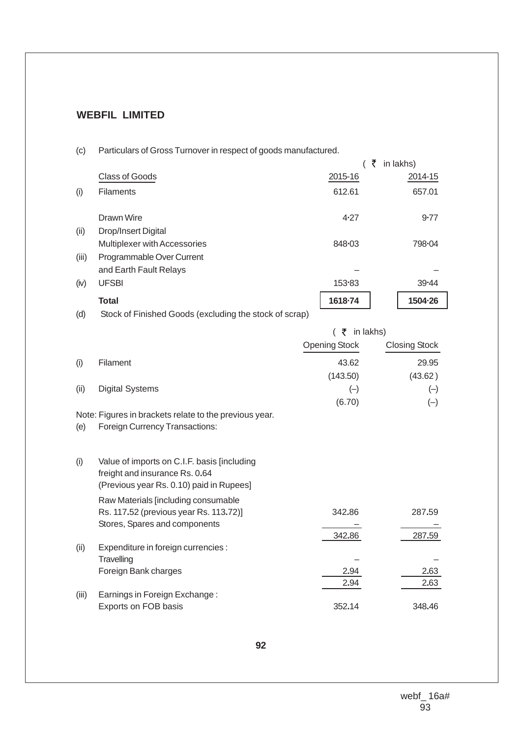| (c)   | Particulars of Gross Turnover in respect of goods manufactured. |             |                |  |  |  |  |
|-------|-----------------------------------------------------------------|-------------|----------------|--|--|--|--|
|       |                                                                 |             | ₹<br>in lakhs) |  |  |  |  |
|       | Class of Goods                                                  | 2015-16     | 2014-15        |  |  |  |  |
| (i)   | <b>Filaments</b>                                                | 612.61      | 657.01         |  |  |  |  |
|       | Drawn Wire                                                      | $4 - 27$    | $9 - 77$       |  |  |  |  |
| (ii)  | Drop/Insert Digital                                             |             |                |  |  |  |  |
|       | Multiplexer with Accessories                                    | 848.03      | 798-04         |  |  |  |  |
| (iii) | Programmable Over Current                                       |             |                |  |  |  |  |
|       | and Earth Fault Relays                                          |             |                |  |  |  |  |
| (iv)  | <b>UFSBI</b>                                                    | $153 - 83$  | $39 - 44$      |  |  |  |  |
|       | <b>Total</b>                                                    | $1618 - 74$ | $1504 - 26$    |  |  |  |  |
| (d)   | Stock of Finished Goods (excluding the stock of scrap)          |             |                |  |  |  |  |

|       |                                                                                                                           | $\bar{\xi}$ in lakhs) |                      |
|-------|---------------------------------------------------------------------------------------------------------------------------|-----------------------|----------------------|
|       |                                                                                                                           | <b>Opening Stock</b>  | <b>Closing Stock</b> |
| (i)   | Filament                                                                                                                  | 43.62                 | 29.95                |
|       |                                                                                                                           | (143.50)              | (43.62)              |
| (ii)  | <b>Digital Systems</b>                                                                                                    | $(-)$                 | $(-)$                |
|       |                                                                                                                           | (6.70)                | $(-)$                |
| (e)   | Note: Figures in brackets relate to the previous year.<br><b>Foreign Currency Transactions:</b>                           |                       |                      |
| (i)   | Value of imports on C.I.F. basis [including<br>freight and insurance Rs. 0.64<br>(Previous year Rs. 0.10) paid in Rupees] |                       |                      |
|       | Raw Materials [including consumable                                                                                       |                       |                      |
|       | Rs. 117.52 (previous year Rs. 113.72)]                                                                                    | 342.86                | 287.59               |
|       | Stores, Spares and components                                                                                             |                       |                      |
|       |                                                                                                                           | 342.86                | 287.59               |
| (ii)  | Expenditure in foreign currencies :<br><b>Travelling</b>                                                                  |                       |                      |
|       | Foreign Bank charges                                                                                                      | 2.94                  | 2.63                 |
|       |                                                                                                                           | 2.94                  | 2.63                 |
| (iii) | Earnings in Foreign Exchange:                                                                                             |                       |                      |
|       | Exports on FOB basis                                                                                                      | 352.14                | 348.46               |
|       |                                                                                                                           |                       |                      |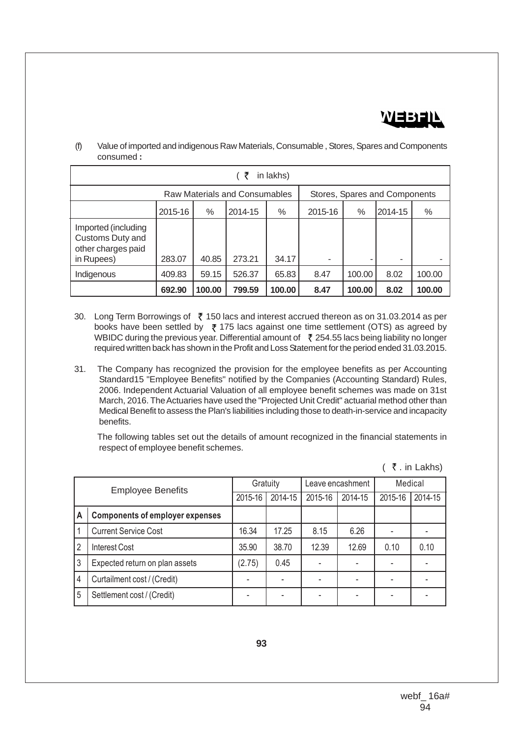

(f) Value of imported and indigenous Raw Materials, Consumable , Stores, Spares and Components consumed **:**

| in lakhs)<br>₹                                                              |         |                                                 |        |        |      |        |      |        |  |  |
|-----------------------------------------------------------------------------|---------|-------------------------------------------------|--------|--------|------|--------|------|--------|--|--|
| Raw Materials and Consumables<br>Stores, Spares and Components              |         |                                                 |        |        |      |        |      |        |  |  |
|                                                                             | 2015-16 | %<br>$\%$<br>%<br>2014-15<br>2014-15<br>2015-16 |        |        |      |        | $\%$ |        |  |  |
| Imported (including<br>Customs Duty and<br>other charges paid<br>in Rupees) | 283.07  | 40.85                                           | 273.21 | 34.17  |      |        |      |        |  |  |
| Indigenous                                                                  | 409.83  | 59.15                                           | 526.37 | 65.83  | 8.47 | 100.00 | 8.02 | 100.00 |  |  |
|                                                                             | 692.90  | 100.00                                          | 799.59 | 100.00 | 8.47 | 100.00 | 8.02 | 100.00 |  |  |

- 30. Long Term Borrowings of  $\bar{\zeta}$  150 lacs and interest accrued thereon as on 31.03.2014 as per books have been settled by  $\bar{\tau}$  175 lacs against one time settlement (OTS) as agreed by WBIDC during the previous year. Differential amount of  $\bar{\tau}$  254.55 lacs being liability no longer required written back has shown in the Profit and Loss Statement for the period ended 31.03.2015.
- 31. The Company has recognized the provision for the employee benefits as per Accounting Standard15 "Employee Benefits" notified by the Companies (Accounting Standard) Rules, 2006. Independent Actuarial Valuation of all employee benefit schemes was made on 31st March, 2016. The Actuaries have used the "Projected Unit Credit" actuarial method other than Medical Benefit to assess the Plan's liabilities including those to death-in-service and incapacity benefits.

The following tables set out the details of amount recognized in the financial statements in respect of employee benefit schemes.

|  |  |  |  |  | ₹. in Lakhs) |
|--|--|--|--|--|--------------|
|--|--|--|--|--|--------------|

| <b>Employee Benefits</b> |                                        |         | Gratuity |         | Leave encashment |         | Medical |  |
|--------------------------|----------------------------------------|---------|----------|---------|------------------|---------|---------|--|
|                          |                                        | 2015-16 | 2014-15  | 2015-16 | 2014-15          | 2015-16 | 2014-15 |  |
| A                        | <b>Components of employer expenses</b> |         |          |         |                  |         |         |  |
|                          | <b>Current Service Cost</b>            | 16.34   | 17.25    | 8.15    | 6.26             |         |         |  |
| $\overline{2}$           | <b>Interest Cost</b>                   | 35.90   | 38.70    | 12.39   | 12.69            | 0.10    | 0.10    |  |
| 3                        | Expected return on plan assets         | (2.75)  | 0.45     |         |                  |         |         |  |
| $\overline{4}$           | Curtailment cost / (Credit)            |         |          |         |                  |         |         |  |
| 5                        | Settlement cost / (Credit)             |         |          |         |                  |         |         |  |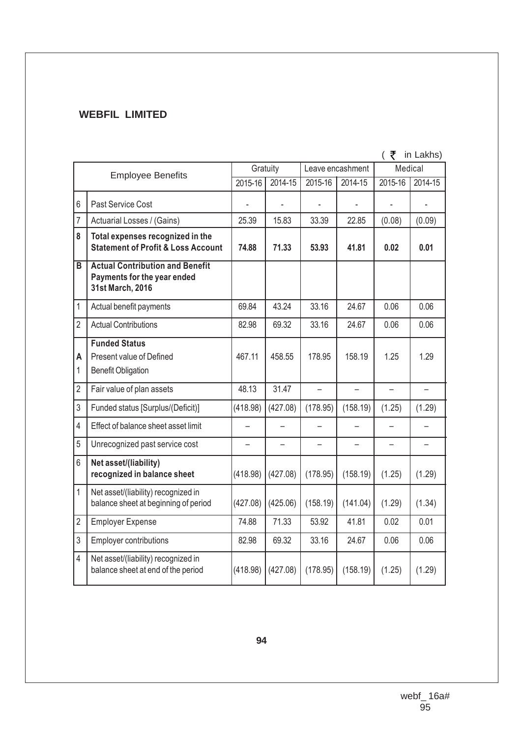|                   |                                                                                           |                          |                          |                          |                          | ₹                 | in Lakhs)         |
|-------------------|-------------------------------------------------------------------------------------------|--------------------------|--------------------------|--------------------------|--------------------------|-------------------|-------------------|
|                   | <b>Employee Benefits</b>                                                                  |                          | Gratuity                 | Leave encashment         |                          | Medical           |                   |
|                   |                                                                                           | 2015-16                  | 2014-15                  | 2015-16                  | 2014-15                  | 2015-16           | 2014-15           |
| $6\phantom{a}$    | Past Service Cost                                                                         |                          |                          |                          |                          |                   |                   |
| $\overline{7}$    | Actuarial Losses / (Gains)                                                                | 25.39                    | 15.83                    | 33.39                    | 22.85                    | (0.08)            | (0.09)            |
| 8                 | Total expenses recognized in the<br><b>Statement of Profit &amp; Loss Account</b>         | 74.88                    | 71.33                    | 53.93                    | 41.81                    | 0.02              | 0.01              |
| $\overline{B}$    | <b>Actual Contribution and Benefit</b><br>Payments for the year ended<br>31st March, 2016 |                          |                          |                          |                          |                   |                   |
| $\mathbf{1}$      | Actual benefit payments                                                                   | 69.84                    | 43.24                    | 33.16                    | 24.67                    | 0.06              | 0.06              |
| $\overline{2}$    | <b>Actual Contributions</b>                                                               | 82.98                    | 69.32                    | 33.16                    | 24.67                    | 0.06              | 0.06              |
| A<br>$\mathbf{1}$ | <b>Funded Status</b><br>Present value of Defined<br><b>Benefit Obligation</b>             | 467.11                   | 458.55                   | 178.95                   | 158.19                   | 1.25              | 1.29              |
| $\overline{2}$    | Fair value of plan assets                                                                 | 48.13                    | 31.47                    |                          |                          |                   |                   |
| $\mathbf{3}$      | Funded status [Surplus/(Deficit)]                                                         | (418.98)                 | (427.08)                 | (178.95)                 | (158.19)                 | (1.25)            | (1.29)            |
| $\overline{4}$    | Effect of balance sheet asset limit                                                       |                          |                          |                          |                          |                   |                   |
| 5                 | Unrecognized past service cost                                                            | $\overline{\phantom{0}}$ | $\overline{\phantom{0}}$ | $\overline{\phantom{0}}$ | $\overline{\phantom{0}}$ | $\qquad \qquad -$ | $\qquad \qquad -$ |
| 6                 | Net asset/(liability)<br>recognized in balance sheet                                      | (418.98)                 | (427.08)                 | (178.95)                 | (158.19)                 | (1.25)            | (1.29)            |
| $\mathbf{1}$      | Net asset/(liability) recognized in<br>balance sheet at beginning of period               | (427.08)                 | (425.06)                 | (158.19)                 | (141.04)                 | (1.29)            | (1.34)            |
| $\overline{2}$    | <b>Employer Expense</b>                                                                   | 74.88                    | 71.33                    | 53.92                    | 41.81                    | 0.02              | 0.01              |
| $\mathfrak{Z}$    | <b>Employer contributions</b>                                                             | 82.98                    | 69.32                    | 33.16                    | 24.67                    | 0.06              | 0.06              |
| $\overline{4}$    | Net asset/(liability) recognized in<br>balance sheet at end of the period                 | (418.98)                 | (427.08)                 | (178.95)                 | (158.19)                 | (1.25)            | (1.29)            |

 $\sqrt{2\pi}$  in Lakhs)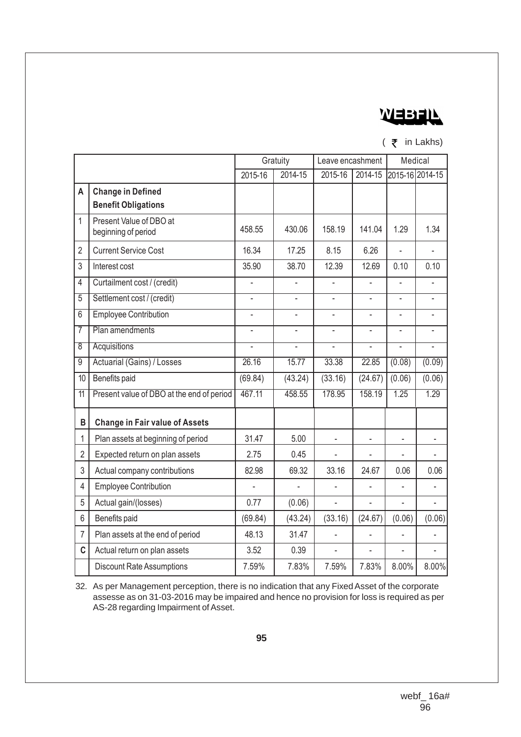

 $($   $\bar{\zeta}$  in Lakhs)

|                |                                                |                | Gratuity                 | Leave encashment         |                          |                          | Medical                  |
|----------------|------------------------------------------------|----------------|--------------------------|--------------------------|--------------------------|--------------------------|--------------------------|
|                |                                                | 2015-16        | 2014-15                  | 2015-16                  | 2014-15                  |                          | 2015-16 2014-15          |
| A              | <b>Change in Defined</b>                       |                |                          |                          |                          |                          |                          |
|                | <b>Benefit Obligations</b>                     |                |                          |                          |                          |                          |                          |
| 1              | Present Value of DBO at<br>beginning of period | 458.55         | 430.06                   | 158.19                   | 141.04                   | 1.29                     | 1.34                     |
| $\overline{2}$ | <b>Current Service Cost</b>                    | 16.34          | 17.25                    | 8.15                     | 6.26                     | $\overline{a}$           |                          |
| 3              | Interest cost                                  | 35.90          | 38.70                    | 12.39                    | 12.69                    | 0.10                     | 0.10                     |
| 4              | Curtailment cost / (credit)                    |                |                          |                          |                          |                          |                          |
| $\overline{5}$ | Settlement cost / (credit)                     | $\overline{a}$ |                          |                          | $\overline{a}$           | $\overline{a}$           |                          |
| $\overline{6}$ | <b>Employee Contribution</b>                   | $\overline{a}$ | ÷,                       | $\overline{a}$           | $\overline{a}$           | $\overline{a}$           | $\overline{a}$           |
| 7              | Plan amendments                                | $\overline{a}$ | $\overline{\phantom{a}}$ | $\overline{a}$           | $\overline{a}$           | $\overline{a}$           |                          |
| 8              | Acquisitions                                   | $\overline{a}$ | $\overline{a}$           | $\overline{a}$           | $\overline{a}$           | L,                       | $\overline{\phantom{a}}$ |
| $\overline{9}$ | <b>Actuarial (Gains) / Losses</b>              | 26.16          | 15.77                    | 33.38                    | 22.85                    | (0.08)                   | (0.09)                   |
| 10             | Benefits paid                                  | (69.84)        | (43.24)                  | (33.16)                  | (24.67)                  | (0.06)                   | (0.06)                   |
| 11             | Present value of DBO at the end of period      | 467.11         | 458.55                   | 178.95                   | 158.19                   | 1.25                     | 1.29                     |
| B              | <b>Change in Fair value of Assets</b>          |                |                          |                          |                          |                          |                          |
| 1              | Plan assets at beginning of period             | 31.47          | 5.00                     | $\overline{\phantom{0}}$ | $\overline{\phantom{0}}$ | $\overline{\phantom{0}}$ | $\overline{\phantom{0}}$ |
| $\overline{2}$ | Expected return on plan assets                 | 2.75           | 0.45                     |                          |                          |                          |                          |
| 3              | Actual company contributions                   | 82.98          | 69.32                    | 33.16                    | 24.67                    | 0.06                     | 0.06                     |
| $\overline{4}$ | <b>Employee Contribution</b>                   |                |                          |                          |                          |                          | L,                       |
| 5              | Actual gain/(losses)                           | 0.77           | (0.06)                   |                          |                          |                          |                          |
| 6              | Benefits paid                                  | (69.84)        | (43.24)                  | (33.16)                  | (24.67)                  | (0.06)                   | (0.06)                   |
| $\overline{7}$ | Plan assets at the end of period               | 48.13          | 31.47                    |                          |                          |                          |                          |
| $\mathbf c$    | Actual return on plan assets                   | 3.52           | 0.39                     | $\overline{a}$           |                          | $\overline{a}$           | $\overline{a}$           |
|                | <b>Discount Rate Assumptions</b>               | 7.59%          | 7.83%                    | 7.59%                    | 7.83%                    | 8.00%                    | 8.00%                    |

32. As per Management perception, there is no indication that any Fixed Asset of the corporate assesse as on 31-03-2016 may be impaired and hence no provision for loss is required as per AS-28 regarding Impairment of Asset.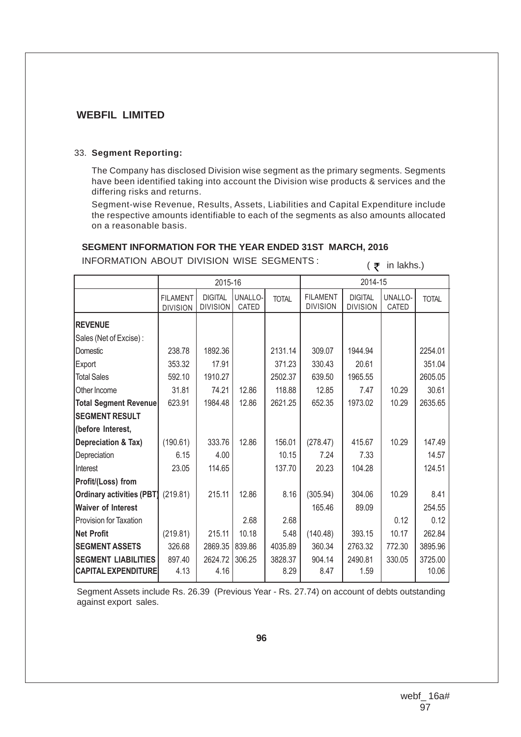#### 33. **Segment Reporting:**

The Company has disclosed Division wise segment as the primary segments. Segments have been identified taking into account the Division wise products & services and the differing risks and returns.

Segment-wise Revenue, Results, Assets, Liabilities and Capital Expenditure include the respective amounts identifiable to each of the segments as also amounts allocated on a reasonable basis.

#### **SEGMENT INFORMATION FOR THE YEAR ENDED 31ST MARCH, 2016**

INFORMATION ABOUT DIVISION WISE SEGMENTS :

 $\zeta$  in lakhs.)

|                                  |                                    | 2015-16                           |                  |              | 2014-15                            |                                   |                         |              |
|----------------------------------|------------------------------------|-----------------------------------|------------------|--------------|------------------------------------|-----------------------------------|-------------------------|--------------|
|                                  | <b>FILAMENT</b><br><b>DIVISION</b> | <b>DIGITAL</b><br><b>DIVISION</b> | UNALLO-<br>CATED | <b>TOTAL</b> | <b>FILAMENT</b><br><b>DIVISION</b> | <b>DIGITAL</b><br><b>DIVISION</b> | UNALLO-<br><b>CATED</b> | <b>TOTAL</b> |
| <b>REVENUE</b>                   |                                    |                                   |                  |              |                                    |                                   |                         |              |
| Sales (Net of Excise):           |                                    |                                   |                  |              |                                    |                                   |                         |              |
| Domestic                         | 238.78                             | 1892.36                           |                  | 2131.14      | 309.07                             | 1944.94                           |                         | 2254.01      |
| <b>Export</b>                    | 353.32                             | 17.91                             |                  | 371.23       | 330.43                             | 20.61                             |                         | 351.04       |
| Total Sales                      | 592.10                             | 1910.27                           |                  | 2502.37      | 639.50                             | 1965.55                           |                         | 2605.05      |
| Other Income                     | 31.81                              | 74.21                             | 12.86            | 118.88       | 12.85                              | 7.47                              | 10.29                   | 30.61        |
| <b>Total Segment Revenue</b>     | 623.91                             | 1984.48                           | 12.86            | 2621.25      | 652.35                             | 1973.02                           | 10.29                   | 2635.65      |
| <b>SEGMENT RESULT</b>            |                                    |                                   |                  |              |                                    |                                   |                         |              |
| (before Interest,                |                                    |                                   |                  |              |                                    |                                   |                         |              |
| Depreciation & Tax)              | (190.61)                           | 333.76                            | 12.86            | 156.01       | (278.47)                           | 415.67                            | 10.29                   | 147.49       |
| Depreciation                     | 6.15                               | 4.00                              |                  | 10.15        | 7.24                               | 7.33                              |                         | 14.57        |
| Interest                         | 23.05                              | 114.65                            |                  | 137.70       | 20.23                              | 104.28                            |                         | 124.51       |
| Profit/(Loss) from               |                                    |                                   |                  |              |                                    |                                   |                         |              |
| <b>Ordinary activities (PBT)</b> | (219.81)                           | 215.11                            | 12.86            | 8.16         | (305.94)                           | 304.06                            | 10.29                   | 8.41         |
| <b>Waiver of Interest</b>        |                                    |                                   |                  |              | 165.46                             | 89.09                             |                         | 254.55       |
| Provision for Taxation           |                                    |                                   | 2.68             | 2.68         |                                    |                                   | 0.12                    | 0.12         |
| <b>Net Profit</b>                | (219.81)                           | 215.11                            | 10.18            | 5.48         | (140.48)                           | 393.15                            | 10.17                   | 262.84       |
| <b>SEGMENT ASSETS</b>            | 326.68                             | 2869.35                           | 839.86           | 4035.89      | 360.34                             | 2763.32                           | 772.30                  | 3895.96      |
| <b>ISEGMENT LIABILITIES</b>      | 897.40                             | 2624.72                           | 306.25           | 3828.37      | 904.14                             | 2490.81                           | 330.05                  | 3725.00      |
| <b>CAPITAL EXPENDITURE</b>       | 4.13                               | 4.16                              |                  | 8.29         | 8.47                               | 1.59                              |                         | 10.06        |

Segment Assets include Rs. 26.39 (Previous Year - Rs. 27.74) on account of debts outstanding against export sales.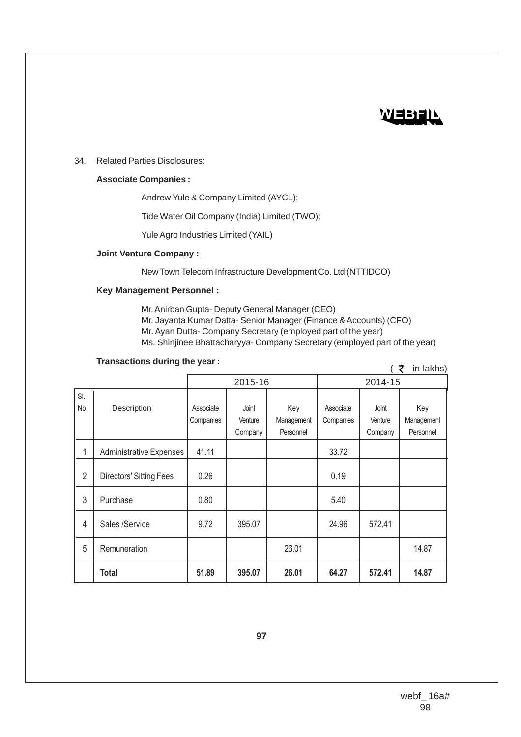

#### 34. Related Parties Disclosures:

#### **Associate Companies :**

Andrew Yule & Company Limited (AYCL);

Tide Water Oil Company (India) Limited (TWO);

Yule Agro Industries Limited (YAIL)

#### **Joint Venture Company :**

New Town Telecom Infrastructure Development Co. Ltd (NTTIDCO)

## **Key Management Personnel :**

Mr. Anirban Gupta- Deputy General Manager (CEO) Mr. Jayanta Kumar Datta- Senior Manager (Finance & Accounts) (CFO) Mr. Ayan Dutta- Company Secretary (employed part of the year) Ms. Shinjinee Bhattacharyya- Company Secretary (employed part of the year)

#### **Transactions during the year :**

 $\zeta$  in lakhs)

|                |                                |                        | 2015-16                     |                                |                        | 2014-15                     |                                |
|----------------|--------------------------------|------------------------|-----------------------------|--------------------------------|------------------------|-----------------------------|--------------------------------|
| SI.<br>No.     | Description                    | Associate<br>Companies | Joint<br>Venture<br>Company | Key<br>Management<br>Personnel | Associate<br>Companies | Joint<br>Venture<br>Company | Key<br>Management<br>Personnel |
| $\mathbf{1}$   | <b>Administrative Expenses</b> | 41.11                  |                             |                                | 33.72                  |                             |                                |
| $\overline{2}$ | <b>Directors' Sitting Fees</b> | 0.26                   |                             |                                | 0.19                   |                             |                                |
| 3              | Purchase                       | 0.80                   |                             |                                | 5.40                   |                             |                                |
| $\overline{4}$ | Sales /Service                 | 9.72                   | 395.07                      |                                | 24.96                  | 572.41                      |                                |
| 5              | Remuneration                   |                        |                             | 26.01                          |                        |                             | 14.87                          |
|                | <b>Total</b>                   | 51.89                  | 395.07                      | 26.01                          | 64.27                  | 572.41                      | 14.87                          |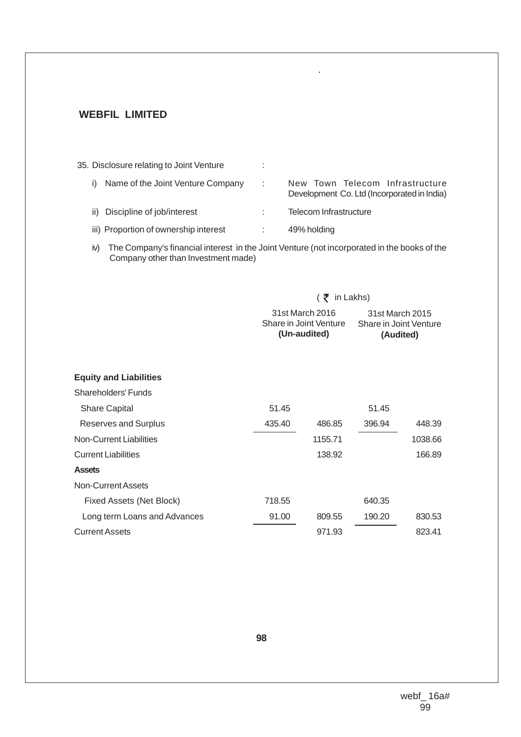| 35. Disclosure relating to Joint Venture | ٠ |                                                                                |
|------------------------------------------|---|--------------------------------------------------------------------------------|
| Name of the Joint Venture Company<br>i). | ÷ | New Town Telecom Infrastructure<br>Development Co. Ltd (Incorporated in India) |
| ii) Discipline of job/interest           |   | Telecom Infrastructure                                                         |
| iii) Proportion of ownership interest    |   | 49% holding                                                                    |

l,

iv) The Company's financial interest in the Joint Venture (not incorporated in the books of the Company other than Investment made)

|                                |        | $\frac{3}{5}$ in Lakhs)                                   |        |                                                        |  |  |
|--------------------------------|--------|-----------------------------------------------------------|--------|--------------------------------------------------------|--|--|
|                                |        | 31st March 2016<br>Share in Joint Venture<br>(Un-audited) |        | 31st March 2015<br>Share in Joint Venture<br>(Audited) |  |  |
| <b>Equity and Liabilities</b>  |        |                                                           |        |                                                        |  |  |
| Shareholders' Funds            |        |                                                           |        |                                                        |  |  |
| <b>Share Capital</b>           | 51.45  |                                                           | 51.45  |                                                        |  |  |
| Reserves and Surplus           | 435.40 | 486.85                                                    | 396.94 | 448.39                                                 |  |  |
| <b>Non-Current Liabilities</b> |        | 1155.71                                                   |        | 1038.66                                                |  |  |
| <b>Current Liabilities</b>     |        | 138.92                                                    |        | 166.89                                                 |  |  |
| <b>Assets</b>                  |        |                                                           |        |                                                        |  |  |
| Non-Current Assets             |        |                                                           |        |                                                        |  |  |
| Fixed Assets (Net Block)       | 718.55 |                                                           | 640.35 |                                                        |  |  |
| Long term Loans and Advances   | 91.00  | 809.55                                                    | 190.20 | 830.53                                                 |  |  |
| <b>Current Assets</b>          |        | 971.93                                                    |        | 823.41                                                 |  |  |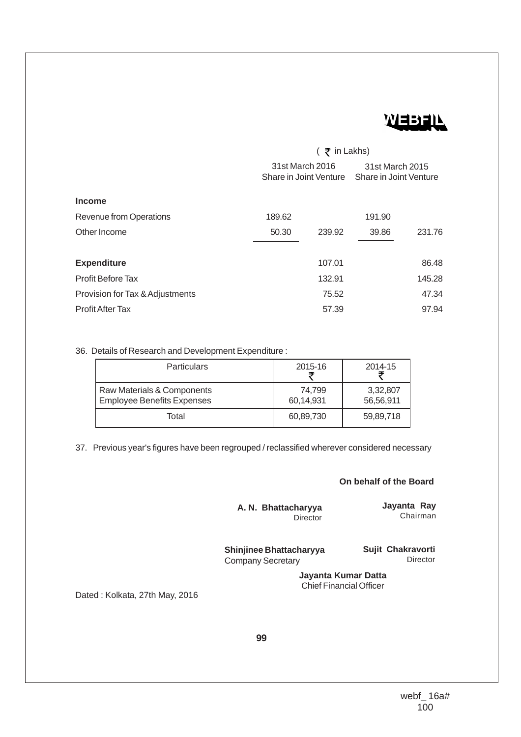

|                                 | $($ $\bar{\tau}$ in Lakhs) |                 |                                                                  |        |
|---------------------------------|----------------------------|-----------------|------------------------------------------------------------------|--------|
|                                 |                            | 31st March 2016 | 31st March 2015<br>Share in Joint Venture Share in Joint Venture |        |
| Income                          |                            |                 |                                                                  |        |
| <b>Revenue from Operations</b>  | 189.62                     |                 | 191.90                                                           |        |
| Other Income                    | 50.30                      | 239.92          | 39.86                                                            | 231.76 |
| <b>Expenditure</b>              |                            | 107.01          |                                                                  | 86.48  |
| Profit Before Tax               |                            | 132.91          |                                                                  | 145.28 |
| Provision for Tax & Adjustments |                            | 75.52           |                                                                  | 47.34  |
| <b>Profit After Tax</b>         |                            | 57.39           |                                                                  | 97.94  |
|                                 |                            |                 |                                                                  |        |

36. Details of Research and Development Expenditure :

| <b>Particulars</b>                                              | 2015-16             | 2014-15               |
|-----------------------------------------------------------------|---------------------|-----------------------|
| Raw Materials & Components<br><b>Employee Benefits Expenses</b> | 74.799<br>60,14,931 | 3,32,807<br>56,56,911 |
| Total                                                           | 60,89,730           | 59.89.718             |

37. Previous year's figures have been regrouped / reclassified wherever considered necessary

**On behalf of the Board**

**A. N. Bhattacharyya Director** 

**Jayanta Ray** Chairman

**Shinjinee Bhattacharyya** Company Secretary

**Sujit Chakravorti** Director

**Jayanta Kumar Datta** Chief Financial Officer

Dated : Kolkata, 27th May, 2016